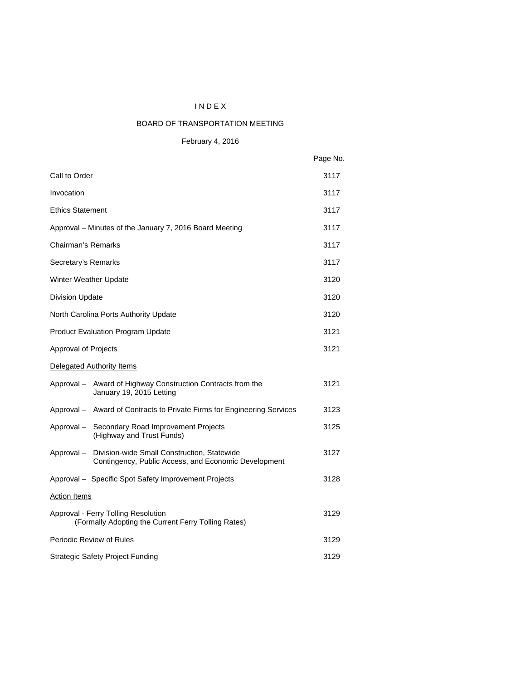# I N D E X

# BOARD OF TRANSPORTATION MEETING

February 4, 2016

|                                                                                                                   | Page No. |
|-------------------------------------------------------------------------------------------------------------------|----------|
| Call to Order                                                                                                     | 3117     |
| Invocation                                                                                                        | 3117     |
| <b>Ethics Statement</b>                                                                                           | 3117     |
| Approval – Minutes of the January 7, 2016 Board Meeting                                                           | 3117     |
| Chairman's Remarks                                                                                                | 3117     |
| Secretary's Remarks                                                                                               | 3117     |
| Winter Weather Update                                                                                             | 3120     |
| <b>Division Update</b>                                                                                            | 3120     |
| North Carolina Ports Authority Update                                                                             | 3120     |
| <b>Product Evaluation Program Update</b>                                                                          | 3121     |
| Approval of Projects                                                                                              | 3121     |
| Delegated Authority Items                                                                                         |          |
| Approval - Award of Highway Construction Contracts from the<br>January 19, 2015 Letting                           | 3121     |
| Approval - Award of Contracts to Private Firms for Engineering Services                                           | 3123     |
| Approval - Secondary Road Improvement Projects<br>(Highway and Trust Funds)                                       | 3125     |
| Division-wide Small Construction, Statewide<br>Approval –<br>Contingency, Public Access, and Economic Development | 3127     |
| Approval - Specific Spot Safety Improvement Projects                                                              | 3128     |
| <b>Action Items</b>                                                                                               |          |
| Approval - Ferry Tolling Resolution<br>(Formally Adopting the Current Ferry Tolling Rates)                        | 3129     |
| <b>Periodic Review of Rules</b>                                                                                   | 3129     |
| <b>Strategic Safety Project Funding</b>                                                                           | 3129     |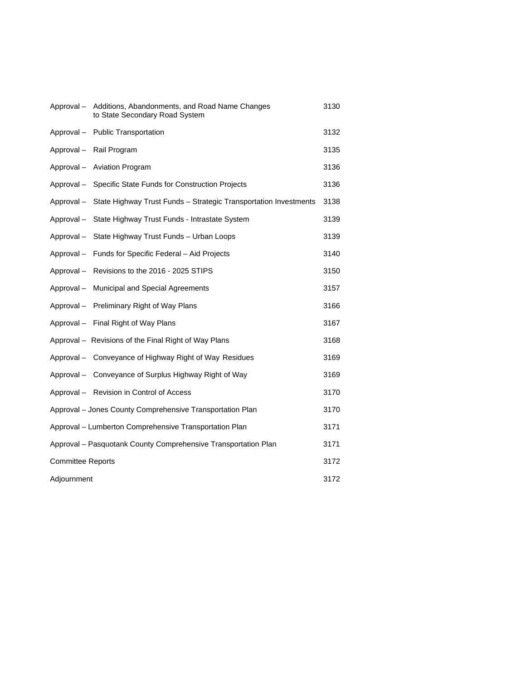| Approval-                | Additions, Abandonments, and Road Name Changes<br>to State Secondary Road System | 3130 |
|--------------------------|----------------------------------------------------------------------------------|------|
|                          | Approval - Public Transportation                                                 | 3132 |
|                          | Approval - Rail Program                                                          | 3135 |
|                          | Approval - Aviation Program                                                      | 3136 |
| Approval –               | Specific State Funds for Construction Projects                                   | 3136 |
|                          | Approval - State Highway Trust Funds - Strategic Transportation Investments      | 3138 |
| Approval-                | State Highway Trust Funds - Intrastate System                                    | 3139 |
| Approval –               | State Highway Trust Funds - Urban Loops                                          | 3139 |
|                          | Approval - Funds for Specific Federal - Aid Projects                             | 3140 |
|                          | Approval - Revisions to the 2016 - 2025 STIPS                                    | 3150 |
|                          | Approval - Municipal and Special Agreements                                      | 3157 |
|                          | Approval - Preliminary Right of Way Plans                                        | 3166 |
|                          | Approval - Final Right of Way Plans                                              | 3167 |
|                          | Approval - Revisions of the Final Right of Way Plans                             | 3168 |
|                          | Approval - Conveyance of Highway Right of Way Residues                           | 3169 |
|                          | Approval - Conveyance of Surplus Highway Right of Way                            | 3169 |
|                          | Approval - Revision in Control of Access                                         | 3170 |
|                          | Approval - Jones County Comprehensive Transportation Plan                        | 3170 |
|                          | Approval - Lumberton Comprehensive Transportation Plan                           | 3171 |
|                          | Approval - Pasquotank County Comprehensive Transportation Plan                   | 3171 |
| <b>Committee Reports</b> |                                                                                  | 3172 |
| Adjournment              |                                                                                  | 3172 |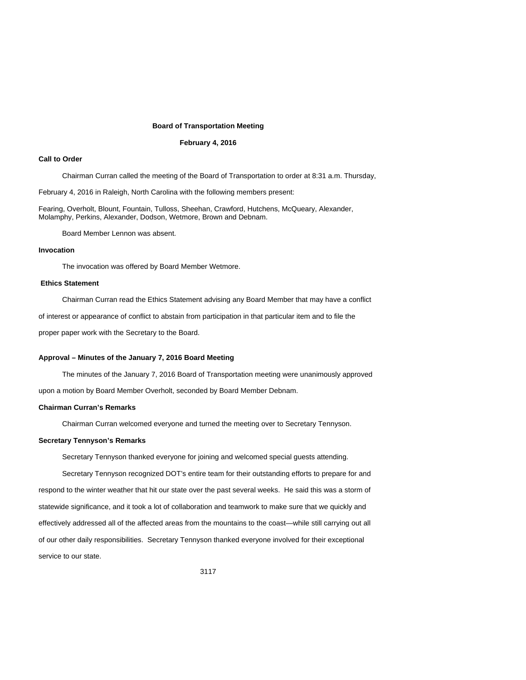#### **Board of Transportation Meeting**

#### **February 4, 2016**

## **Call to Order**

Chairman Curran called the meeting of the Board of Transportation to order at 8:31 a.m. Thursday,

February 4, 2016 in Raleigh, North Carolina with the following members present:

Fearing, Overholt, Blount, Fountain, Tulloss, Sheehan, Crawford, Hutchens, McQueary, Alexander, Molamphy, Perkins, Alexander, Dodson, Wetmore, Brown and Debnam.

Board Member Lennon was absent.

## **Invocation**

The invocation was offered by Board Member Wetmore.

## **Ethics Statement**

Chairman Curran read the Ethics Statement advising any Board Member that may have a conflict

of interest or appearance of conflict to abstain from participation in that particular item and to file the

proper paper work with the Secretary to the Board.

#### **Approval – Minutes of the January 7, 2016 Board Meeting**

The minutes of the January 7, 2016 Board of Transportation meeting were unanimously approved upon a motion by Board Member Overholt, seconded by Board Member Debnam.

# **Chairman Curran's Remarks**

Chairman Curran welcomed everyone and turned the meeting over to Secretary Tennyson.

### **Secretary Tennyson's Remarks**

Secretary Tennyson thanked everyone for joining and welcomed special guests attending.

Secretary Tennyson recognized DOT's entire team for their outstanding efforts to prepare for and respond to the winter weather that hit our state over the past several weeks. He said this was a storm of statewide significance, and it took a lot of collaboration and teamwork to make sure that we quickly and effectively addressed all of the affected areas from the mountains to the coast—while still carrying out all of our other daily responsibilities. Secretary Tennyson thanked everyone involved for their exceptional service to our state.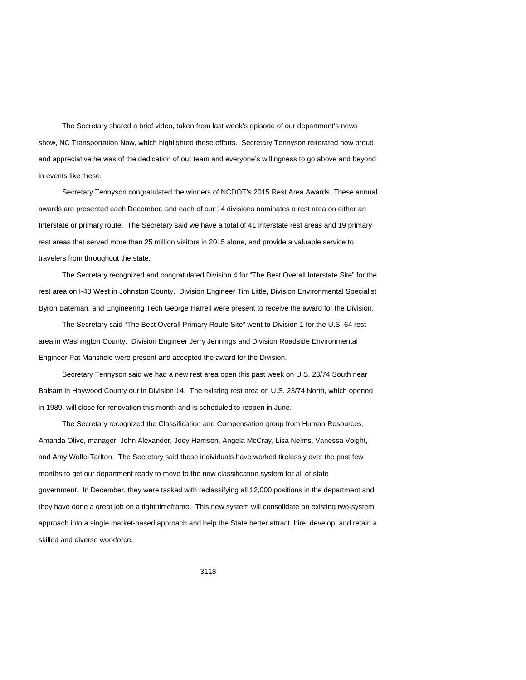The Secretary shared a brief video, taken from last week's episode of our department's news show, NC Transportation Now, which highlighted these efforts.Secretary Tennyson reiterated how proud and appreciative he was of the dedication of our team and everyone's willingness to go above and beyond in events like these.

Secretary Tennyson congratulated the winners of NCDOT's 2015 Rest Area Awards. These annual awards are presented each December, and each of our 14 divisions nominates a rest area on either an Interstate or primary route. The Secretary said we have a total of 41 Interstate rest areas and 19 primary rest areas that served more than 25 million visitors in 2015 alone, and provide a valuable service to travelers from throughout the state.

The Secretary recognized and congratulated Division 4 for "The Best Overall Interstate Site" for the rest area on I-40 West in Johnston County. Division Engineer Tim Little, Division Environmental Specialist Byron Bateman, and Engineering Tech George Harrell were present to receive the award for the Division.

The Secretary said "The Best Overall Primary Route Site" went to Division 1 for the U.S. 64 rest area in Washington County. Division Engineer Jerry Jennings and Division Roadside Environmental Engineer Pat Mansfield were present and accepted the award for the Division.

Secretary Tennyson said we had a new rest area open this past week on U.S. 23/74 South near Balsam in Haywood County out in Division 14. The existing rest area on U.S. 23/74 North, which opened in 1989, will close for renovation this month and is scheduled to reopen in June.

The Secretary recognized the Classification and Compensation group from Human Resources, Amanda Olive, manager, John Alexander, Joey Harrison, Angela McCray, Lisa Nelms, Vanessa Voight, and Amy Wolfe-Tarlton. The Secretary said these individuals have worked tirelessly over the past few months to get our department ready to move to the new classification system for all of state government. In December, they were tasked with reclassifying all 12,000 positions in the department and they have done a great job on a tight timeframe. This new system will consolidate an existing two-system approach into a single market-based approach and help the State better attract, hire, develop, and retain a skilled and diverse workforce.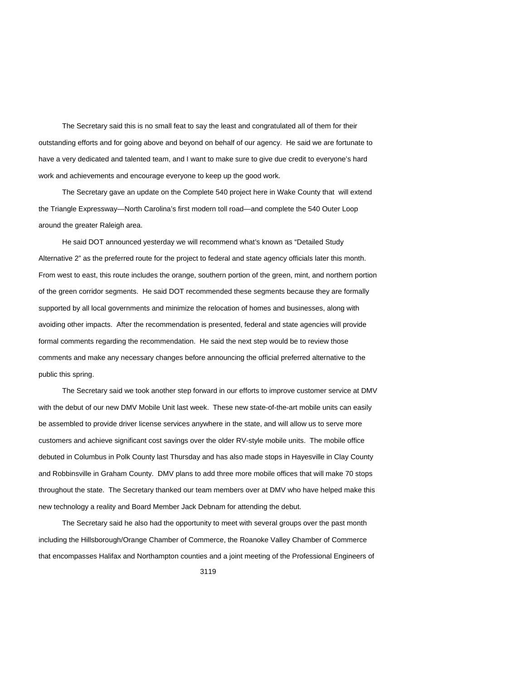The Secretary said this is no small feat to say the least and congratulated all of them for their outstanding efforts and for going above and beyond on behalf of our agency. He said we are fortunate to have a very dedicated and talented team, and I want to make sure to give due credit to everyone's hard work and achievements and encourage everyone to keep up the good work.

The Secretary gave an update on the Complete 540 project here in Wake County that will extend the Triangle Expressway—North Carolina's first modern toll road—and complete the 540 Outer Loop around the greater Raleigh area.

He said DOT announced yesterday we will recommend what's known as "Detailed Study Alternative 2" as the preferred route for the project to federal and state agency officials later this month. From west to east, this route includes the orange, southern portion of the green, mint, and northern portion of the green corridor segments. He said DOT recommended these segments because they are formally supported by all local governments and minimize the relocation of homes and businesses, along with avoiding other impacts. After the recommendation is presented, federal and state agencies will provide formal comments regarding the recommendation. He said the next step would be to review those comments and make any necessary changes before announcing the official preferred alternative to the public this spring.

The Secretary said we took another step forward in our efforts to improve customer service at DMV with the debut of our new DMV Mobile Unit last week. These new state-of-the-art mobile units can easily be assembled to provide driver license services anywhere in the state, and will allow us to serve more customers and achieve significant cost savings over the older RV-style mobile units. The mobile office debuted in Columbus in Polk County last Thursday and has also made stops in Hayesville in Clay County and Robbinsville in Graham County. DMV plans to add three more mobile offices that will make 70 stops throughout the state. The Secretary thanked our team members over at DMV who have helped make this new technology a reality and Board Member Jack Debnam for attending the debut.

The Secretary said he also had the opportunity to meet with several groups over the past month including the Hillsborough/Orange Chamber of Commerce, the Roanoke Valley Chamber of Commerce that encompasses Halifax and Northampton counties and a joint meeting of the Professional Engineers of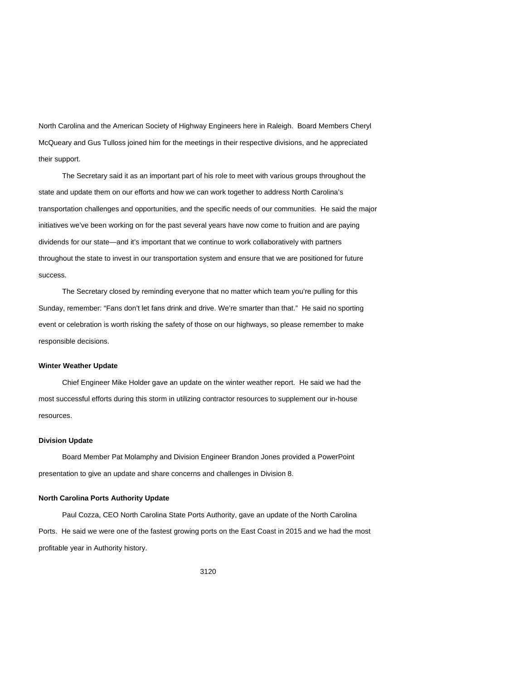North Carolina and the American Society of Highway Engineers here in Raleigh. Board Members Cheryl McQueary and Gus Tulloss joined him for the meetings in their respective divisions, and he appreciated their support.

The Secretary said it as an important part of his role to meet with various groups throughout the state and update them on our efforts and how we can work together to address North Carolina's transportation challenges and opportunities, and the specific needs of our communities. He said the major initiatives we've been working on for the past several years have now come to fruition and are paying dividends for our state—and it's important that we continue to work collaboratively with partners throughout the state to invest in our transportation system and ensure that we are positioned for future success.

The Secretary closed by reminding everyone that no matter which team you're pulling for this Sunday, remember: "Fans don't let fans drink and drive. We're smarter than that." He said no sporting event or celebration is worth risking the safety of those on our highways, so please remember to make responsible decisions.

#### **Winter Weather Update**

Chief Engineer Mike Holder gave an update on the winter weather report. He said we had the most successful efforts during this storm in utilizing contractor resources to supplement our in-house resources.

## **Division Update**

Board Member Pat Molamphy and Division Engineer Brandon Jones provided a PowerPoint presentation to give an update and share concerns and challenges in Division 8.

#### **North Carolina Ports Authority Update**

Paul Cozza, CEO North Carolina State Ports Authority, gave an update of the North Carolina Ports. He said we were one of the fastest growing ports on the East Coast in 2015 and we had the most profitable year in Authority history.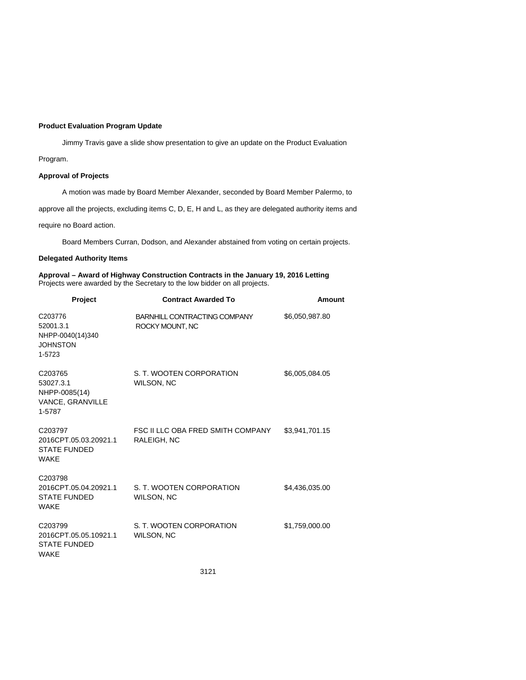### **Product Evaluation Program Update**

Jimmy Travis gave a slide show presentation to give an update on the Product Evaluation

Program.

## **Approval of Projects**

A motion was made by Board Member Alexander, seconded by Board Member Palermo, to

approve all the projects, excluding items C, D, E, H and L, as they are delegated authority items and

require no Board action.

Board Members Curran, Dodson, and Alexander abstained from voting on certain projects.

## **Delegated Authority Items**

**Approval – Award of Highway Construction Contracts in the January 19, 2016 Letting** Projects were awarded by the Secretary to the low bidder on all projects.

| Project                                                                            | <b>Contract Awarded To</b>                       | <b>Amount</b>  |
|------------------------------------------------------------------------------------|--------------------------------------------------|----------------|
| C <sub>203776</sub><br>52001.3.1<br>NHPP-0040(14)340<br><b>JOHNSTON</b><br>1-5723  | BARNHILL CONTRACTING COMPANY<br>ROCKY MOUNT, NC  | \$6,050,987.80 |
| C <sub>203765</sub><br>53027.3.1<br>NHPP-0085(14)<br>VANCE, GRANVILLE<br>1-5787    | S. T. WOOTEN CORPORATION<br>WILSON, NC           | \$6,005,084.05 |
| C203797<br>2016CPT.05.03.20921.1<br><b>STATE FUNDED</b><br><b>WAKE</b>             | FSC II LLC OBA FRED SMITH COMPANY<br>RALEIGH, NC | \$3,941,701.15 |
| C <sub>203798</sub><br>2016CPT.05.04.20921.1<br><b>STATE FUNDED</b><br><b>WAKE</b> | S. T. WOOTEN CORPORATION<br>WILSON, NC           | \$4,436,035.00 |
| C203799<br>2016CPT.05.05.10921.1<br><b>STATE FUNDED</b><br>WAKE                    | S. T. WOOTEN CORPORATION<br>WILSON, NC           | \$1,759,000.00 |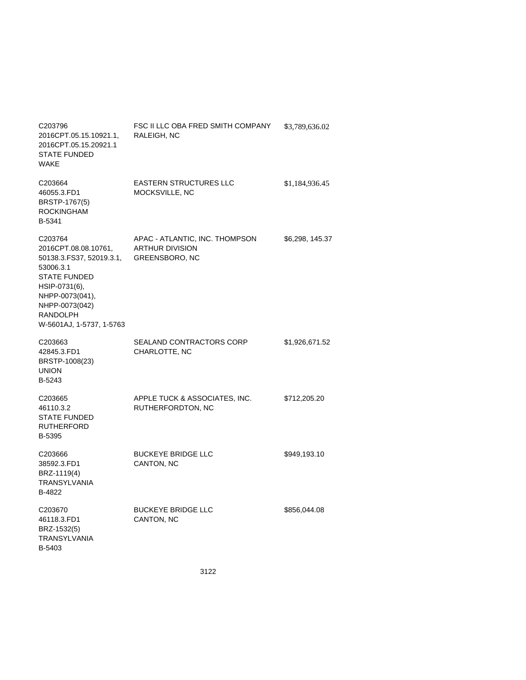| C <sub>203796</sub><br>2016CPT.05.15.10921.1,<br>2016CPT.05.15.20921.1<br><b>STATE FUNDED</b><br><b>WAKE</b>                                                                                  | FSC II LLC OBA FRED SMITH COMPANY<br>RALEIGH, NC                                  | \$3,789,636.02  |
|-----------------------------------------------------------------------------------------------------------------------------------------------------------------------------------------------|-----------------------------------------------------------------------------------|-----------------|
| C203664<br>46055.3.FD1<br>BRSTP-1767(5)<br><b>ROCKINGHAM</b><br>B-5341                                                                                                                        | <b>EASTERN STRUCTURES LLC</b><br>MOCKSVILLE, NC                                   | \$1,184,936.45  |
| C203764<br>2016CPT.08.08.10761,<br>50138.3.FS37, 52019.3.1,<br>53006.3.1<br><b>STATE FUNDED</b><br>HSIP-0731(6),<br>NHPP-0073(041),<br>NHPP-0073(042)<br>RANDOLPH<br>W-5601AJ, 1-5737, 1-5763 | APAC - ATLANTIC, INC. THOMPSON<br><b>ARTHUR DIVISION</b><br><b>GREENSBORO, NC</b> | \$6,298, 145.37 |
| C <sub>203663</sub><br>42845.3.FD1<br>BRSTP-1008(23)<br><b>UNION</b><br>B-5243                                                                                                                | SEALAND CONTRACTORS CORP<br>CHARLOTTE, NC                                         | \$1,926,671.52  |
| C <sub>203665</sub><br>46110.3.2<br><b>STATE FUNDED</b><br><b>RUTHERFORD</b><br>B-5395                                                                                                        | APPLE TUCK & ASSOCIATES, INC.<br>RUTHERFORDTON, NC                                | \$712,205.20    |
| C203666<br>38592.3.FD1<br>BRZ-1119(4)<br>TRANSYLVANIA<br>B-4822                                                                                                                               | <b>BUCKEYE BRIDGE LLC</b><br>CANTON, NC                                           | \$949,193.10    |
| C203670<br>46118.3.FD1<br>BRZ-1532(5)<br><b>TRANSYLVANIA</b><br>B-5403                                                                                                                        | <b>BUCKEYE BRIDGE LLC</b><br>CANTON, NC                                           | \$856,044.08    |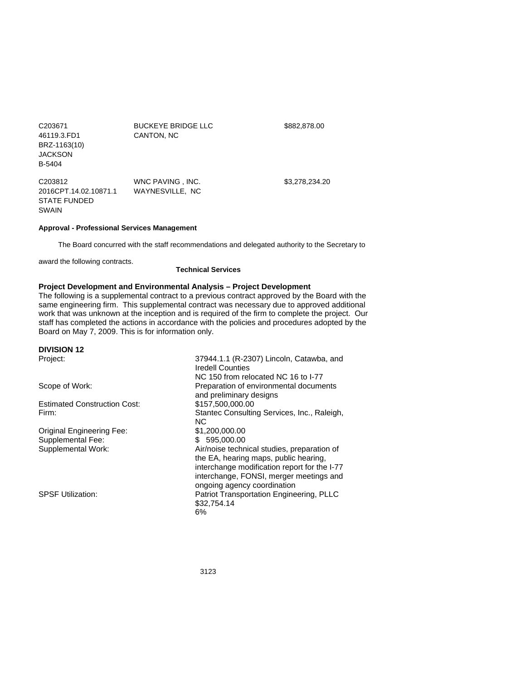| C203671<br>46119.3.FD1<br>BRZ-1163(10)<br><b>JACKSON</b><br>B-5404                  | <b>BUCKEYE BRIDGE LLC</b><br>CANTON, NC | \$882,878.00   |
|-------------------------------------------------------------------------------------|-----------------------------------------|----------------|
| C <sub>203812</sub><br>2016CPT.14.02.10871.1<br><b>STATE FUNDED</b><br><b>SWAIN</b> | WNC PAVING . INC.<br>WAYNESVILLE, NC    | \$3,278,234,20 |

# **Approval - Professional Services Management**

The Board concurred with the staff recommendations and delegated authority to the Secretary to

award the following contracts.

**Technical Services** 

# **Project Development and Environmental Analysis – Project Development**

The following is a supplemental contract to a previous contract approved by the Board with the same engineering firm. This supplemental contract was necessary due to approved additional work that was unknown at the inception and is required of the firm to complete the project. Our staff has completed the actions in accordance with the policies and procedures adopted by the Board on May 7, 2009. This is for information only.

# **DIVISION 12**

| Project:                            | 37944.1.1 (R-2307) Lincoln, Catawba, and<br><b>Iredell Counties</b>                                                    |
|-------------------------------------|------------------------------------------------------------------------------------------------------------------------|
|                                     | NC 150 from relocated NC 16 to I-77                                                                                    |
| Scope of Work:                      | Preparation of environmental documents<br>and preliminary designs                                                      |
| <b>Estimated Construction Cost:</b> | \$157,500,000.00                                                                                                       |
| Firm:                               | Stantec Consulting Services, Inc., Raleigh,                                                                            |
|                                     | NC.                                                                                                                    |
| <b>Original Engineering Fee:</b>    | \$1,200,000.00                                                                                                         |
| Supplemental Fee:                   | 595.000.00<br>S.                                                                                                       |
| Supplemental Work:                  | Air/noise technical studies, preparation of<br>the EA, hearing maps, public hearing,                                   |
|                                     | interchange modification report for the I-77<br>interchange, FONSI, merger meetings and<br>ongoing agency coordination |
| <b>SPSF Utilization:</b>            | <b>Patriot Transportation Engineering, PLLC</b><br>\$32,754.14<br>6%                                                   |
|                                     |                                                                                                                        |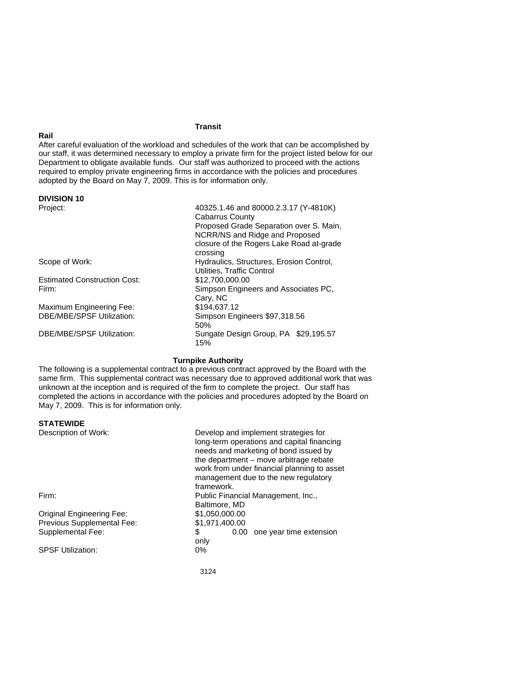## **Transit**

## After careful evaluation of the workload and schedules of the work that can be accomplished by our staff, it was determined necessary to employ a private firm for the project listed below for our Department to obligate available funds. Our staff was authorized to proceed with the actions required to employ private engineering firms in accordance with the policies and procedures adopted by the Board on May 7, 2009. This is for information only.

#### **DIVISION 10**

**Rail** 

| Project:                            | 40325.1.46 and 80000.2.3.17 (Y-4810K)<br>Cabarrus County<br>Proposed Grade Separation over S. Main,<br>NCRR/NS and Ridge and Proposed<br>closure of the Rogers Lake Road at-grade<br>crossing |  |
|-------------------------------------|-----------------------------------------------------------------------------------------------------------------------------------------------------------------------------------------------|--|
| Scope of Work:                      | Hydraulics, Structures, Erosion Control,<br>Utilities, Traffic Control                                                                                                                        |  |
| <b>Estimated Construction Cost:</b> | \$12,700,000,00                                                                                                                                                                               |  |
| Firm:                               | Simpson Engineers and Associates PC.                                                                                                                                                          |  |
|                                     | Cary, NC                                                                                                                                                                                      |  |
| Maximum Engineering Fee:            | \$194.637.12                                                                                                                                                                                  |  |
| DBE/MBE/SPSF Utilization:           | Simpson Engineers \$97,318.56<br>50%                                                                                                                                                          |  |
| DBE/MBE/SPSF Utilization:           | Sungate Design Group, PA \$29,195.57<br>15%                                                                                                                                                   |  |

# **Turnpike Authority**

The following is a supplemental contract to a previous contract approved by the Board with the same firm. This supplemental contract was necessary due to approved additional work that was unknown at the inception and is required of the firm to complete the project. Our staff has completed the actions in accordance with the policies and procedures adopted by the Board on May 7, 2009. This is for information only.

### **STATEWIDE**

| Description of Work:             | Develop and implement strategies for<br>long-term operations and capital financing<br>needs and marketing of bond issued by<br>the department – move arbitrage rebate<br>work from under financial planning to asset<br>management due to the new regulatory |  |
|----------------------------------|--------------------------------------------------------------------------------------------------------------------------------------------------------------------------------------------------------------------------------------------------------------|--|
|                                  | framework.                                                                                                                                                                                                                                                   |  |
| Firm:                            | Public Financial Management, Inc.,                                                                                                                                                                                                                           |  |
|                                  | Baltimore, MD                                                                                                                                                                                                                                                |  |
| <b>Original Engineering Fee:</b> | \$1,050,000.00                                                                                                                                                                                                                                               |  |
| Previous Supplemental Fee:       | \$1,971,400.00                                                                                                                                                                                                                                               |  |
| Supplemental Fee:                | \$<br>0.00 one year time extension                                                                                                                                                                                                                           |  |
|                                  | only                                                                                                                                                                                                                                                         |  |
| <b>SPSF Utilization:</b>         | 0%                                                                                                                                                                                                                                                           |  |
|                                  |                                                                                                                                                                                                                                                              |  |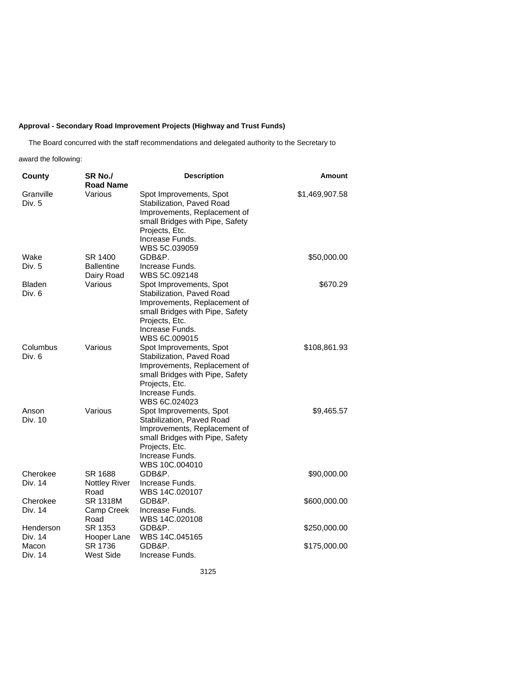# **Approval - Secondary Road Improvement Projects (Highway and Trust Funds)**

The Board concurred with the staff recommendations and delegated authority to the Secretary to

award the following:

| County                  | SR <sub>No.</sub> /<br><b>Road Name</b>    | <b>Description</b>                                                                                                                                                             | <b>Amount</b>  |
|-------------------------|--------------------------------------------|--------------------------------------------------------------------------------------------------------------------------------------------------------------------------------|----------------|
| Granville<br>Div. 5     | Various                                    | Spot Improvements, Spot<br>Stabilization, Paved Road<br>Improvements, Replacement of<br>small Bridges with Pipe, Safety<br>Projects, Etc.<br>Increase Funds.<br>WBS 5C.039059  | \$1,469,907.58 |
| Wake<br>Div. 5          | SR 1400<br><b>Ballentine</b><br>Dairy Road | GDB&P.<br>Increase Funds.<br>WBS 5C.092148                                                                                                                                     | \$50,000.00    |
| <b>Bladen</b><br>Div. 6 | Various                                    | Spot Improvements, Spot<br>Stabilization, Paved Road<br>Improvements, Replacement of<br>small Bridges with Pipe, Safety<br>Projects, Etc.<br>Increase Funds.<br>WBS 6C.009015  | \$670.29       |
| Columbus<br>Div. 6      | Various                                    | Spot Improvements, Spot<br>Stabilization, Paved Road<br>Improvements, Replacement of<br>small Bridges with Pipe, Safety<br>Projects, Etc.<br>Increase Funds.<br>WBS 6C.024023  | \$108,861.93   |
| Anson<br>Div. 10        | Various                                    | Spot Improvements, Spot<br>Stabilization, Paved Road<br>Improvements, Replacement of<br>small Bridges with Pipe, Safety<br>Projects, Etc.<br>Increase Funds.<br>WBS 10C,004010 | \$9,465.57     |
| Cherokee<br>Div. 14     | SR 1688<br><b>Nottley River</b><br>Road    | GDB&P.<br>Increase Funds.<br>WBS 14C.020107                                                                                                                                    | \$90,000.00    |
| Cherokee<br>Div. 14     | <b>SR 1318M</b><br>Camp Creek<br>Road      | GDB&P.<br>Increase Funds.<br>WBS 14C.020108                                                                                                                                    | \$600,000.00   |
| Henderson<br>Div. 14    | SR 1353<br>Hooper Lane                     | GDB&P.<br>WBS 14C.045165                                                                                                                                                       | \$250,000.00   |
| Macon<br>Div. 14        | SR 1736<br><b>West Side</b>                | GDB&P.<br>Increase Funds.                                                                                                                                                      | \$175,000.00   |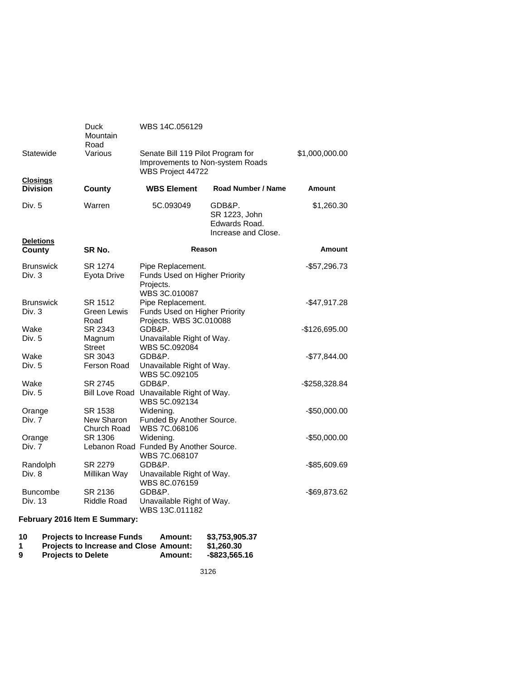|                                    | Duck<br>Mountain<br>Road             | WBS 14C.056129                                                                             |                                                                 |                |
|------------------------------------|--------------------------------------|--------------------------------------------------------------------------------------------|-----------------------------------------------------------------|----------------|
| Statewide                          | Various                              | Senate Bill 119 Pilot Program for<br>Improvements to Non-system Roads<br>WBS Project 44722 |                                                                 | \$1,000,000.00 |
| <b>Closings</b><br><b>Division</b> | County                               | <b>WBS Element</b>                                                                         | Road Number / Name                                              | Amount         |
| Div. 5<br><b>Deletions</b>         | Warren                               | 5C.093049                                                                                  | GDB&P.<br>SR 1223, John<br>Edwards Road.<br>Increase and Close. | \$1,260.30     |
| County                             | SR No.                               | <b>Reason</b>                                                                              |                                                                 | Amount         |
| <b>Brunswick</b><br>Div. 3         | SR 1274<br>Eyota Drive               | Pipe Replacement.<br>Funds Used on Higher Priority<br>Projects.<br>WBS 3C.010087           |                                                                 | -\$57,296.73   |
| <b>Brunswick</b><br>Div. 3         | SR 1512<br>Green Lewis<br>Road       | Pipe Replacement.<br>Funds Used on Higher Priority<br>Projects. WBS 3C.010088              |                                                                 | $-$47,917.28$  |
| Wake<br>Div. 5                     | SR 2343<br>Magnum<br>Street          | GDB&P.<br>Unavailable Right of Way.<br>WBS 5C.092084                                       |                                                                 | -\$126,695.00  |
| Wake<br>Div. 5                     | SR 3043<br>Ferson Road               | GDB&P.<br>Unavailable Right of Way.<br>WBS 5C.092105                                       |                                                                 | -\$77,844.00   |
| Wake<br>Div. 5                     | SR 2745                              | GDB&P.<br>Bill Love Road Unavailable Right of Way.<br>WBS 5C.092134                        |                                                                 | -\$258,328.84  |
| Orange<br>Div. 7                   | SR 1538<br>New Sharon<br>Church Road | Widening.<br>Funded By Another Source.<br>WBS 7C.068106                                    |                                                                 | $-$50,000.00$  |
| Orange                             | SR 1306                              | Widening.                                                                                  |                                                                 | $-$50,000.00$  |
| Div. 7                             |                                      | Lebanon Road Funded By Another Source.<br>WBS 7C.068107                                    |                                                                 |                |
| Randolph<br>Div. 8                 | SR 2279<br>Millikan Way              | GDB&P.<br>Unavailable Right of Way.<br>WBS 8C.076159                                       |                                                                 | -\$85,609.69   |
| <b>Buncombe</b><br>Div. 13         | SR 2136<br>Riddle Road               | GDB&P.<br>Unavailable Right of Way.<br>WBS 13C.011182                                      |                                                                 | -\$69,873.62   |
| February 2016 Item E Summary:      |                                      |                                                                                            |                                                                 |                |

| 10 | <b>Projects to Increase Funds</b>             | Amount: | \$3.753,905.37 |
|----|-----------------------------------------------|---------|----------------|
| -1 | <b>Projects to Increase and Close Amount:</b> |         | \$1.260.30     |
| 9  | <b>Projects to Delete</b>                     | Amount: | -\$823.565.16  |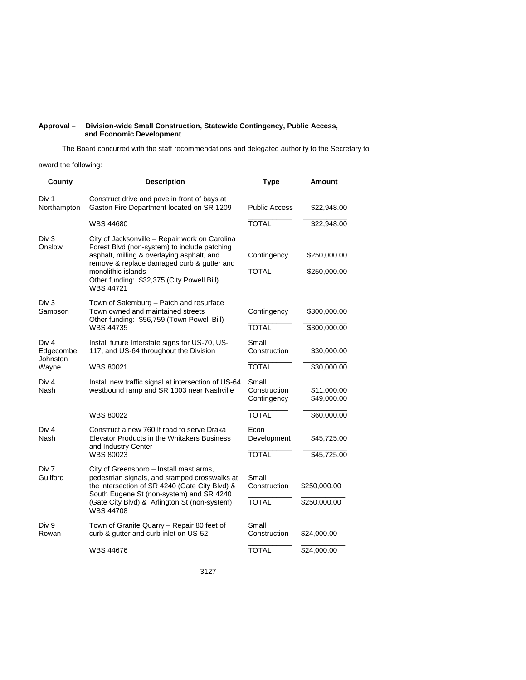#### **Approval – Division-wide Small Construction, Statewide Contingency, Public Access, and Economic Development**

The Board concurred with the staff recommendations and delegated authority to the Secretary to

award the following:

| County                         | <b>Description</b>                                                                                                                                                                                                                                                          | <b>Type</b>                          | Amount                       |
|--------------------------------|-----------------------------------------------------------------------------------------------------------------------------------------------------------------------------------------------------------------------------------------------------------------------------|--------------------------------------|------------------------------|
| Div 1<br>Northampton           | Construct drive and pave in front of bays at<br>Gaston Fire Department located on SR 1209                                                                                                                                                                                   | <b>Public Access</b>                 | \$22,948.00                  |
|                                | <b>WBS 44680</b>                                                                                                                                                                                                                                                            | <b>TOTAL</b>                         | \$22,948.00                  |
| Div 3<br>Onslow                | City of Jacksonville - Repair work on Carolina<br>Forest Blvd (non-system) to include patching<br>asphalt, milling & overlaying asphalt, and<br>remove & replace damaged curb & gutter and<br>monolithic islands<br>Other funding: \$32,375 (City Powell Bill)<br>WBS 44721 | Contingency<br><b>TOTAL</b>          | \$250,000.00<br>\$250,000.00 |
| Div <sub>3</sub><br>Sampson    | Town of Salemburg – Patch and resurface<br>Town owned and maintained streets<br>Other funding: \$56,759 (Town Powell Bill)<br><b>WBS 44735</b>                                                                                                                              | Contingency<br><b>TOTAL</b>          | \$300,000.00<br>\$300,000.00 |
| Div 4<br>Edgecombe<br>Johnston | Install future Interstate signs for US-70, US-<br>117, and US-64 throughout the Division                                                                                                                                                                                    | Small<br>Construction                | \$30,000.00                  |
| Wayne                          | WBS 80021                                                                                                                                                                                                                                                                   | <b>TOTAL</b>                         | \$30,000.00                  |
| Div <sub>4</sub><br>Nash       | Install new traffic signal at intersection of US-64<br>westbound ramp and SR 1003 near Nashville                                                                                                                                                                            | Small<br>Construction<br>Contingency | \$11,000.00<br>\$49,000.00   |
|                                | <b>WBS 80022</b>                                                                                                                                                                                                                                                            | <b>TOTAL</b>                         | \$60,000.00                  |
| Div <sub>4</sub><br>Nash       | Construct a new 760 If road to serve Draka<br>Elevator Products in the Whitakers Business<br>and Industry Center                                                                                                                                                            | Econ<br>Development                  | \$45,725.00                  |
|                                | <b>WBS 80023</b>                                                                                                                                                                                                                                                            | <b>TOTAL</b>                         | \$45,725.00                  |
| Div 7<br>Guilford              | City of Greensboro - Install mast arms,<br>pedestrian signals, and stamped crosswalks at<br>the intersection of SR 4240 (Gate City Blvd) &<br>South Eugene St (non-system) and SR 4240                                                                                      | Small<br>Construction                | \$250,000.00                 |
|                                | (Gate City Blvd) & Arlington St (non-system)<br><b>WBS 44708</b>                                                                                                                                                                                                            | <b>TOTAL</b>                         | \$250,000.00                 |
| Div 9<br>Rowan                 | Town of Granite Quarry - Repair 80 feet of<br>curb & gutter and curb inlet on US-52                                                                                                                                                                                         | Small<br>Construction                | \$24,000.00                  |
|                                | <b>WBS 44676</b>                                                                                                                                                                                                                                                            | TOTAL                                | \$24,000.00                  |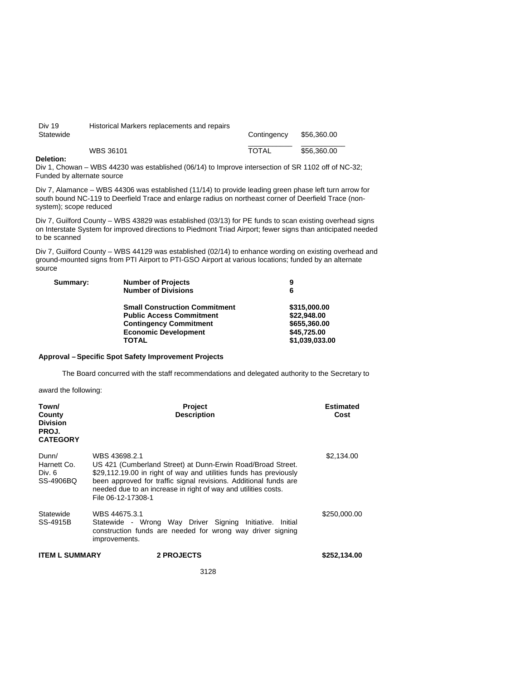| Div 19<br>Statewide | Historical Markers replacements and repairs | Contingency  | \$56,360.00 |
|---------------------|---------------------------------------------|--------------|-------------|
| _ _ _               | WBS 36101                                   | <b>TOTAL</b> | \$56,360,00 |

#### **Deletion:**

Div 1, Chowan – WBS 44230 was established (06/14) to Improve intersection of SR 1102 off of NC-32; Funded by alternate source

Div 7, Alamance – WBS 44306 was established (11/14) to provide leading green phase left turn arrow for south bound NC-119 to Deerfield Trace and enlarge radius on northeast corner of Deerfield Trace (nonsystem); scope reduced

Div 7, Guilford County – WBS 43829 was established (03/13) for PE funds to scan existing overhead signs on Interstate System for improved directions to Piedmont Triad Airport; fewer signs than anticipated needed to be scanned

Div 7, Guilford County – WBS 44129 was established (02/14) to enhance wording on existing overhead and ground-mounted signs from PTI Airport to PTI-GSO Airport at various locations; funded by an alternate source

| <b>Number of Projects</b>            | 9              |
|--------------------------------------|----------------|
| <b>Number of Divisions</b>           | 6              |
| <b>Small Construction Commitment</b> | \$315,000.00   |
| <b>Public Access Commitment</b>      | \$22,948,00    |
| <b>Contingency Commitment</b>        | \$655,360.00   |
| <b>Economic Development</b>          | \$45,725.00    |
| TOTAL                                | \$1,039,033.00 |
|                                      |                |

## **Approval – Specific Spot Safety Improvement Projects**

The Board concurred with the staff recommendations and delegated authority to the Secretary to

award the following:

| Town/<br>County<br><b>Division</b><br>PROJ.<br><b>CATEGORY</b> | Project<br><b>Description</b>                                                                                                                                                                                                                                                                                 | <b>Estimated</b><br>Cost |
|----------------------------------------------------------------|---------------------------------------------------------------------------------------------------------------------------------------------------------------------------------------------------------------------------------------------------------------------------------------------------------------|--------------------------|
| Dunn/<br>Harnett Co.<br>Div. 6<br>SS-4906BQ                    | WBS 43698.2.1<br>US 421 (Cumberland Street) at Dunn-Erwin Road/Broad Street.<br>\$29,112.19.00 in right of way and utilities funds has previously<br>been approved for traffic signal revisions. Additional funds are<br>needed due to an increase in right of way and utilities costs.<br>File 06-12-17308-1 | \$2,134.00               |
| Statewide<br>SS-4915B                                          | WBS 44675.3.1<br>Statewide - Wrong Way Driver Signing Initiative. Initial<br>construction funds are needed for wrong way driver signing<br>improvements.                                                                                                                                                      | \$250,000.00             |
| <b>ITEM L SUMMARY</b>                                          | 2 PROJECTS                                                                                                                                                                                                                                                                                                    | \$252,134.00             |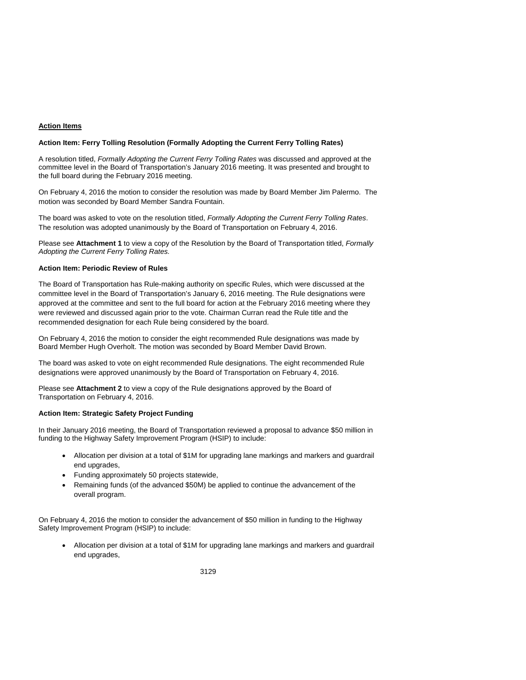## **Action Items**

#### **Action Item: Ferry Tolling Resolution (Formally Adopting the Current Ferry Tolling Rates)**

A resolution titled, *Formally Adopting the Current Ferry Tolling Rates* was discussed and approved at the committee level in the Board of Transportation's January 2016 meeting. It was presented and brought to the full board during the February 2016 meeting.

On February 4, 2016 the motion to consider the resolution was made by Board Member Jim Palermo. The motion was seconded by Board Member Sandra Fountain.

The board was asked to vote on the resolution titled, *Formally Adopting the Current Ferry Tolling Rates*. The resolution was adopted unanimously by the Board of Transportation on February 4, 2016.

Please see **Attachment 1** to view a copy of the Resolution by the Board of Transportation titled, *Formally Adopting the Current Ferry Tolling Rates.* 

## **Action Item: Periodic Review of Rules**

The Board of Transportation has Rule-making authority on specific Rules, which were discussed at the committee level in the Board of Transportation's January 6, 2016 meeting. The Rule designations were approved at the committee and sent to the full board for action at the February 2016 meeting where they were reviewed and discussed again prior to the vote. Chairman Curran read the Rule title and the recommended designation for each Rule being considered by the board.

On February 4, 2016 the motion to consider the eight recommended Rule designations was made by Board Member Hugh Overholt. The motion was seconded by Board Member David Brown.

The board was asked to vote on eight recommended Rule designations. The eight recommended Rule designations were approved unanimously by the Board of Transportation on February 4, 2016.

Please see **Attachment 2** to view a copy of the Rule designations approved by the Board of Transportation on February 4, 2016.

### **Action Item: Strategic Safety Project Funding**

In their January 2016 meeting, the Board of Transportation reviewed a proposal to advance \$50 million in funding to the Highway Safety Improvement Program (HSIP) to include:

- Allocation per division at a total of \$1M for upgrading lane markings and markers and guardrail end upgrades,
- Funding approximately 50 projects statewide,
- Remaining funds (of the advanced \$50M) be applied to continue the advancement of the overall program.

On February 4, 2016 the motion to consider the advancement of \$50 million in funding to the Highway Safety Improvement Program (HSIP) to include:

 Allocation per division at a total of \$1M for upgrading lane markings and markers and guardrail end upgrades,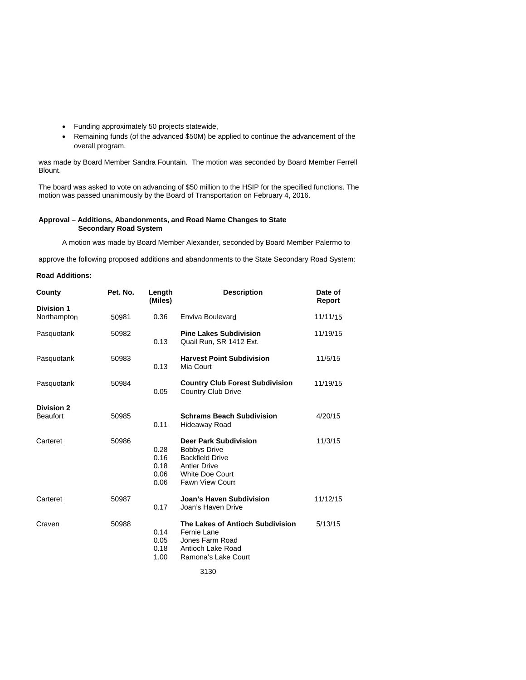- Funding approximately 50 projects statewide,
- Remaining funds (of the advanced \$50M) be applied to continue the advancement of the overall program.

was made by Board Member Sandra Fountain. The motion was seconded by Board Member Ferrell Blount.

The board was asked to vote on advancing of \$50 million to the HSIP for the specified functions. The motion was passed unanimously by the Board of Transportation on February 4, 2016.

#### **Approval – Additions, Abandonments, and Road Name Changes to State Secondary Road System**

A motion was made by Board Member Alexander, seconded by Board Member Palermo to

approve the following proposed additions and abandonments to the State Secondary Road System:

## **Road Additions:**

| County                               | Pet. No. | Length<br>(Miles)                    | <b>Description</b>                                                                                                                                | Date of<br>Report |
|--------------------------------------|----------|--------------------------------------|---------------------------------------------------------------------------------------------------------------------------------------------------|-------------------|
| <b>Division 1</b><br>Northampton     | 50981    | 0.36                                 | Enviva Boulevard                                                                                                                                  | 11/11/15          |
| Pasquotank                           | 50982    | 0.13                                 | <b>Pine Lakes Subdivision</b><br>Quail Run, SR 1412 Ext.                                                                                          | 11/19/15          |
| Pasquotank                           | 50983    | 0.13                                 | <b>Harvest Point Subdivision</b><br>Mia Court                                                                                                     | 11/5/15           |
| Pasquotank                           | 50984    | 0.05                                 | <b>Country Club Forest Subdivision</b><br><b>Country Club Drive</b>                                                                               | 11/19/15          |
| <b>Division 2</b><br><b>Beaufort</b> | 50985    | 0.11                                 | <b>Schrams Beach Subdivision</b><br>Hideaway Road                                                                                                 | 4/20/15           |
| Carteret                             | 50986    | 0.28<br>0.16<br>0.18<br>0.06<br>0.06 | <b>Deer Park Subdivision</b><br><b>Bobbys Drive</b><br><b>Backfield Drive</b><br><b>Antler Drive</b><br>White Doe Court<br><b>Fawn View Court</b> | 11/3/15           |
| Carteret                             | 50987    | 0.17                                 | Joan's Haven Subdivision<br>Joan's Haven Drive                                                                                                    | 11/12/15          |
| Craven                               | 50988    | 0.14<br>0.05<br>0.18<br>1.00         | The Lakes of Antioch Subdivision<br>Fernie Lane<br>Jones Farm Road<br>Antioch Lake Road<br>Ramona's Lake Court                                    | 5/13/15           |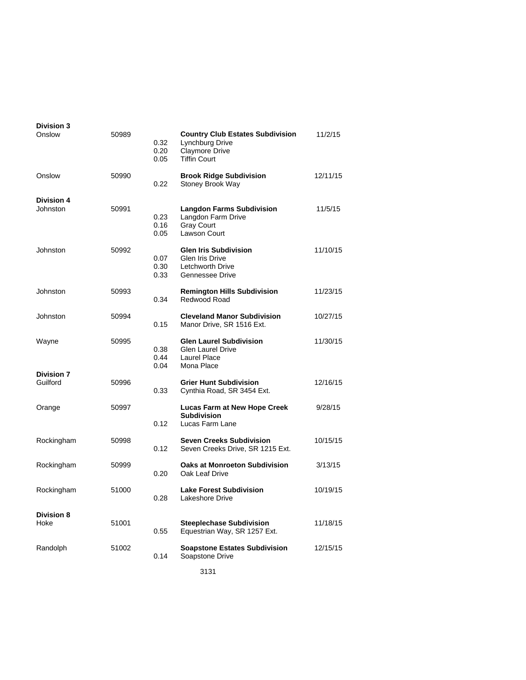| <b>Division 3</b><br>Onslow   | 50989 | 0.32<br>0.20<br>0.05 | <b>Country Club Estates Subdivision</b><br>Lynchburg Drive<br><b>Claymore Drive</b><br><b>Tiffin Court</b> | 11/2/15  |
|-------------------------------|-------|----------------------|------------------------------------------------------------------------------------------------------------|----------|
| Onslow                        | 50990 | 0.22                 | <b>Brook Ridge Subdivision</b><br>Stoney Brook Way                                                         | 12/11/15 |
| <b>Division 4</b><br>Johnston | 50991 | 0.23<br>0.16<br>0.05 | <b>Langdon Farms Subdivision</b><br>Langdon Farm Drive<br><b>Gray Court</b><br><b>Lawson Court</b>         | 11/5/15  |
| Johnston                      | 50992 | 0.07<br>0.30<br>0.33 | <b>Glen Iris Subdivision</b><br>Glen Iris Drive<br>Letchworth Drive<br>Gennessee Drive                     | 11/10/15 |
| Johnston                      | 50993 | 0.34                 | <b>Remington Hills Subdivision</b><br>Redwood Road                                                         | 11/23/15 |
| Johnston                      | 50994 | 0.15                 | <b>Cleveland Manor Subdivision</b><br>Manor Drive, SR 1516 Ext.                                            | 10/27/15 |
| Wayne                         | 50995 | 0.38<br>0.44<br>0.04 | <b>Glen Laurel Subdivision</b><br><b>Glen Laurel Drive</b><br>Laurel Place<br>Mona Place                   | 11/30/15 |
| <b>Division 7</b><br>Guilford | 50996 | 0.33                 | <b>Grier Hunt Subdivision</b><br>Cynthia Road, SR 3454 Ext.                                                | 12/16/15 |
| Orange                        | 50997 | 0.12                 | <b>Lucas Farm at New Hope Creek</b><br><b>Subdivision</b><br>Lucas Farm Lane                               | 9/28/15  |
| Rockingham                    | 50998 | 0.12                 | <b>Seven Creeks Subdivision</b><br>Seven Creeks Drive, SR 1215 Ext.                                        | 10/15/15 |
| Rockingham                    | 50999 | 0.20                 | <b>Oaks at Monroeton Subdivision</b><br>Oak Leaf Drive                                                     | 3/13/15  |
| Rockingham                    | 51000 | 0.28                 | <b>Lake Forest Subdivision</b><br>Lakeshore Drive                                                          | 10/19/15 |
| <b>Division 8</b><br>Hoke     | 51001 | 0.55                 | <b>Steeplechase Subdivision</b><br>Equestrian Way, SR 1257 Ext.                                            | 11/18/15 |
| Randolph                      | 51002 | 0.14                 | <b>Soapstone Estates Subdivision</b><br>Soapstone Drive                                                    | 12/15/15 |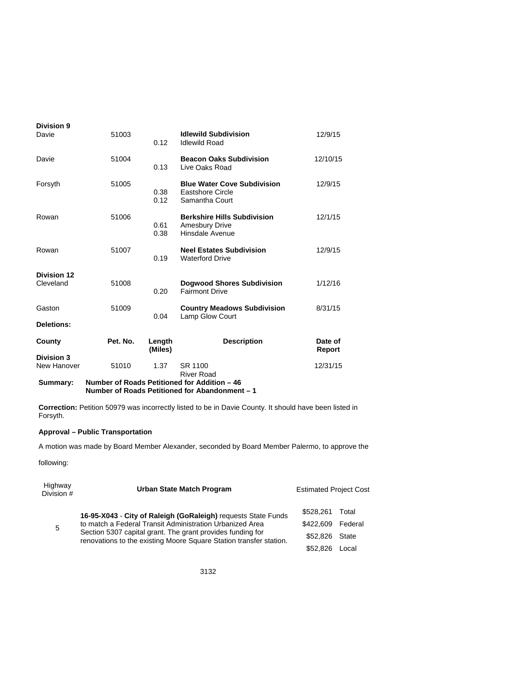| <b>Division 9</b><br>Davie      | 51003    | 0.12              | <b>Idlewild Subdivision</b><br><b>Idlewild Road</b>                                            | 12/9/15           |
|---------------------------------|----------|-------------------|------------------------------------------------------------------------------------------------|-------------------|
| Davie                           | 51004    | 0.13              | <b>Beacon Oaks Subdivision</b><br>Live Oaks Road                                               | 12/10/15          |
| Forsyth                         | 51005    | 0.38<br>0.12      | <b>Blue Water Cove Subdivision</b><br><b>Eastshore Circle</b><br>Samantha Court                | 12/9/15           |
| Rowan                           | 51006    | 0.61<br>0.38      | <b>Berkshire Hills Subdivision</b><br><b>Amesbury Drive</b><br>Hinsdale Avenue                 | 12/1/15           |
| Rowan                           | 51007    | 0.19              | <b>Neel Estates Subdivision</b><br><b>Waterford Drive</b>                                      | 12/9/15           |
| <b>Division 12</b><br>Cleveland | 51008    | 0.20              | <b>Dogwood Shores Subdivision</b><br><b>Fairmont Drive</b>                                     | 1/12/16           |
| Gaston                          | 51009    | 0.04              | <b>Country Meadows Subdivision</b><br>Lamp Glow Court                                          | 8/31/15           |
| Deletions:                      |          |                   |                                                                                                |                   |
| County                          | Pet. No. | Length<br>(Miles) | <b>Description</b>                                                                             | Date of<br>Report |
| Division 3<br>New Hanover       | 51010    | 1.37              | SR 1100<br><b>River Road</b>                                                                   | 12/31/15          |
| Summary:                        |          |                   | Number of Roads Petitioned for Addition - 46<br>Number of Roads Petitioned for Abandonment - 1 |                   |

**Correction:** Petition 50979 was incorrectly listed to be in Davie County. It should have been listed in Forsyth.

# **Approval – Public Transportation**

A motion was made by Board Member Alexander, seconded by Board Member Palermo, to approve the

following:

| Highway<br>Division # | Urban State Match Program                                                                                                                                                                    | <b>Estimated Project Cost</b> |         |
|-----------------------|----------------------------------------------------------------------------------------------------------------------------------------------------------------------------------------------|-------------------------------|---------|
|                       | 16-95-X043 - City of Raleigh (GoRaleigh) requests State Funds                                                                                                                                | \$528.261                     | Total   |
| 5                     | to match a Federal Transit Administration Urbanized Area<br>Section 5307 capital grant. The grant provides funding for<br>renovations to the existing Moore Square Station transfer station. | \$422,609                     | Federal |
|                       |                                                                                                                                                                                              | \$52.826                      | State   |
|                       |                                                                                                                                                                                              | \$52.826                      | Local.  |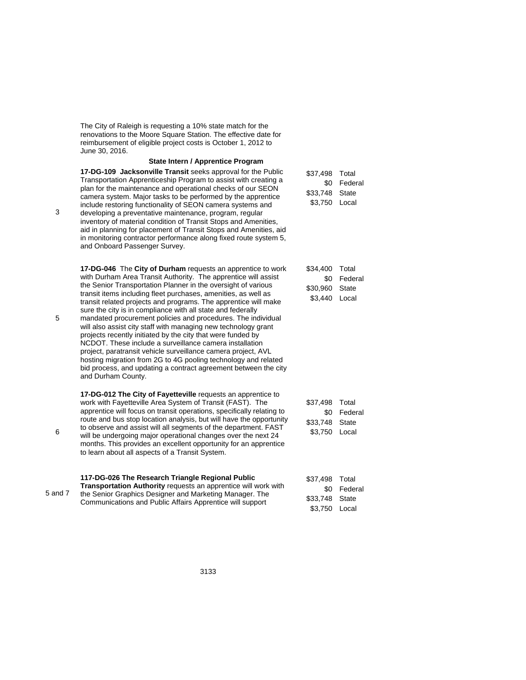The City of Raleigh is requesting a 10% state match for the renovations to the Moore Square Station. The effective date for reimbursement of eligible project costs is October 1, 2012 to June 30, 2016.

#### **State Intern / Apprentice Program**

**17-DG-109 Jacksonville Transit** seeks approval for the Public Transportation Apprenticeship Program to assist with creating a plan for the maintenance and operational checks of our SEON camera system. Major tasks to be performed by the apprentice include restoring functionality of SEON camera systems and developing a preventative maintenance, program, regular inventory of material condition of Transit Stops and Amenities, aid in planning for placement of Transit Stops and Amenities, aid in monitoring contractor performance along fixed route system 5, and Onboard Passenger Survey.

**17-DG-046** The **City of Durham** requests an apprentice to work with Durham Area Transit Authority. The apprentice will assist the Senior Transportation Planner in the oversight of various transit items including fleet purchases, amenities, as well as transit related projects and programs. The apprentice will make sure the city is in compliance with all state and federally mandated procurement policies and procedures. The individual will also assist city staff with managing new technology grant projects recently initiated by the city that were funded by NCDOT. These include a surveillance camera installation project, paratransit vehicle surveillance camera project, AVL hosting migration from 2G to 4G pooling technology and related bid process, and updating a contract agreement between the city and Durham County.

**17-DG-012 The City of Fayetteville** requests an apprentice to work with Fayetteville Area System of Transit (FAST). The apprentice will focus on transit operations, specifically relating to route and bus stop location analysis, but will have the opportunity to observe and assist will all segments of the department. FAST will be undergoing major operational changes over the next 24 months. This provides an excellent opportunity for an apprentice to learn about all aspects of a Transit System.

|         | 117-DG-026 The Research Triangle Regional Public                                                                                                                                              | \$37.498       | Total   |
|---------|-----------------------------------------------------------------------------------------------------------------------------------------------------------------------------------------------|----------------|---------|
| 5 and 7 | <b>Transportation Authority requests an apprentice will work with</b><br>the Senior Graphics Designer and Marketing Manager. The<br>Communications and Public Affairs Apprentice will support | .SO            | Federal |
|         |                                                                                                                                                                                               | \$33,748 State |         |
|         |                                                                                                                                                                                               | \$3.750        | Local   |

| Total   |
|---------|
| Federal |
| State   |
| Local   |
|         |

| \$34,400 | Total   |
|----------|---------|
| \$0      | Federal |
| \$30.960 | State   |
| \$3.440  | Local   |

\$37,498 Total \$0 Federal \$33,748 State \$3,750 Local

5

3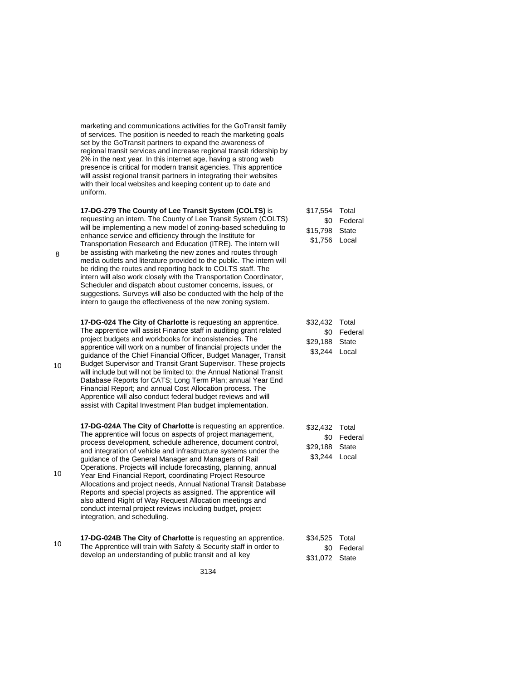marketing and communications activities for the GoTransit family of services. The position is needed to reach the marketing goals set by the GoTransit partners to expand the awareness of regional transit services and increase regional transit ridership by 2% in the next year. In this internet age, having a strong web presence is critical for modern transit agencies. This apprentice will assist regional transit partners in integrating their websites with their local websites and keeping content up to date and uniform.

**17-DG-279 The County of Lee Transit System (COLTS)** is requesting an intern. The County of Lee Transit System (COLTS) will be implementing a new model of zoning-based scheduling to enhance service and efficiency through the Institute for Transportation Research and Education (ITRE). The intern will be assisting with marketing the new zones and routes through media outlets and literature provided to the public. The intern will be riding the routes and reporting back to COLTS staff. The intern will also work closely with the Transportation Coordinator, Scheduler and dispatch about customer concerns, issues, or suggestions. Surveys will also be conducted with the help of the intern to gauge the effectiveness of the new zoning system.

**17-DG-024 The City of Charlotte** is requesting an apprentice. The apprentice will assist Finance staff in auditing grant related project budgets and workbooks for inconsistencies. The apprentice will work on a number of financial projects under the guidance of the Chief Financial Officer, Budget Manager, Transit Budget Supervisor and Transit Grant Supervisor. These projects will include but will not be limited to: the Annual National Transit Database Reports for CATS; Long Term Plan; annual Year End Financial Report; and annual Cost Allocation process. The Apprentice will also conduct federal budget reviews and will assist with Capital Investment Plan budget implementation.

**17-DG-024A The City of Charlotte** is requesting an apprentice. The apprentice will focus on aspects of project management, process development, schedule adherence, document control, and integration of vehicle and infrastructure systems under the guidance of the General Manager and Managers of Rail Operations. Projects will include forecasting, planning, annual Year End Financial Report, coordinating Project Resource Allocations and project needs, Annual National Transit Database Reports and special projects as assigned. The apprentice will also attend Right of Way Request Allocation meetings and conduct internal project reviews including budget, project integration, and scheduling.

**17-DG-024B The City of Charlotte** is requesting an apprentice.<br>10 The Apprentice will train with Sofoty & Security staff in order to The Apprentice will train with Safety & Security staff in order to develop an understanding of public transit and all key

3134

| \$17,554 | Total   |
|----------|---------|
| \$0      | Federal |
| \$15.798 | State   |
| \$1.756  | Local   |

| \$32,432 | Total   |
|----------|---------|
| \$0      | Federal |
| \$29.188 | State   |
| \$3,244  | Local   |

| \$32.432 | Total   |
|----------|---------|
| \$0      | Federal |
| \$29.188 | State   |
| \$3.244  | Local   |

| \$34,525 Total |             |
|----------------|-------------|
|                | \$0 Federal |
| \$31,072 State |             |

10

10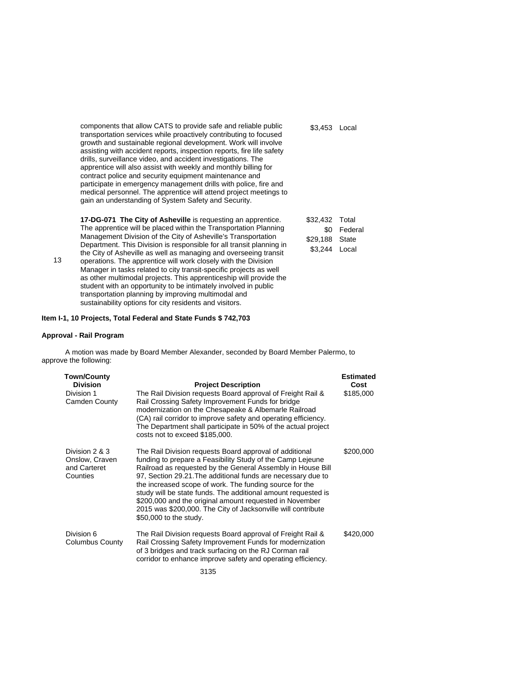components that allow CATS to provide safe and reliable public transportation services while proactively contributing to focused growth and sustainable regional development. Work will involve assisting with accident reports, inspection reports, fire life safety drills, surveillance video, and accident investigations. The apprentice will also assist with weekly and monthly billing for contract police and security equipment maintenance and participate in emergency management drills with police, fire and medical personnel. The apprentice will attend project meetings to gain an understanding of System Safety and Security. \$3,453 Local

**17-DG-071 The City of Asheville** is requesting an apprentice. The apprentice will be placed within the Transportation Planning Management Division of the City of Asheville's Transportation Department. This Division is responsible for all transit planning in the City of Asheville as well as managing and overseeing transit operations. The apprentice will work closely with the Division Manager in tasks related to city transit-specific projects as well as other multimodal projects. This apprenticeship will provide the student with an opportunity to be intimately involved in public transportation planning by improving multimodal and sustainability options for city residents and visitors.

| \$32,432 | Total   |
|----------|---------|
| \$0      | Federal |
| \$29.188 | State   |
| \$3.244  | Local   |

**Item I-1, 10 Projects, Total Federal and State Funds \$ 742,703** 

#### **Approval - Rail Program**

13

A motion was made by Board Member Alexander, seconded by Board Member Palermo, to approve the following:

| <b>Project Description</b>                                                                                                                                                                                                                                                                                                                                                                                                                                                                                                            | <b>Estimated</b><br>Cost |
|---------------------------------------------------------------------------------------------------------------------------------------------------------------------------------------------------------------------------------------------------------------------------------------------------------------------------------------------------------------------------------------------------------------------------------------------------------------------------------------------------------------------------------------|--------------------------|
| The Rail Division requests Board approval of Freight Rail &<br>Rail Crossing Safety Improvement Funds for bridge<br>modernization on the Chesapeake & Albemarle Railroad<br>(CA) rail corridor to improve safety and operating efficiency.<br>The Department shall participate in 50% of the actual project<br>costs not to exceed \$185,000.                                                                                                                                                                                         | \$185,000                |
| The Rail Division requests Board approval of additional<br>funding to prepare a Feasibility Study of the Camp Lejeune<br>Railroad as requested by the General Assembly in House Bill<br>97, Section 29.21. The additional funds are necessary due to<br>the increased scope of work. The funding source for the<br>study will be state funds. The additional amount requested is<br>\$200,000 and the original amount requested in November<br>2015 was \$200,000. The City of Jacksonville will contribute<br>\$50,000 to the study. | \$200,000                |
| The Rail Division requests Board approval of Freight Rail &<br>Rail Crossing Safety Improvement Funds for modernization<br>of 3 bridges and track surfacing on the RJ Corman rail<br>corridor to enhance improve safety and operating efficiency.                                                                                                                                                                                                                                                                                     | \$420,000                |
|                                                                                                                                                                                                                                                                                                                                                                                                                                                                                                                                       |                          |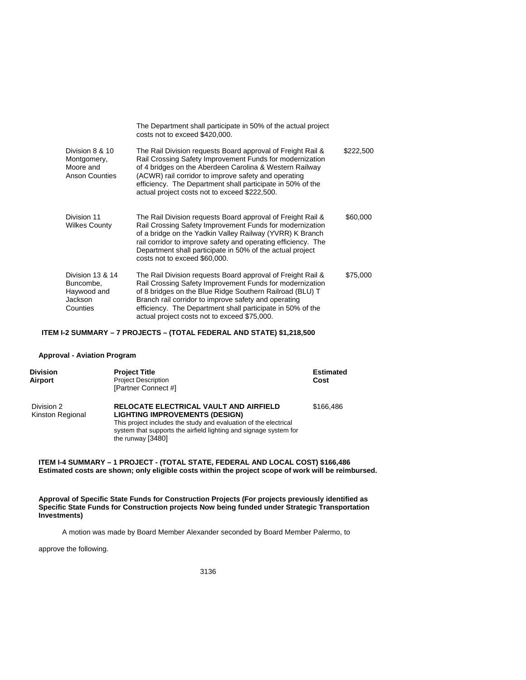|                                                                      | The Department shall participate in 50% of the actual project<br>costs not to exceed \$420,000.                                                                                                                                                                                                                                                           |           |
|----------------------------------------------------------------------|-----------------------------------------------------------------------------------------------------------------------------------------------------------------------------------------------------------------------------------------------------------------------------------------------------------------------------------------------------------|-----------|
| Division 8 & 10<br>Montgomery,<br>Moore and<br><b>Anson Counties</b> | The Rail Division requests Board approval of Freight Rail &<br>Rail Crossing Safety Improvement Funds for modernization<br>of 4 bridges on the Aberdeen Carolina & Western Railway<br>(ACWR) rail corridor to improve safety and operating<br>efficiency. The Department shall participate in 50% of the<br>actual project costs not to exceed \$222,500. | \$222,500 |
| Division 11<br><b>Wilkes County</b>                                  | The Rail Division requests Board approval of Freight Rail &<br>Rail Crossing Safety Improvement Funds for modernization<br>of a bridge on the Yadkin Valley Railway (YVRR) K Branch<br>rail corridor to improve safety and operating efficiency. The<br>Department shall participate in 50% of the actual project<br>costs not to exceed \$60,000.        | \$60,000  |
| Division 13 & 14<br>Buncombe.<br>Haywood and<br>Jackson<br>Counties  | The Rail Division requests Board approval of Freight Rail &<br>Rail Crossing Safety Improvement Funds for modernization<br>of 8 bridges on the Blue Ridge Southern Railroad (BLU) T<br>Branch rail corridor to improve safety and operating<br>efficiency. The Department shall participate in 50% of the<br>actual project costs not to exceed \$75,000. | \$75,000  |

# **ITEM I-2 SUMMARY – 7 PROJECTS – (TOTAL FEDERAL AND STATE) \$1,218,500**

#### **Approval - Aviation Program**

| <b>Division</b><br>Airport     | <b>Project Title</b><br><b>Project Description</b><br>[Partner Connect #]                                                                                                                                                                     | <b>Estimated</b><br>Cost |
|--------------------------------|-----------------------------------------------------------------------------------------------------------------------------------------------------------------------------------------------------------------------------------------------|--------------------------|
| Division 2<br>Kinston Regional | RELOCATE ELECTRICAL VAULT AND AIRFIELD<br><b>LIGHTING IMPROVEMENTS (DESIGN)</b><br>This project includes the study and evaluation of the electrical<br>system that supports the airfield lighting and signage system for<br>the runway [3480] | \$166.486                |

## **ITEM I-4 SUMMARY – 1 PROJECT - (TOTAL STATE, FEDERAL AND LOCAL COST) \$166,486 Estimated costs are shown; only eligible costs within the project scope of work will be reimbursed.**

**Approval of Specific State Funds for Construction Projects (For projects previously identified as Specific State Funds for Construction projects Now being funded under Strategic Transportation Investments)** 

A motion was made by Board Member Alexander seconded by Board Member Palermo, to

approve the following.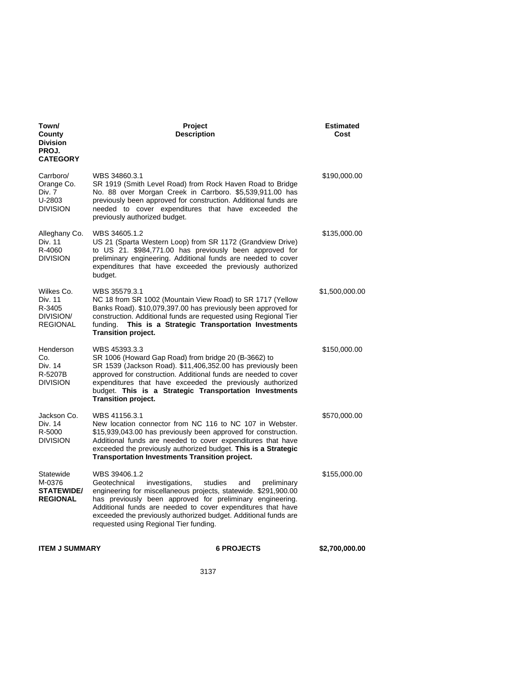| Town/<br>County<br><b>Division</b><br>PROJ.<br><b>CATEGORY</b>  | Project<br><b>Description</b>                                                                                                                                                                                                                                                                                                                                                  |             | <b>Estimated</b><br>Cost |
|-----------------------------------------------------------------|--------------------------------------------------------------------------------------------------------------------------------------------------------------------------------------------------------------------------------------------------------------------------------------------------------------------------------------------------------------------------------|-------------|--------------------------|
| Carrboro/<br>Orange Co.<br>Div. 7<br>U-2803<br><b>DIVISION</b>  | WBS 34860.3.1<br>SR 1919 (Smith Level Road) from Rock Haven Road to Bridge<br>No. 88 over Morgan Creek in Carrboro. \$5,539,911.00 has<br>previously been approved for construction. Additional funds are<br>needed to cover expenditures that have exceeded the<br>previously authorized budget.                                                                              |             | \$190,000.00             |
| Alleghany Co.<br>Div. 11<br>R-4060<br><b>DIVISION</b>           | WBS 34605.1.2<br>US 21 (Sparta Western Loop) from SR 1172 (Grandview Drive)<br>to US 21. \$984,771.00 has previously been approved for<br>preliminary engineering. Additional funds are needed to cover<br>expenditures that have exceeded the previously authorized<br>budget.                                                                                                |             | \$135,000.00             |
| Wilkes Co.<br>Div. 11<br>R-3405<br>DIVISION/<br><b>REGIONAL</b> | WBS 35579.3.1<br>NC 18 from SR 1002 (Mountain View Road) to SR 1717 (Yellow<br>Banks Road). \$10,079,397.00 has previously been approved for<br>construction. Additional funds are requested using Regional Tier<br>This is a Strategic Transportation Investments<br>funding.<br><b>Transition project.</b>                                                                   |             | \$1,500,000.00           |
| Henderson<br>Co.<br>Div. 14<br>R-5207B<br><b>DIVISION</b>       | WBS 45393.3.3<br>SR 1006 (Howard Gap Road) from bridge 20 (B-3662) to<br>SR 1539 (Jackson Road). \$11,406,352.00 has previously been<br>approved for construction. Additional funds are needed to cover<br>expenditures that have exceeded the previously authorized<br>budget. This is a Strategic Transportation Investments<br><b>Transition project.</b>                   |             | \$150,000.00             |
| Jackson Co.<br>Div. 14<br>R-5000<br><b>DIVISION</b>             | WBS 41156.3.1<br>New location connector from NC 116 to NC 107 in Webster.<br>\$15,939,043.00 has previously been approved for construction.<br>Additional funds are needed to cover expenditures that have<br>exceeded the previously authorized budget. This is a Strategic<br><b>Transportation Investments Transition project.</b>                                          |             | \$570,000.00             |
| Statewide<br>M-0376<br><b>STATEWIDE/</b><br><b>REGIONAL</b>     | WBS 39406.1.2<br>Geotechnical<br>investigations,<br>studies<br>and<br>engineering for miscellaneous projects, statewide. \$291,900.00<br>has previously been approved for preliminary engineering.<br>Additional funds are needed to cover expenditures that have<br>exceeded the previously authorized budget. Additional funds are<br>requested using Regional Tier funding. | preliminary | \$155,000.00             |
| <b>ITEM J SUMMARY</b>                                           | <b>6 PROJECTS</b>                                                                                                                                                                                                                                                                                                                                                              |             | \$2,700,000.00           |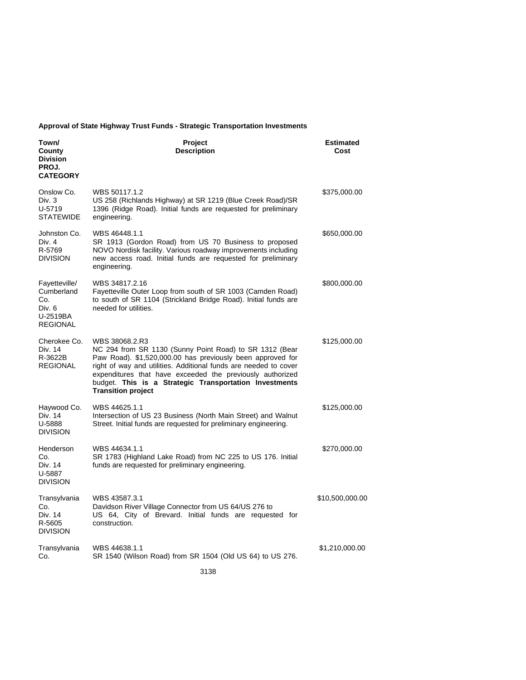# **Approval of State Highway Trust Funds - Strategic Transportation Investments**

| Town/<br>County<br><b>Division</b><br>PROJ.<br><b>CATEGORY</b>              | Project<br><b>Description</b>                                                                                                                                                                                                                                                                                                                                   | <b>Estimated</b><br>Cost |
|-----------------------------------------------------------------------------|-----------------------------------------------------------------------------------------------------------------------------------------------------------------------------------------------------------------------------------------------------------------------------------------------------------------------------------------------------------------|--------------------------|
| Onslow Co.<br>Div. 3<br>U-5719<br><b>STATEWIDE</b>                          | WBS 50117.1.2<br>US 258 (Richlands Highway) at SR 1219 (Blue Creek Road)/SR<br>1396 (Ridge Road). Initial funds are requested for preliminary<br>engineering.                                                                                                                                                                                                   | \$375,000.00             |
| Johnston Co.<br>Div. 4<br>R-5769<br><b>DIVISION</b>                         | WBS 46448.1.1<br>SR 1913 (Gordon Road) from US 70 Business to proposed<br>NOVO Nordisk facility. Various roadway improvements including<br>new access road. Initial funds are requested for preliminary<br>engineering.                                                                                                                                         | \$650,000.00             |
| Fayetteville/<br>Cumberland<br>Co.<br>Div. 6<br>U-2519BA<br><b>REGIONAL</b> | WBS 34817.2.16<br>Fayetteville Outer Loop from south of SR 1003 (Camden Road)<br>to south of SR 1104 (Strickland Bridge Road). Initial funds are<br>needed for utilities.                                                                                                                                                                                       | \$800,000.00             |
| Cherokee Co.<br>Div. 14<br>R-3622B<br><b>REGIONAL</b>                       | WBS 38068.2.R3<br>NC 294 from SR 1130 (Sunny Point Road) to SR 1312 (Bear<br>Paw Road). \$1,520,000.00 has previously been approved for<br>right of way and utilities. Additional funds are needed to cover<br>expenditures that have exceeded the previously authorized<br>budget. This is a Strategic Transportation Investments<br><b>Transition project</b> | \$125,000.00             |
| Haywood Co.<br>Div. 14<br>U-5888<br><b>DIVISION</b>                         | WBS 44625.1.1<br>Intersection of US 23 Business (North Main Street) and Walnut<br>Street. Initial funds are requested for preliminary engineering.                                                                                                                                                                                                              | \$125,000.00             |
| Henderson<br>Co.<br>Div. 14<br>U-5887<br><b>DIVISION</b>                    | WBS 44634.1.1<br>SR 1783 (Highland Lake Road) from NC 225 to US 176. Initial<br>funds are requested for preliminary engineering.                                                                                                                                                                                                                                | \$270,000.00             |
| Transylvania<br>Co.<br>Div. 14<br>R-5605<br><b>DIVISION</b>                 | WBS 43587.3.1<br>Davidson River Village Connector from US 64/US 276 to<br>US 64, City of Brevard. Initial funds are requested for<br>construction.                                                                                                                                                                                                              | \$10,500,000.00          |
| Transylvania<br>Co.                                                         | WBS 44638.1.1<br>SR 1540 (Wilson Road) from SR 1504 (Old US 64) to US 276.                                                                                                                                                                                                                                                                                      | \$1,210,000.00           |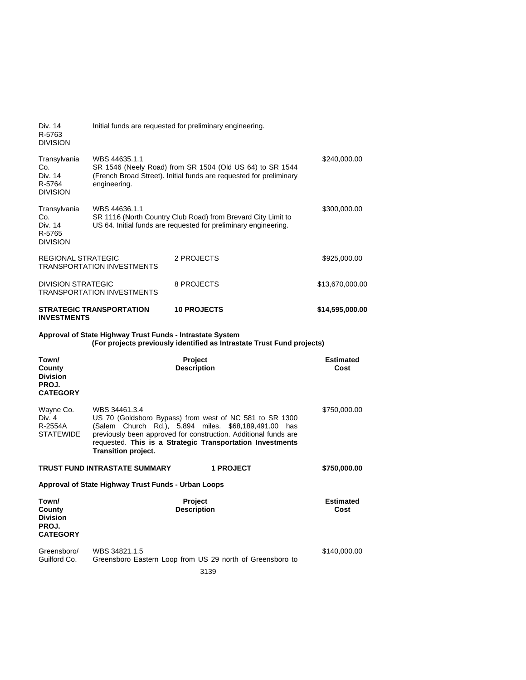| Div. 14<br>R-5763<br><b>DIVISION</b>                           |                                                           | Initial funds are requested for preliminary engineering.                                                                                                                                                                                        |                          |
|----------------------------------------------------------------|-----------------------------------------------------------|-------------------------------------------------------------------------------------------------------------------------------------------------------------------------------------------------------------------------------------------------|--------------------------|
| Transylvania<br>Co.<br>Div. 14<br>R-5764<br><b>DIVISION</b>    | WBS 44635.1.1<br>engineering.                             | SR 1546 (Neely Road) from SR 1504 (Old US 64) to SR 1544<br>(French Broad Street). Initial funds are requested for preliminary                                                                                                                  | \$240,000.00             |
| Transylvania<br>Co.<br>Div. 14<br>R-5765<br><b>DIVISION</b>    | WBS 44636.1.1                                             | SR 1116 (North Country Club Road) from Brevard City Limit to<br>US 64. Initial funds are requested for preliminary engineering.                                                                                                                 | \$300,000.00             |
| <b>REGIONAL STRATEGIC</b>                                      | <b>TRANSPORTATION INVESTMENTS</b>                         | 2 PROJECTS                                                                                                                                                                                                                                      | \$925,000.00             |
| <b>DIVISION STRATEGIC</b>                                      | <b>TRANSPORTATION INVESTMENTS</b>                         | 8 PROJECTS                                                                                                                                                                                                                                      | \$13,670,000.00          |
| <b>INVESTMENTS</b>                                             | <b>STRATEGIC TRANSPORTATION</b>                           | <b>10 PROJECTS</b>                                                                                                                                                                                                                              | \$14,595,000.00          |
|                                                                | Approval of State Highway Trust Funds - Intrastate System | (For projects previously identified as Intrastate Trust Fund projects)                                                                                                                                                                          |                          |
| Town/<br>County<br><b>Division</b><br>PROJ.<br><b>CATEGORY</b> |                                                           | <b>Project</b><br><b>Description</b>                                                                                                                                                                                                            | <b>Estimated</b><br>Cost |
| Wayne Co.<br>Div. 4<br>R-2554A<br><b>STATEWIDE</b>             | WBS 34461.3.4<br><b>Transition project.</b>               | US 70 (Goldsboro Bypass) from west of NC 581 to SR 1300<br>(Salem Church Rd.), 5.894 miles. \$68,189,491.00 has<br>previously been approved for construction. Additional funds are<br>requested. This is a Strategic Transportation Investments | \$750,000.00             |
|                                                                | TRUST FUND INTRASTATE SUMMARY                             | <b>1 PROJECT</b>                                                                                                                                                                                                                                | \$750,000.00             |
| Approval of State Highway Trust Funds - Urban Loops            |                                                           |                                                                                                                                                                                                                                                 |                          |
| Town/<br>County<br><b>Division</b><br>PROJ.                    |                                                           | <b>Project</b><br><b>Description</b>                                                                                                                                                                                                            | <b>Estimated</b><br>Cost |

**CATEGORY** 

Greensboro/ Guilford Co. WBS 34821.1.5 Greensboro Eastern Loop from US 29 north of Greensboro to \$140,000.00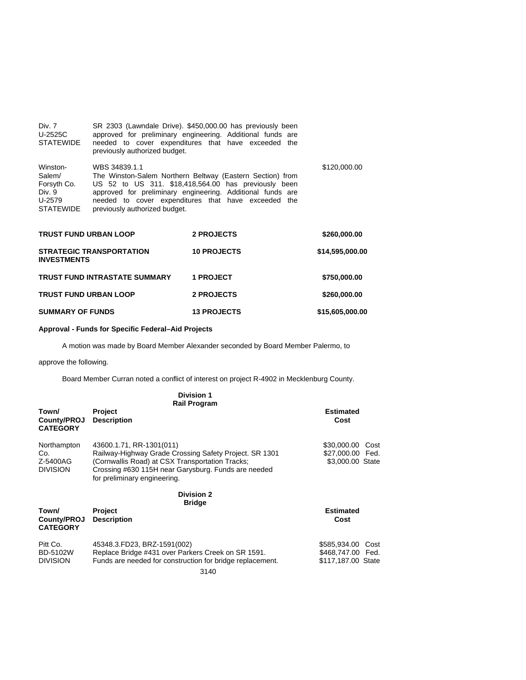| Div. 7<br>U-2525C<br>STATEWIDE                                            | SR 2303 (Lawndale Drive). \$450,000.00 has previously been<br>approved for preliminary engineering. Additional funds are<br>needed to cover expenditures that have exceeded the<br>previously authorized budget.                                                                         |              |
|---------------------------------------------------------------------------|------------------------------------------------------------------------------------------------------------------------------------------------------------------------------------------------------------------------------------------------------------------------------------------|--------------|
| Winston-<br>Salem/<br>Forsyth Co.<br>Div. 9<br>U-2579<br><b>STATEWIDE</b> | WBS 34839.1.1<br>The Winston-Salem Northern Beltway (Eastern Section) from<br>US 52 to US 311. \$18,418,564.00 has previously been<br>approved for preliminary engineering. Additional funds are<br>needed to cover expenditures that have exceeded the<br>previously authorized budget. | \$120,000.00 |

| <b>TRUST FUND URBAN LOOP</b>                          | 2 PROJECTS         | \$260,000.00    |
|-------------------------------------------------------|--------------------|-----------------|
| <b>STRATEGIC TRANSPORTATION</b><br><b>INVESTMENTS</b> | <b>10 PROJECTS</b> | \$14,595,000.00 |
| <b>TRUST FUND INTRASTATE SUMMARY</b>                  | <b>1 PROJECT</b>   | \$750,000.00    |
| <b>TRUST FUND URBAN LOOP</b>                          | 2 PROJECTS         | \$260,000.00    |
| <b>SUMMARY OF FUNDS</b>                               | <b>13 PROJECTS</b> | \$15,605,000.00 |

# **Approval - Funds for Specific Federal–Aid Projects**

A motion was made by Board Member Alexander seconded by Board Member Palermo, to

# approve the following.

Board Member Curran noted a conflict of interest on project R-4902 in Mecklenburg County.

|                                                   | <b>Division 1</b><br><b>Rail Program</b>                                                                                                                                                                                     |                                                                 |
|---------------------------------------------------|------------------------------------------------------------------------------------------------------------------------------------------------------------------------------------------------------------------------------|-----------------------------------------------------------------|
| Town/<br>County/PROJ<br><b>CATEGORY</b>           | <b>Project</b><br><b>Description</b>                                                                                                                                                                                         | <b>Estimated</b><br>Cost                                        |
| Northampton<br>Co.<br>Z-5400AG<br><b>DIVISION</b> | 43600.1.71, RR-1301(011)<br>Railway-Highway Grade Crossing Safety Project. SR 1301<br>(Cornwallis Road) at CSX Transportation Tracks;<br>Crossing #630 115H near Garysburg. Funds are needed<br>for preliminary engineering. | \$30,000.00<br>Cost<br>\$27,000.00 Fed.<br>\$3,000.00 State     |
| Town/<br>County/PROJ<br><b>CATEGORY</b>           | <b>Division 2</b><br><b>Bridge</b><br>Project<br><b>Description</b>                                                                                                                                                          | <b>Estimated</b><br>Cost                                        |
| Pitt Co.<br><b>BD-5102W</b><br><b>DIVISION</b>    | 45348.3.FD23, BRZ-1591(002)<br>Replace Bridge #431 over Parkers Creek on SR 1591.<br>Funds are needed for construction for bridge replacement.<br>$\sim$ $\sim$                                                              | \$585,934.00<br>Cost<br>\$468,747.00 Fed.<br>\$117,187.00 State |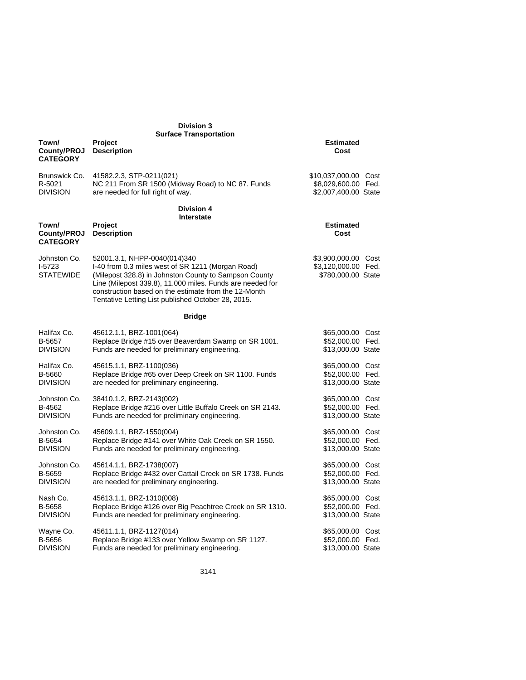| <b>Division 3</b>                            |                                                                                                                                                                                                                                                                                                                       |                                                                  |  |
|----------------------------------------------|-----------------------------------------------------------------------------------------------------------------------------------------------------------------------------------------------------------------------------------------------------------------------------------------------------------------------|------------------------------------------------------------------|--|
| Town/<br>County/PROJ<br><b>CATEGORY</b>      | <b>Surface Transportation</b><br><b>Project</b><br><b>Description</b>                                                                                                                                                                                                                                                 | <b>Estimated</b><br>Cost                                         |  |
| Brunswick Co.                                | 41582.2.3, STP-0211(021)                                                                                                                                                                                                                                                                                              | \$10,037,000.00 Cost                                             |  |
| R-5021                                       | NC 211 From SR 1500 (Midway Road) to NC 87. Funds                                                                                                                                                                                                                                                                     | \$8,029,600.00 Fed.                                              |  |
| <b>DIVISION</b>                              | are needed for full right of way.                                                                                                                                                                                                                                                                                     | \$2,007,400.00 State                                             |  |
|                                              | <b>Division 4</b><br>Interstate                                                                                                                                                                                                                                                                                       |                                                                  |  |
| Town/<br>County/PROJ<br><b>CATEGORY</b>      | Project<br><b>Description</b>                                                                                                                                                                                                                                                                                         | <b>Estimated</b><br>Cost                                         |  |
| Johnston Co.<br>$I-5723$<br><b>STATEWIDE</b> | 52001.3.1, NHPP-0040(014)340<br>I-40 from 0.3 miles west of SR 1211 (Morgan Road)<br>(Milepost 328.8) in Johnston County to Sampson County<br>Line (Milepost 339.8), 11.000 miles. Funds are needed for<br>construction based on the estimate from the 12-Month<br>Tentative Letting List published October 28, 2015. | \$3,900,000.00 Cost<br>\$3,120,000.00 Fed.<br>\$780,000.00 State |  |
|                                              | <b>Bridge</b>                                                                                                                                                                                                                                                                                                         |                                                                  |  |
| Halifax Co.                                  | 45612.1.1, BRZ-1001(064)                                                                                                                                                                                                                                                                                              | \$65,000.00 Cost                                                 |  |
| B-5657                                       | Replace Bridge #15 over Beaverdam Swamp on SR 1001.                                                                                                                                                                                                                                                                   | \$52,000.00 Fed.                                                 |  |
| <b>DIVISION</b>                              | Funds are needed for preliminary engineering.                                                                                                                                                                                                                                                                         | \$13,000.00 State                                                |  |
| Halifax Co.                                  | 45615.1.1, BRZ-1100(036)                                                                                                                                                                                                                                                                                              | \$65,000.00 Cost                                                 |  |
| B-5660                                       | Replace Bridge #65 over Deep Creek on SR 1100. Funds                                                                                                                                                                                                                                                                  | \$52,000.00 Fed.                                                 |  |
| <b>DIVISION</b>                              | are needed for preliminary engineering.                                                                                                                                                                                                                                                                               | \$13,000.00 State                                                |  |
| Johnston Co.                                 | 38410.1.2, BRZ-2143(002)                                                                                                                                                                                                                                                                                              | \$65,000.00 Cost                                                 |  |
| B-4562                                       | Replace Bridge #216 over Little Buffalo Creek on SR 2143.                                                                                                                                                                                                                                                             | \$52,000.00 Fed.                                                 |  |
| <b>DIVISION</b>                              | Funds are needed for preliminary engineering.                                                                                                                                                                                                                                                                         | \$13,000.00 State                                                |  |
| Johnston Co.                                 | 45609.1.1, BRZ-1550(004)                                                                                                                                                                                                                                                                                              | \$65,000.00 Cost                                                 |  |
| B-5654                                       | Replace Bridge #141 over White Oak Creek on SR 1550.                                                                                                                                                                                                                                                                  | \$52,000.00 Fed.                                                 |  |
| <b>DIVISION</b>                              | Funds are needed for preliminary engineering.                                                                                                                                                                                                                                                                         | \$13,000.00 State                                                |  |
| Johnston Co.                                 | 45614.1.1, BRZ-1738(007)                                                                                                                                                                                                                                                                                              | \$65,000.00 Cost                                                 |  |
| B-5659                                       | Replace Bridge #432 over Cattail Creek on SR 1738. Funds                                                                                                                                                                                                                                                              | \$52,000.00 Fed.                                                 |  |
| <b>DIVISION</b>                              | are needed for preliminary engineering.                                                                                                                                                                                                                                                                               | \$13,000.00 State                                                |  |
| Nash Co.                                     | 45613.1.1, BRZ-1310(008)                                                                                                                                                                                                                                                                                              | \$65,000.00 Cost                                                 |  |
| B-5658                                       | Replace Bridge #126 over Big Peachtree Creek on SR 1310.                                                                                                                                                                                                                                                              | \$52,000.00 Fed.                                                 |  |
| <b>DIVISION</b>                              | Funds are needed for preliminary engineering.                                                                                                                                                                                                                                                                         | \$13,000.00 State                                                |  |
| Wayne Co.                                    | 45611.1.1, BRZ-1127(014)                                                                                                                                                                                                                                                                                              | \$65,000.00 Cost                                                 |  |
| B-5656                                       | Replace Bridge #133 over Yellow Swamp on SR 1127.                                                                                                                                                                                                                                                                     | \$52,000.00 Fed.                                                 |  |
| <b>DIVISION</b>                              | Funds are needed for preliminary engineering.                                                                                                                                                                                                                                                                         | \$13,000.00 State                                                |  |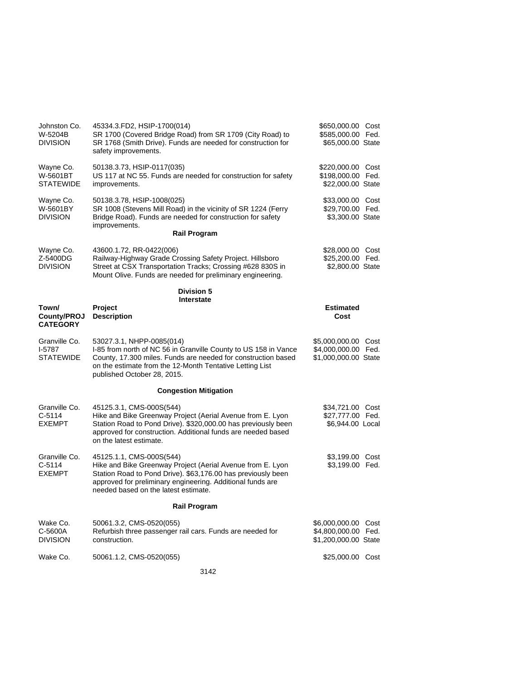| Johnston Co.<br>W-5204B<br><b>DIVISION</b>    | 45334.3.FD2, HSIP-1700(014)<br>SR 1700 (Covered Bridge Road) from SR 1709 (City Road) to<br>SR 1768 (Smith Drive). Funds are needed for construction for<br>safety improvements.                                                                             | \$650,000.00 Cost<br>\$585,000.00 Fed.<br>\$65,000.00 State           |  |
|-----------------------------------------------|--------------------------------------------------------------------------------------------------------------------------------------------------------------------------------------------------------------------------------------------------------------|-----------------------------------------------------------------------|--|
| Wayne Co.<br>W-5601BT<br><b>STATEWIDE</b>     | 50138.3.73, HSIP-0117(035)<br>US 117 at NC 55. Funds are needed for construction for safety<br>improvements.                                                                                                                                                 | \$220,000.00 Cost<br>\$198,000.00 Fed.<br>\$22,000.00 State           |  |
| Wayne Co.<br>W-5601BY<br><b>DIVISION</b>      | 50138.3.78, HSIP-1008(025)<br>SR 1008 (Stevens Mill Road) in the vicinity of SR 1224 (Ferry<br>Bridge Road). Funds are needed for construction for safety<br>improvements.                                                                                   | \$33,000.00 Cost<br>\$29,700.00 Fed.<br>\$3,300.00 State              |  |
|                                               | <b>Rail Program</b>                                                                                                                                                                                                                                          |                                                                       |  |
| Wayne Co.<br>Z-5400DG<br><b>DIVISION</b>      | 43600.1.72, RR-0422(006)<br>Railway-Highway Grade Crossing Safety Project. Hillsboro<br>Street at CSX Transportation Tracks; Crossing #628 830S in<br>Mount Olive. Funds are needed for preliminary engineering.                                             | \$28,000.00 Cost<br>\$25,200.00 Fed.<br>\$2,800.00 State              |  |
|                                               | <b>Division 5</b><br><b>Interstate</b>                                                                                                                                                                                                                       |                                                                       |  |
| Town/<br>County/PROJ<br><b>CATEGORY</b>       | Project<br><b>Description</b>                                                                                                                                                                                                                                | <b>Estimated</b><br>Cost                                              |  |
| Granville Co.<br>$I-5787$<br><b>STATEWIDE</b> | 53027.3.1, NHPP-0085(014)<br>I-85 from north of NC 56 in Granville County to US 158 in Vance<br>County, 17.300 miles. Funds are needed for construction based<br>on the estimate from the 12-Month Tentative Letting List<br>published October 28, 2015.     | \$5,000,000.00 Cost<br>\$4,000,000.00 Fed.<br>\$1,000,000.00 State    |  |
|                                               | <b>Congestion Mitigation</b>                                                                                                                                                                                                                                 |                                                                       |  |
| Granville Co.<br>$C-5114$<br><b>EXEMPT</b>    | 45125.3.1, CMS-000S(544)<br>Hike and Bike Greenway Project (Aerial Avenue from E. Lyon<br>Station Road to Pond Drive). \$320,000.00 has previously been<br>approved for construction. Additional funds are needed based<br>on the latest estimate.           | \$34,721.00 Cost<br>\$27,777.00 Fed.<br>\$6,944.00 Local              |  |
| Granville Co.<br>$C-5114$<br><b>EXEMPT</b>    | 45125.1.1, CMS-000S(544)<br>Hike and Bike Greenway Project (Aerial Avenue from E. Lyon<br>Station Road to Pond Drive). \$63,176.00 has previously been<br>approved for preliminary engineering. Additional funds are<br>needed based on the latest estimate. | \$3,199.00 Cost<br>\$3,199.00 Fed.                                    |  |
|                                               | <b>Rail Program</b>                                                                                                                                                                                                                                          |                                                                       |  |
| Wake Co.<br>C-5600A<br><b>DIVISION</b>        | 50061.3.2, CMS-0520(055)<br>Refurbish three passenger rail cars. Funds are needed for<br>construction.                                                                                                                                                       | \$6,000,000.00<br>Cost<br>\$4,800,000.00 Fed.<br>\$1,200,000.00 State |  |
| Wake Co.                                      | 50061.1.2, CMS-0520(055)                                                                                                                                                                                                                                     | \$25,000.00 Cost                                                      |  |
|                                               | 3142                                                                                                                                                                                                                                                         |                                                                       |  |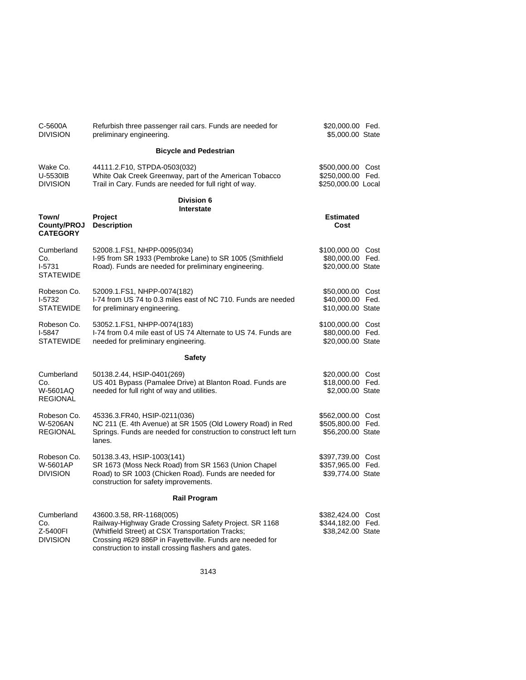| C-5600A<br><b>DIVISION</b>                       | Refurbish three passenger rail cars. Funds are needed for<br>preliminary engineering.                                                                                                                                                                      | \$20,000.00 Fed.<br>\$5,000.00 State                         |  |
|--------------------------------------------------|------------------------------------------------------------------------------------------------------------------------------------------------------------------------------------------------------------------------------------------------------------|--------------------------------------------------------------|--|
|                                                  | <b>Bicycle and Pedestrian</b>                                                                                                                                                                                                                              |                                                              |  |
| Wake Co.<br>U-5530IB<br><b>DIVISION</b>          | 44111.2.F10, STPDA-0503(032)<br>White Oak Creek Greenway, part of the American Tobacco<br>Trail in Cary. Funds are needed for full right of way.                                                                                                           | \$500,000.00 Cost<br>\$250,000.00 Fed.<br>\$250,000.00 Local |  |
|                                                  | Division 6<br>Interstate                                                                                                                                                                                                                                   |                                                              |  |
| Town/<br>County/PROJ<br><b>CATEGORY</b>          | Project<br><b>Description</b>                                                                                                                                                                                                                              | <b>Estimated</b><br>Cost                                     |  |
| Cumberland<br>Co.<br>$I-5731$<br>STATEWIDE       | 52008.1.FS1, NHPP-0095(034)<br>I-95 from SR 1933 (Pembroke Lane) to SR 1005 (Smithfield<br>Road). Funds are needed for preliminary engineering.                                                                                                            | \$100,000.00 Cost<br>\$80,000.00 Fed.<br>\$20,000.00 State   |  |
| Robeson Co.<br>I-5732<br>STATEWIDE               | 52009.1.FS1, NHPP-0074(182)<br>I-74 from US 74 to 0.3 miles east of NC 710. Funds are needed<br>for preliminary engineering.                                                                                                                               | \$50,000.00 Cost<br>\$40,000.00 Fed.<br>\$10,000.00 State    |  |
| Robeson Co.<br>I-5847<br><b>STATEWIDE</b>        | 53052.1.FS1, NHPP-0074(183)<br>I-74 from 0.4 mile east of US 74 Alternate to US 74. Funds are<br>needed for preliminary engineering.                                                                                                                       | \$100,000.00 Cost<br>\$80,000.00 Fed.<br>\$20,000.00 State   |  |
|                                                  | <b>Safety</b>                                                                                                                                                                                                                                              |                                                              |  |
| Cumberland<br>Co.<br>W-5601AQ<br><b>REGIONAL</b> | 50138.2.44, HSIP-0401(269)<br>US 401 Bypass (Pamalee Drive) at Blanton Road. Funds are<br>needed for full right of way and utilities.                                                                                                                      | \$20,000.00 Cost<br>\$18,000.00 Fed.<br>\$2,000.00 State     |  |
| Robeson Co.<br>W-5206AN<br><b>REGIONAL</b>       | 45336.3.FR40, HSIP-0211(036)<br>NC 211 (E. 4th Avenue) at SR 1505 (Old Lowery Road) in Red<br>Springs. Funds are needed for construction to construct left turn<br>lanes.                                                                                  | \$562,000.00 Cost<br>\$505,800.00 Fed.<br>\$56,200.00 State  |  |
| Robeson Co.<br>W-5601AP<br><b>DIVISION</b>       | 50138.3.43, HSIP-1003(141)<br>SR 1673 (Moss Neck Road) from SR 1563 (Union Chapel<br>Road) to SR 1003 (Chicken Road). Funds are needed for<br>construction for safety improvements.                                                                        | \$397,739.00 Cost<br>\$357,965.00 Fed.<br>\$39,774.00 State  |  |
|                                                  | <b>Rail Program</b>                                                                                                                                                                                                                                        |                                                              |  |
| Cumberland<br>Co.<br>Z-5400FI<br><b>DIVISION</b> | 43600.3.58, RR-1168(005)<br>Railway-Highway Grade Crossing Safety Project. SR 1168<br>(Whitfield Street) at CSX Transportation Tracks;<br>Crossing #629 886P in Fayetteville. Funds are needed for<br>construction to install crossing flashers and gates. | \$382,424.00 Cost<br>\$344,182.00 Fed.<br>\$38,242.00 State  |  |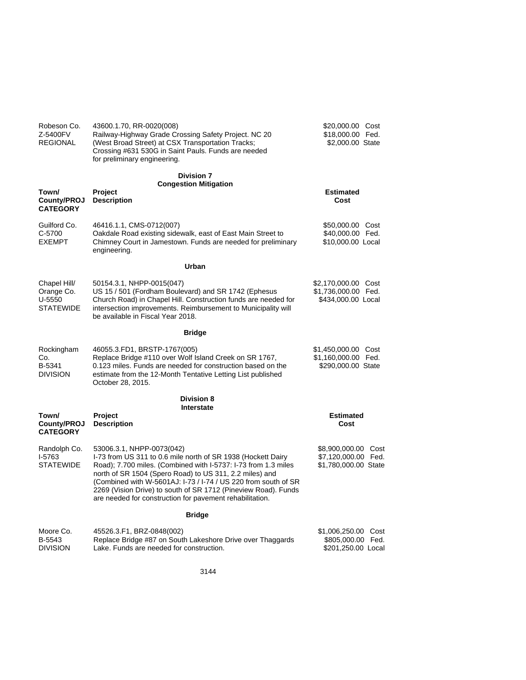| Robeson Co.<br>Z-5400FV<br><b>REGIONAL</b>               | 43600.1.70, RR-0020(008)<br>Railway-Highway Grade Crossing Safety Project. NC 20<br>(West Broad Street) at CSX Transportation Tracks;<br>Crossing #631 530G in Saint Pauls. Funds are needed<br>for preliminary engineering.                                                                                                                                                                                           | \$20,000.00 Cost<br>\$18,000.00 Fed.<br>\$2,000.00 State           |
|----------------------------------------------------------|------------------------------------------------------------------------------------------------------------------------------------------------------------------------------------------------------------------------------------------------------------------------------------------------------------------------------------------------------------------------------------------------------------------------|--------------------------------------------------------------------|
| Town/<br>County/PROJ<br><b>CATEGORY</b>                  | <b>Division 7</b><br><b>Congestion Mitigation</b><br><b>Project</b><br><b>Description</b>                                                                                                                                                                                                                                                                                                                              | Estimated<br>Cost                                                  |
| Guilford Co.<br>C-5700<br><b>EXEMPT</b>                  | 46416.1.1, CMS-0712(007)<br>Oakdale Road existing sidewalk, east of East Main Street to<br>Chimney Court in Jamestown. Funds are needed for preliminary<br>engineering.                                                                                                                                                                                                                                                | \$50,000.00 Cost<br>\$40,000.00 Fed.<br>\$10,000.00 Local          |
|                                                          | Urban                                                                                                                                                                                                                                                                                                                                                                                                                  |                                                                    |
| Chapel Hill/<br>Orange Co.<br>U-5550<br><b>STATEWIDE</b> | 50154.3.1, NHPP-0015(047)<br>US 15 / 501 (Fordham Boulevard) and SR 1742 (Ephesus<br>Church Road) in Chapel Hill. Construction funds are needed for<br>intersection improvements. Reimbursement to Municipality will<br>be available in Fiscal Year 2018.                                                                                                                                                              | \$2,170,000.00 Cost<br>\$1,736,000.00 Fed.<br>\$434,000.00 Local   |
|                                                          | <b>Bridge</b>                                                                                                                                                                                                                                                                                                                                                                                                          |                                                                    |
| Rockingham<br>Co.<br>B-5341<br><b>DIVISION</b>           | 46055.3.FD1, BRSTP-1767(005)<br>Replace Bridge #110 over Wolf Island Creek on SR 1767,<br>0.123 miles. Funds are needed for construction based on the<br>estimate from the 12-Month Tentative Letting List published<br>October 28, 2015.                                                                                                                                                                              | \$1,450,000.00 Cost<br>\$1,160,000.00 Fed.<br>\$290,000.00 State   |
|                                                          | <b>Division 8</b>                                                                                                                                                                                                                                                                                                                                                                                                      |                                                                    |
| Town/<br>County/PROJ<br><b>CATEGORY</b>                  | <b>Interstate</b><br>Project<br><b>Description</b>                                                                                                                                                                                                                                                                                                                                                                     | <b>Estimated</b><br>Cost                                           |
| Randolph Co.<br>I-5763<br><b>STATEWIDE</b>               | 53006.3.1, NHPP-0073(042)<br>I-73 from US 311 to 0.6 mile north of SR 1938 (Hockett Dairy<br>Road); 7.700 miles. (Combined with I-5737: I-73 from 1.3 miles<br>north of SR 1504 (Spero Road) to US 311, 2.2 miles) and<br>(Combined with W-5601AJ: I-73 / I-74 / US 220 from south of SR<br>2269 (Vision Drive) to south of SR 1712 (Pineview Road). Funds<br>are needed for construction for pavement rehabilitation. | \$8,900,000.00 Cost<br>\$7,120,000.00 Fed.<br>\$1,780,000.00 State |
|                                                          | <b>Bridge</b>                                                                                                                                                                                                                                                                                                                                                                                                          |                                                                    |
| Moore Co.<br>B-5543<br><b>DIVISION</b>                   | 45526.3.F1, BRZ-0848(002)<br>Replace Bridge #87 on South Lakeshore Drive over Thaggards<br>Lake. Funds are needed for construction.                                                                                                                                                                                                                                                                                    | \$1,006,250.00 Cost<br>\$805,000.00 Fed.<br>\$201,250.00 Local     |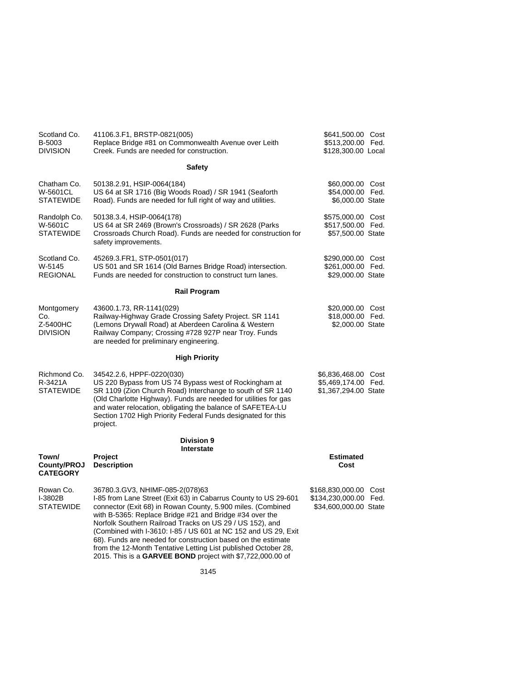| Scotland Co.<br>B-5003<br><b>DIVISION</b>        | 41106.3.F1, BRSTP-0821(005)<br>Replace Bridge #81 on Commonwealth Avenue over Leith<br>Creek. Funds are needed for construction.                                                                                                                                                                                                                                                                                                                                                                                                                           | \$641,500.00 Cost<br>\$513,200.00 Fed.<br>\$128,300.00 Local            |  |
|--------------------------------------------------|------------------------------------------------------------------------------------------------------------------------------------------------------------------------------------------------------------------------------------------------------------------------------------------------------------------------------------------------------------------------------------------------------------------------------------------------------------------------------------------------------------------------------------------------------------|-------------------------------------------------------------------------|--|
|                                                  | <b>Safety</b>                                                                                                                                                                                                                                                                                                                                                                                                                                                                                                                                              |                                                                         |  |
| Chatham Co.<br>W-5601CL<br><b>STATEWIDE</b>      | 50138.2.91, HSIP-0064(184)<br>US 64 at SR 1716 (Big Woods Road) / SR 1941 (Seaforth<br>Road). Funds are needed for full right of way and utilities.                                                                                                                                                                                                                                                                                                                                                                                                        | \$60,000.00 Cost<br>\$54,000.00 Fed.<br>\$6,000.00 State                |  |
| Randolph Co.<br>W-5601C<br><b>STATEWIDE</b>      | 50138.3.4, HSIP-0064(178)<br>US 64 at SR 2469 (Brown's Crossroads) / SR 2628 (Parks<br>Crossroads Church Road). Funds are needed for construction for<br>safety improvements.                                                                                                                                                                                                                                                                                                                                                                              | \$575,000.00 Cost<br>\$517,500.00 Fed.<br>\$57,500.00 State             |  |
| Scotland Co.<br>W-5145<br><b>REGIONAL</b>        | 45269.3.FR1, STP-0501(017)<br>US 501 and SR 1614 (Old Barnes Bridge Road) intersection.<br>Funds are needed for construction to construct turn lanes.                                                                                                                                                                                                                                                                                                                                                                                                      | \$290,000.00 Cost<br>\$261,000.00 Fed.<br>\$29,000.00 State             |  |
|                                                  | <b>Rail Program</b>                                                                                                                                                                                                                                                                                                                                                                                                                                                                                                                                        |                                                                         |  |
| Montgomery<br>Co.<br>Z-5400HC<br><b>DIVISION</b> | 43600.1.73, RR-1141(029)<br>Railway-Highway Grade Crossing Safety Project. SR 1141<br>(Lemons Drywall Road) at Aberdeen Carolina & Western<br>Railway Company; Crossing #728 927P near Troy. Funds<br>are needed for preliminary engineering.                                                                                                                                                                                                                                                                                                              | \$20,000.00 Cost<br>\$18,000.00 Fed.<br>\$2,000.00 State                |  |
|                                                  | <b>High Priority</b>                                                                                                                                                                                                                                                                                                                                                                                                                                                                                                                                       |                                                                         |  |
| Richmond Co.<br>R-3421A<br>STATEWIDE             | 34542.2.6, HPPF-0220(030)<br>US 220 Bypass from US 74 Bypass west of Rockingham at<br>SR 1109 (Zion Church Road) Interchange to south of SR 1140<br>(Old Charlotte Highway). Funds are needed for utilities for gas<br>and water relocation, obligating the balance of SAFETEA-LU<br>Section 1702 High Priority Federal Funds designated for this<br>project.                                                                                                                                                                                              | \$6,836,468.00 Cost<br>\$5,469,174.00 Fed.<br>\$1,367,294.00 State      |  |
|                                                  | Division 9<br><b>Interstate</b>                                                                                                                                                                                                                                                                                                                                                                                                                                                                                                                            |                                                                         |  |
| Town/<br><b>County/PROJ</b><br><b>CATEGORY</b>   | Project<br><b>Description</b>                                                                                                                                                                                                                                                                                                                                                                                                                                                                                                                              | <b>Estimated</b><br>Cost                                                |  |
| Rowan Co.<br>I-3802B<br><b>STATEWIDE</b>         | 36780.3.GV3, NHIMF-085-2(078)63<br>I-85 from Lane Street (Exit 63) in Cabarrus County to US 29-601<br>connector (Exit 68) in Rowan County, 5.900 miles. (Combined<br>with B-5365: Replace Bridge #21 and Bridge #34 over the<br>Norfolk Southern Railroad Tracks on US 29 / US 152), and<br>(Combined with I-3610: I-85 / US 601 at NC 152 and US 29, Exit<br>68). Funds are needed for construction based on the estimate<br>from the 12-Month Tentative Letting List published October 28,<br>2015. This is a GARVEE BOND project with \$7,722,000.00 of | \$168,830,000.00 Cost<br>\$134,230,000.00 Fed.<br>\$34,600,000.00 State |  |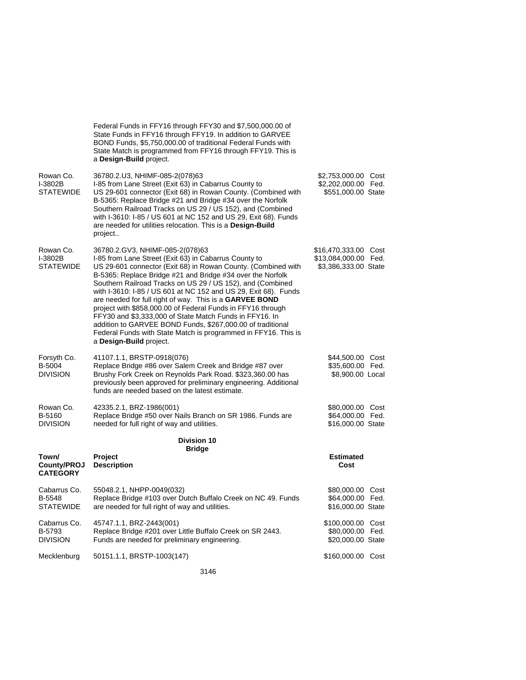|                                                   | Federal Funds in FFY16 through FFY30 and \$7,500,000.00 of<br>State Funds in FFY16 through FFY19. In addition to GARVEE<br>BOND Funds, \$5,750,000.00 of traditional Federal Funds with<br>State Match is programmed from FFY16 through FFY19. This is<br>a Design-Build project.                                                                                                                                                                                                                                                                                                                                                                                                                        |                                                                      |  |
|---------------------------------------------------|----------------------------------------------------------------------------------------------------------------------------------------------------------------------------------------------------------------------------------------------------------------------------------------------------------------------------------------------------------------------------------------------------------------------------------------------------------------------------------------------------------------------------------------------------------------------------------------------------------------------------------------------------------------------------------------------------------|----------------------------------------------------------------------|--|
| Rowan Co.<br>I-3802B<br><b>STATEWIDE</b>          | 36780.2.U3, NHIMF-085-2(078)63<br>I-85 from Lane Street (Exit 63) in Cabarrus County to<br>US 29-601 connector (Exit 68) in Rowan County. (Combined with<br>B-5365: Replace Bridge #21 and Bridge #34 over the Norfolk<br>Southern Railroad Tracks on US 29 / US 152), and (Combined<br>with I-3610: I-85 / US 601 at NC 152 and US 29, Exit 68). Funds<br>are needed for utilities relocation. This is a Design-Build<br>project                                                                                                                                                                                                                                                                        | \$2,753,000.00 Cost<br>\$2,202,000.00 Fed.<br>\$551,000.00 State     |  |
| Rowan Co.<br>I-3802B<br><b>STATEWIDE</b>          | 36780.2.GV3, NHIMF-085-2(078)63<br>I-85 from Lane Street (Exit 63) in Cabarrus County to<br>US 29-601 connector (Exit 68) in Rowan County. (Combined with<br>B-5365: Replace Bridge #21 and Bridge #34 over the Norfolk<br>Southern Railroad Tracks on US 29 / US 152), and (Combined<br>with I-3610: I-85 / US 601 at NC 152 and US 29, Exit 68). Funds<br>are needed for full right of way. This is a GARVEE BOND<br>project with \$858,000.00 of Federal Funds in FFY16 through<br>FFY30 and \$3,333,000 of State Match Funds in FFY16. In<br>addition to GARVEE BOND Funds, \$267,000.00 of traditional<br>Federal Funds with State Match is programmed in FFY16. This is<br>a Design-Build project. | \$16,470,333.00 Cost<br>\$13,084,000.00 Fed.<br>\$3,386,333.00 State |  |
| Forsyth Co.<br>B-5004<br><b>DIVISION</b>          | 41107.1.1, BRSTP-0918(076)<br>Replace Bridge #86 over Salem Creek and Bridge #87 over<br>Brushy Fork Creek on Reynolds Park Road. \$323,360.00 has<br>previously been approved for preliminary engineering. Additional<br>funds are needed based on the latest estimate.                                                                                                                                                                                                                                                                                                                                                                                                                                 | \$44,500.00 Cost<br>\$35,600.00 Fed.<br>\$8,900.00 Local             |  |
| Rowan Co.<br>B-5160<br><b>DIVISION</b>            | 42335.2.1, BRZ-1986(001)<br>Replace Bridge #50 over Nails Branch on SR 1986. Funds are<br>needed for full right of way and utilities.                                                                                                                                                                                                                                                                                                                                                                                                                                                                                                                                                                    | \$80,000.00 Cost<br>\$64,000.00 Fed.<br>\$16,000.00 State            |  |
|                                                   | <b>Division 10</b><br><b>Bridge</b>                                                                                                                                                                                                                                                                                                                                                                                                                                                                                                                                                                                                                                                                      |                                                                      |  |
| Town/<br>County/PROJ<br><b>CATEGORY</b>           | Project<br><b>Description</b>                                                                                                                                                                                                                                                                                                                                                                                                                                                                                                                                                                                                                                                                            | <b>Estimated</b><br>Cost                                             |  |
| Cabarrus Co.<br><b>B-5548</b><br><b>STATEWIDE</b> | 55048.2.1, NHPP-0049(032)<br>Replace Bridge #103 over Dutch Buffalo Creek on NC 49. Funds<br>are needed for full right of way and utilities.                                                                                                                                                                                                                                                                                                                                                                                                                                                                                                                                                             | \$80,000.00 Cost<br>\$64,000.00 Fed.<br>\$16,000.00 State            |  |
| Cabarrus Co.<br>B-5793<br><b>DIVISION</b>         | 45747.1.1, BRZ-2443(001)<br>Replace Bridge #201 over Little Buffalo Creek on SR 2443.<br>Funds are needed for preliminary engineering.                                                                                                                                                                                                                                                                                                                                                                                                                                                                                                                                                                   | \$100,000.00 Cost<br>\$80,000.00 Fed.<br>\$20,000.00 State           |  |
| Mecklenburg                                       | 50151.1.1, BRSTP-1003(147)                                                                                                                                                                                                                                                                                                                                                                                                                                                                                                                                                                                                                                                                               | \$160,000.00 Cost                                                    |  |
|                                                   |                                                                                                                                                                                                                                                                                                                                                                                                                                                                                                                                                                                                                                                                                                          |                                                                      |  |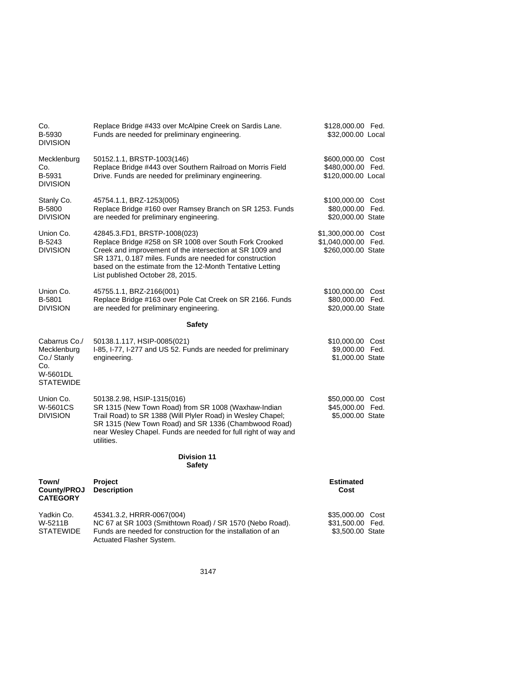| Co.<br>B-5930<br><b>DIVISION</b>                                                   | Replace Bridge #433 over McAlpine Creek on Sardis Lane.<br>Funds are needed for preliminary engineering.                                                                                                                                                                                                       | \$128,000.00 Fed.<br>\$32,000.00 Local                           |  |
|------------------------------------------------------------------------------------|----------------------------------------------------------------------------------------------------------------------------------------------------------------------------------------------------------------------------------------------------------------------------------------------------------------|------------------------------------------------------------------|--|
| Mecklenburg<br>Co.<br>B-5931<br><b>DIVISION</b>                                    | 50152.1.1, BRSTP-1003(146)<br>Replace Bridge #443 over Southern Railroad on Morris Field<br>Drive. Funds are needed for preliminary engineering.                                                                                                                                                               | \$600,000.00 Cost<br>\$480,000.00 Fed.<br>\$120,000.00 Local     |  |
| Stanly Co.<br>B-5800<br><b>DIVISION</b>                                            | 45754.1.1, BRZ-1253(005)<br>Replace Bridge #160 over Ramsey Branch on SR 1253. Funds<br>are needed for preliminary engineering.                                                                                                                                                                                | \$100,000.00 Cost<br>\$80,000.00 Fed.<br>\$20,000.00 State       |  |
| Union Co.<br>B-5243<br><b>DIVISION</b>                                             | 42845.3.FD1, BRSTP-1008(023)<br>Replace Bridge #258 on SR 1008 over South Fork Crooked<br>Creek and improvement of the intersection at SR 1009 and<br>SR 1371, 0.187 miles. Funds are needed for construction<br>based on the estimate from the 12-Month Tentative Letting<br>List published October 28, 2015. | \$1,300,000.00 Cost<br>\$1,040,000.00 Fed.<br>\$260,000.00 State |  |
| Union Co.<br>B-5801<br><b>DIVISION</b>                                             | 45755.1.1, BRZ-2166(001)<br>Replace Bridge #163 over Pole Cat Creek on SR 2166. Funds<br>are needed for preliminary engineering.                                                                                                                                                                               | \$100,000.00 Cost<br>\$80,000.00 Fed.<br>\$20,000.00 State       |  |
|                                                                                    | <b>Safety</b>                                                                                                                                                                                                                                                                                                  |                                                                  |  |
| Cabarrus Co./<br>Mecklenburg<br>Co./ Stanly<br>Co.<br>W-5601DL<br><b>STATEWIDE</b> | 50138.1.117, HSIP-0085(021)<br>I-85, I-77, I-277 and US 52. Funds are needed for preliminary<br>engineering.                                                                                                                                                                                                   | \$10,000.00 Cost<br>\$9,000.00 Fed.<br>\$1,000.00 State          |  |
| Union Co.<br>W-5601CS<br><b>DIVISION</b>                                           | 50138.2.98, HSIP-1315(016)<br>SR 1315 (New Town Road) from SR 1008 (Waxhaw-Indian<br>Trail Road) to SR 1388 (Will Plyler Road) in Wesley Chapel;<br>SR 1315 (New Town Road) and SR 1336 (Chambwood Road)<br>near Wesley Chapel. Funds are needed for full right of way and<br>utilities.                       | \$50,000.00 Cost<br>\$45,000.00 Fed.<br>\$5,000.00 State         |  |
|                                                                                    | <b>Division 11</b><br><b>Safety</b>                                                                                                                                                                                                                                                                            |                                                                  |  |
| Town/<br>County/PROJ<br><b>CATEGORY</b>                                            | Project<br><b>Description</b>                                                                                                                                                                                                                                                                                  | <b>Estimated</b><br>Cost                                         |  |
| Yadkin Co.<br>W-5211B<br><b>STATEWIDE</b>                                          | 45341.3.2, HRRR-0067(004)<br>NC 67 at SR 1003 (Smithtown Road) / SR 1570 (Nebo Road).<br>Funds are needed for construction for the installation of an<br>Actuated Flasher System.                                                                                                                              | \$35,000.00 Cost<br>\$31,500.00 Fed.<br>\$3,500.00 State         |  |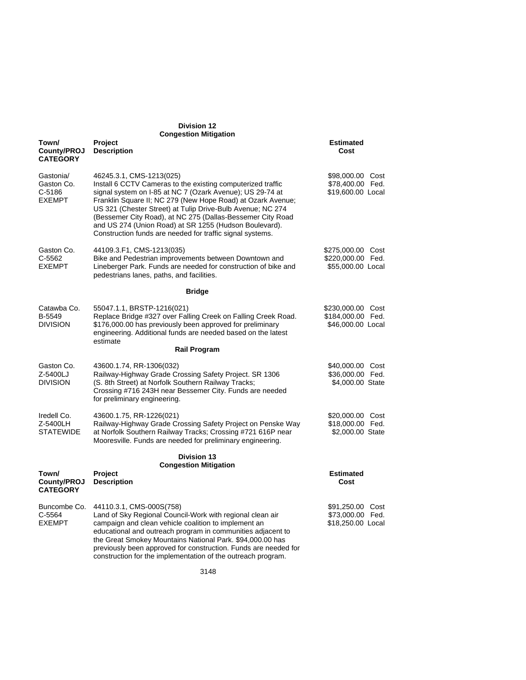| <b>Division 12</b><br><b>Congestion Mitigation</b>   |                                                                                                                                                                                                                                                                                                                                                                                                                                                                        |                                                             |  |
|------------------------------------------------------|------------------------------------------------------------------------------------------------------------------------------------------------------------------------------------------------------------------------------------------------------------------------------------------------------------------------------------------------------------------------------------------------------------------------------------------------------------------------|-------------------------------------------------------------|--|
| Town/<br>County/PROJ<br><b>CATEGORY</b>              | Project<br><b>Description</b>                                                                                                                                                                                                                                                                                                                                                                                                                                          | <b>Estimated</b><br>Cost                                    |  |
| Gastonia/<br>Gaston Co.<br>$C-5186$<br><b>EXEMPT</b> | 46245.3.1, CMS-1213(025)<br>Install 6 CCTV Cameras to the existing computerized traffic<br>signal system on I-85 at NC 7 (Ozark Avenue); US 29-74 at<br>Franklin Square II; NC 279 (New Hope Road) at Ozark Avenue;<br>US 321 (Chester Street) at Tulip Drive-Bulb Avenue; NC 274<br>(Bessemer City Road), at NC 275 (Dallas-Bessemer City Road<br>and US 274 (Union Road) at SR 1255 (Hudson Boulevard).<br>Construction funds are needed for traffic signal systems. | \$98,000.00 Cost<br>\$78,400.00 Fed.<br>\$19,600.00 Local   |  |
| Gaston Co.<br>C-5562<br><b>EXEMPT</b>                | 44109.3.F1, CMS-1213(035)<br>Bike and Pedestrian improvements between Downtown and<br>Lineberger Park. Funds are needed for construction of bike and<br>pedestrians lanes, paths, and facilities.                                                                                                                                                                                                                                                                      | \$275,000.00 Cost<br>\$220,000.00 Fed.<br>\$55,000.00 Local |  |
|                                                      | <b>Bridge</b>                                                                                                                                                                                                                                                                                                                                                                                                                                                          |                                                             |  |
| Catawba Co.<br>B-5549<br><b>DIVISION</b>             | 55047.1.1, BRSTP-1216(021)<br>Replace Bridge #327 over Falling Creek on Falling Creek Road.<br>\$176,000.00 has previously been approved for preliminary<br>engineering. Additional funds are needed based on the latest<br>estimate                                                                                                                                                                                                                                   | \$230,000.00 Cost<br>\$184,000.00 Fed.<br>\$46,000.00 Local |  |
|                                                      | <b>Rail Program</b>                                                                                                                                                                                                                                                                                                                                                                                                                                                    |                                                             |  |
| Gaston Co.<br>Z-5400LJ<br><b>DIVISION</b>            | 43600.1.74, RR-1306(032)<br>Railway-Highway Grade Crossing Safety Project. SR 1306<br>(S. 8th Street) at Norfolk Southern Railway Tracks;<br>Crossing #716 243H near Bessemer City. Funds are needed<br>for preliminary engineering.                                                                                                                                                                                                                                   | \$40,000.00 Cost<br>\$36,000.00 Fed.<br>\$4,000.00 State    |  |
| Iredell Co.<br>Z-5400LH<br><b>STATEWIDE</b>          | 43600.1.75, RR-1226(021)<br>Railway-Highway Grade Crossing Safety Project on Penske Way<br>at Norfolk Southern Railway Tracks; Crossing #721 616P near<br>Mooresville. Funds are needed for preliminary engineering.                                                                                                                                                                                                                                                   | \$20,000.00 Cost<br>\$18,000.00 Fed.<br>\$2,000.00 State    |  |
|                                                      | <b>Division 13</b><br><b>Congestion Mitigation</b>                                                                                                                                                                                                                                                                                                                                                                                                                     |                                                             |  |
| Town/<br>County/PROJ<br><b>CATEGORY</b>              | Project<br><b>Description</b>                                                                                                                                                                                                                                                                                                                                                                                                                                          | <b>Estimated</b><br>Cost                                    |  |
| Buncombe Co.<br>C-5564<br><b>EXEMPT</b>              | 44110.3.1, CMS-000S(758)<br>Land of Sky Regional Council-Work with regional clean air<br>campaign and clean vehicle coalition to implement an<br>educational and outreach program in communities adjacent to<br>the Great Smokey Mountains National Park. \$94,000.00 has<br>previously been approved for construction. Funds are needed for<br>construction for the implementation of the outreach program.                                                           | \$91,250.00 Cost<br>\$73,000.00 Fed.<br>\$18,250.00 Local   |  |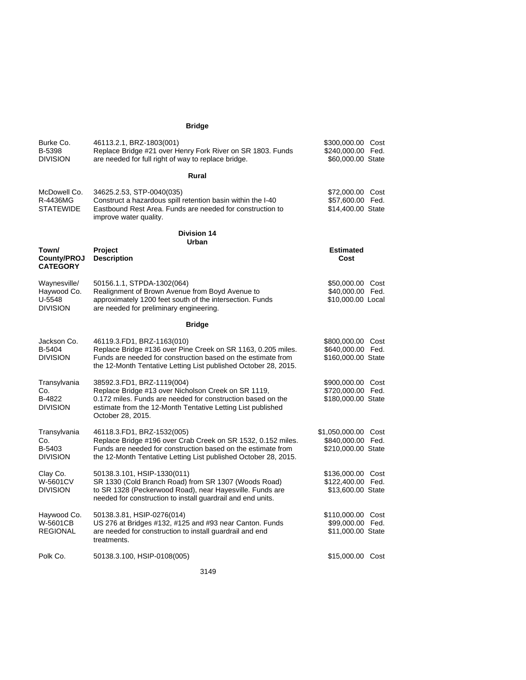# **Bridge**

| Burke Co.<br>B-5398<br><b>DIVISION</b>                   | 46113.2.1, BRZ-1803(001)<br>Replace Bridge #21 over Henry Fork River on SR 1803. Funds<br>are needed for full right of way to replace bridge.                                                                                        | \$300,000.00 Cost<br>\$240,000.00 Fed.<br>\$60,000.00 State    |
|----------------------------------------------------------|--------------------------------------------------------------------------------------------------------------------------------------------------------------------------------------------------------------------------------------|----------------------------------------------------------------|
|                                                          | Rural                                                                                                                                                                                                                                |                                                                |
| McDowell Co.<br>R-4436MG<br>STATEWIDE                    | 34625.2.53, STP-0040(035)<br>Construct a hazardous spill retention basin within the I-40<br>Eastbound Rest Area. Funds are needed for construction to<br>improve water quality.                                                      | \$72,000.00 Cost<br>\$57,600.00 Fed.<br>\$14,400.00 State      |
|                                                          | <b>Division 14</b><br>Urban                                                                                                                                                                                                          |                                                                |
| Town/<br>County/PROJ<br><b>CATEGORY</b>                  | <b>Project</b><br><b>Description</b>                                                                                                                                                                                                 | <b>Estimated</b><br>Cost                                       |
| Waynesville/<br>Haywood Co.<br>U-5548<br><b>DIVISION</b> | 50156.1.1, STPDA-1302(064)<br>Realignment of Brown Avenue from Boyd Avenue to<br>approximately 1200 feet south of the intersection. Funds<br>are needed for preliminary engineering.                                                 | \$50,000.00 Cost<br>\$40,000.00 Fed.<br>\$10,000.00 Local      |
|                                                          | <b>Bridge</b>                                                                                                                                                                                                                        |                                                                |
| Jackson Co.<br>B-5404<br><b>DIVISION</b>                 | 46119.3.FD1, BRZ-1163(010)<br>Replace Bridge #136 over Pine Creek on SR 1163, 0.205 miles.<br>Funds are needed for construction based on the estimate from<br>the 12-Month Tentative Letting List published October 28, 2015.        | \$800,000.00 Cost<br>\$640,000.00 Fed.<br>\$160,000.00 State   |
| Transylvania<br>Co.<br>B-4822<br><b>DIVISION</b>         | 38592.3.FD1, BRZ-1119(004)<br>Replace Bridge #13 over Nicholson Creek on SR 1119,<br>0.172 miles. Funds are needed for construction based on the<br>estimate from the 12-Month Tentative Letting List published<br>October 28, 2015. | \$900,000.00 Cost<br>\$720,000.00 Fed.<br>\$180,000.00 State   |
| Transylvania<br>Co.<br>B-5403<br><b>DIVISION</b>         | 46118.3.FD1, BRZ-1532(005)<br>Replace Bridge #196 over Crab Creek on SR 1532, 0.152 miles.<br>Funds are needed for construction based on the estimate from<br>the 12-Month Tentative Letting List published October 28, 2015.        | \$1,050,000.00 Cost<br>\$840,000.00 Fed.<br>\$210,000.00 State |
| Clay Co.<br><b>W-5601CV</b><br><b>DIVISION</b>           | 50138.3.101, HSIP-1330(011)<br>SR 1330 (Cold Branch Road) from SR 1307 (Woods Road)<br>to SR 1328 (Peckerwood Road), near Hayesville. Funds are<br>needed for construction to install guardrail and end units.                       | \$136,000.00 Cost<br>\$122,400.00 Fed.<br>\$13,600.00 State    |
| Haywood Co.<br>W-5601CB<br><b>REGIONAL</b>               | 50138.3.81, HSIP-0276(014)<br>US 276 at Bridges #132, #125 and #93 near Canton. Funds<br>are needed for construction to install guardrail and end<br>treatments.                                                                     | \$110,000.00 Cost<br>\$99,000.00 Fed.<br>\$11,000.00 State     |
| Polk Co.                                                 | 50138.3.100, HSIP-0108(005)                                                                                                                                                                                                          | \$15,000.00 Cost                                               |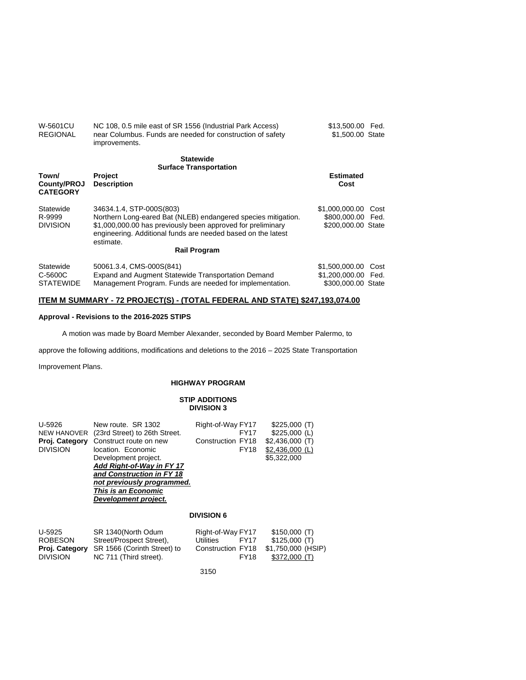| <b>REGIONAL</b>                          | near Columbus. Funds are needed for construction of safety<br>improvements.                                                                                                                                                                                  | \$1,500.00 State                                               |      |
|------------------------------------------|--------------------------------------------------------------------------------------------------------------------------------------------------------------------------------------------------------------------------------------------------------------|----------------------------------------------------------------|------|
|                                          | <b>Statewide</b><br><b>Surface Transportation</b>                                                                                                                                                                                                            |                                                                |      |
| Town/<br>County/PROJ<br><b>CATEGORY</b>  | <b>Project</b><br><b>Description</b>                                                                                                                                                                                                                         | <b>Estimated</b><br>Cost                                       |      |
| Statewide<br>R-9999<br><b>DIVISION</b>   | 34634.1.4, STP-000S(803)<br>Northern Long-eared Bat (NLEB) endangered species mitigation.<br>\$1,000,000.00 has previously been approved for preliminary<br>engineering. Additional funds are needed based on the latest<br>estimate.<br><b>Rail Program</b> | \$1,000,000,00 Cost<br>\$800,000,00 Fed.<br>\$200,000,00 State |      |
| Statewide<br>C-5600C<br><b>STATEWIDE</b> | 50061.3.4, CMS-000S(841)<br>Expand and Augment Statewide Transportation Demand<br>Management Program. Funds are needed for implementation.                                                                                                                   | \$1,500,000.00<br>\$1,200,000.00 Fed.<br>\$300,000,00 State    | Cost |

\$13,500.00 Fed.

NC 108, 0.5 mile east of SR 1556 (Industrial Park Access)

## **ITEM M SUMMARY - 72 PROJECT(S) - (TOTAL FEDERAL AND STATE) \$247,193,074.00**

## **Approval - Revisions to the 2016-2025 STIPS**

A motion was made by Board Member Alexander, seconded by Board Member Palermo, to

approve the following additions, modifications and deletions to the 2016 – 2025 State Transportation

Improvement Plans.

W-5601CU

## **HIGHWAY PROGRAM**

#### **STIP ADDITIONS DIVISION 3**

| U-5926<br><b>NEW HANOVER</b><br>Proj. Category<br><b>DIVISION</b> | New route. SR 1302<br>(23rd Street) to 26th Street.<br>Construct route on new<br>location. Economic<br>Development project.<br>Add Right-of-Way in FY 17<br>and Construction in FY 18<br>not previously programmed.<br>This is an Economic<br>Development project. | Right-of-Way FY17<br>FY <sub>17</sub><br>Construction FY18<br><b>FY18</b>                | \$225,000(T)<br>$$225,000$ (L)<br>\$2.436.000(T)<br>$$2,436,000$ (L)<br>\$5.322,000 |
|-------------------------------------------------------------------|--------------------------------------------------------------------------------------------------------------------------------------------------------------------------------------------------------------------------------------------------------------------|------------------------------------------------------------------------------------------|-------------------------------------------------------------------------------------|
|                                                                   |                                                                                                                                                                                                                                                                    | <b>DIVISION 6</b>                                                                        |                                                                                     |
| U-5925<br><b>ROBESON</b><br>Proj. Category<br><b>DIVISION</b>     | SR 1340(North Odum<br>Street/Prospect Street).<br>SR 1566 (Corinth Street) to<br>NC 711 (Third street).                                                                                                                                                            | Right-of-Way FY17<br><b>Utilities</b><br><b>FY17</b><br>Construction FY18<br><b>FY18</b> | \$150,000(T)<br>\$125,000(T)<br>\$1,750,000 (HSIP)<br>\$372,000 (T)                 |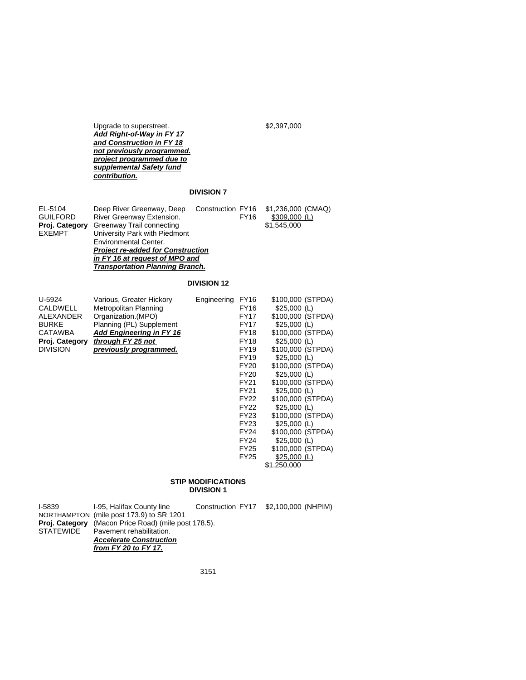Upgrade to superstreet. \$2,397,000 *Add Right-of-Way in FY 17 and Construction in FY 18 not previously programmed. project programmed due to supplemental Safety fund contribution.* 

# **DIVISION 7**

| EL-5104         | Deep River Greenway, Deep                |             | Construction FY16 \$1,236,000 (CMAQ) |  |  |
|-----------------|------------------------------------------|-------------|--------------------------------------|--|--|
| <b>GUILFORD</b> | River Greenway Extension.                | <b>FY16</b> | $$309,000$ (L)                       |  |  |
| Proj. Category  | Greenway Trail connecting                |             | \$1,545,000                          |  |  |
| <b>EXEMPT</b>   | University Park with Piedmont            |             |                                      |  |  |
|                 | <b>Environmental Center.</b>             |             |                                      |  |  |
|                 | <b>Project re-added for Construction</b> |             |                                      |  |  |
|                 | in FY 16 at request of MPO and           |             |                                      |  |  |
|                 | <b>Transportation Planning Branch.</b>   |             |                                      |  |  |

# **DIVISION 12**

| U-5924          | Various, Greater Hickory        | Engineering | <b>FY16</b> | \$100,000 (STPDA) |
|-----------------|---------------------------------|-------------|-------------|-------------------|
| <b>CALDWELL</b> | Metropolitan Planning           |             | <b>FY16</b> | $$25,000$ (L)     |
| ALEXANDER       | Organization. (MPO)             |             | FY17        | \$100,000 (STPDA) |
| <b>BURKE</b>    | Planning (PL) Supplement        |             | FY17        | $$25,000$ (L)     |
| CATAWBA         | <b>Add Engineering in FY 16</b> |             | FY18        | \$100,000 (STPDA) |
| Proj. Category  | through FY 25 not               |             | FY18        | $$25,000$ (L)     |
| <b>DIVISION</b> | previously programmed.          |             | <b>FY19</b> | \$100,000 (STPDA) |
|                 |                                 |             | FY19        | $$25,000$ (L)     |
|                 |                                 |             | FY20        | \$100,000 (STPDA) |
|                 |                                 |             | <b>FY20</b> | $$25,000$ (L)     |
|                 |                                 |             | FY21        | \$100,000 (STPDA) |
|                 |                                 |             | <b>FY21</b> | $$25,000$ (L)     |
|                 |                                 |             | FY22        | \$100,000 (STPDA) |
|                 |                                 |             | FY22        | $$25,000$ (L)     |
|                 |                                 |             | FY23        | \$100,000 (STPDA) |
|                 |                                 |             | FY23        | $$25,000$ (L)     |
|                 |                                 |             | FY24        | \$100,000 (STPDA) |
|                 |                                 |             | <b>FY24</b> | $$25,000$ (L)     |
|                 |                                 |             | FY25        | \$100,000 (STPDA) |
|                 |                                 |             | FY25        | $$25,000$ (L)     |
|                 |                                 |             |             | \$1,250,000       |
|                 |                                 |             |             |                   |

## **STIP MODIFICATIONS DIVISION 1**

I-5839 I-95, Halifax County line Construction FY17 \$2,100,000 (NHPIM)

NORTHAMPTON (mile post 173.9) to SR 1201 **Proj. Category** (Macon Price Road) (mile post 178.5). STATEWIDE Pavement rehabilitation. *Accelerate Construction from FY 20 to FY 17.*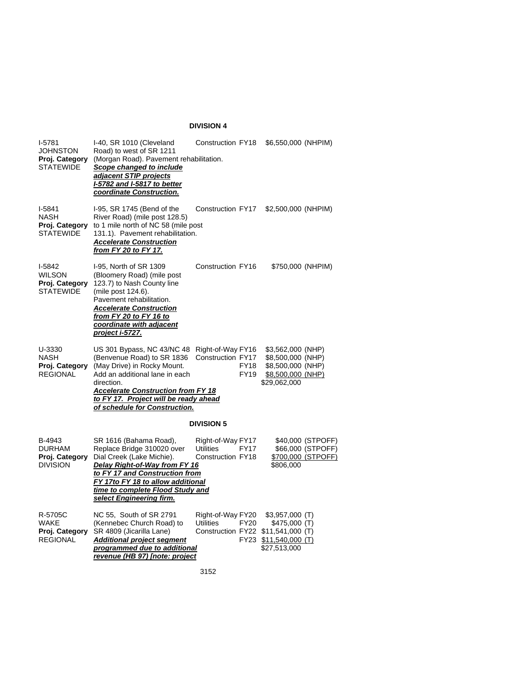# **DIVISION 4**

| $I-5781$<br>JOHNSTON<br>Proj. Category<br><b>STATEWIDE</b>    | I-40, SR 1010 (Cleveland<br>Road) to west of SR 1211<br>(Morgan Road). Pavement rehabilitation.<br>Scope changed to include<br>adjacent STIP projects<br>I-5782 and I-5817 to better<br>coordinate Construction.                                               | Construction FY18                                                           |                            | \$6,550,000 (NHPIM)                                                                              |                                                                     |
|---------------------------------------------------------------|----------------------------------------------------------------------------------------------------------------------------------------------------------------------------------------------------------------------------------------------------------------|-----------------------------------------------------------------------------|----------------------------|--------------------------------------------------------------------------------------------------|---------------------------------------------------------------------|
| $I-5841$<br><b>NASH</b><br>Proj. Category<br><b>STATEWIDE</b> | I-95, SR 1745 (Bend of the<br>River Road) (mile post 128.5)<br>to 1 mile north of NC 58 (mile post<br>131.1). Pavement rehabilitation.<br><b>Accelerate Construction</b><br>from FY 20 to FY 17.                                                               | Construction FY17                                                           |                            | \$2,500,000 (NHPIM)                                                                              |                                                                     |
| I-5842<br><b>WILSON</b><br>Proj. Category<br><b>STATEWIDE</b> | I-95, North of SR 1309<br>(Bloomery Road) (mile post<br>123.7) to Nash County line<br>(mile post 124.6).<br>Pavement rehabilitation.<br><b>Accelerate Construction</b><br>from FY 20 to FY 16 to<br>coordinate with adjacent<br>project i-5727.                | Construction FY16                                                           |                            | \$750,000 (NHPIM)                                                                                |                                                                     |
| U-3330<br>NASH<br>Proj. Category<br><b>REGIONAL</b>           | US 301 Bypass, NC 43/NC 48<br>(Benvenue Road) to SR 1836<br>(May Drive) in Rocky Mount.<br>Add an additional lane in each<br>direction.<br><b>Accelerate Construction from FY 18</b><br>to FY 17. Project will be ready ahead<br>of schedule for Construction. | Right-of-Way FY16<br>Construction FY17                                      | <b>FY18</b><br><b>FY19</b> | \$3,562,000 (NHP)<br>\$8,500,000 (NHP)<br>\$8,500,000 (NHP)<br>\$8,500,000 (NHP)<br>\$29,062,000 |                                                                     |
|                                                               |                                                                                                                                                                                                                                                                | <b>DIVISION 5</b>                                                           |                            |                                                                                                  |                                                                     |
| B-4943<br><b>DURHAM</b><br>Proj. Category<br><b>DIVISION</b>  | SR 1616 (Bahama Road),<br>Replace Bridge 310020 over<br>Dial Creek (Lake Michie).<br>Delay Right-of-Way from FY 16<br>to FY 17 and Construction from<br>FY 17to FY 18 to allow additional<br>time to complete Flood Study and<br>select Engineering firm.      | Right-of-Way FY17<br><b>Utilities</b><br>Construction FY18                  | <b>FY17</b>                | \$806,000                                                                                        | \$40,000 (STPOFF)<br>\$66,000 (STPOFF)<br><u>\$700,000 (STPOFF)</u> |
| R-5705C<br>WAKE<br>Proj. Category<br><b>REGIONAL</b>          | NC 55, South of SR 2791<br>(Kennebec Church Road) to<br>SR 4809 (Jicarilla Lane)<br><b>Additional project segment</b><br>programmed due to additional<br>revenue (HB 97) [note: project                                                                        | Right-of-Way FY20<br><b>Utilities</b><br>Construction FY22 \$11,541,000 (T) | FY20                       | \$3,957,000 (T)<br>\$475,000 (T)<br>FY23 \$11,540,000 (T)<br>\$27,513,000                        |                                                                     |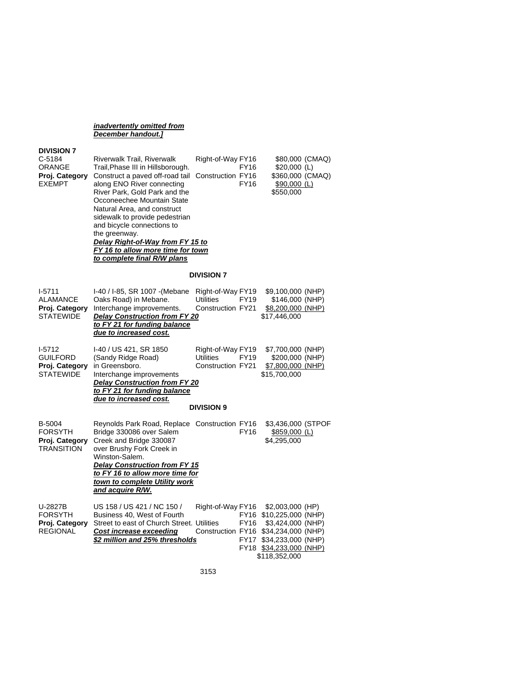*inadvertently omitted from December handout.]* 

# **DIVISION 7**

| C-5184<br>ORANGE<br>Proj. Category<br><b>EXEMPT</b>               | Riverwalk Trail, Riverwalk<br>Trail, Phase III in Hillsborough.<br>Construct a paved off-road tail<br>along ENO River connecting<br>River Park, Gold Park and the<br>Occoneechee Mountain State<br>Natural Area, and construct<br>sidewalk to provide pedestrian<br>and bicycle connections to<br>the greenway.<br>Delay Right-of-Way from FY 15 to<br>FY 16 to allow more time for town<br>to complete final R/W plans | Right-of-Way FY16<br>Construction FY16                                          | <b>FY16</b><br>FY16 | \$80,000 (CMAQ)<br>\$20,000 (L)<br>\$360,000 (CMAQ)<br><u>\$90,000 (L)</u><br>\$550,000                                                                                         |  |
|-------------------------------------------------------------------|-------------------------------------------------------------------------------------------------------------------------------------------------------------------------------------------------------------------------------------------------------------------------------------------------------------------------------------------------------------------------------------------------------------------------|---------------------------------------------------------------------------------|---------------------|---------------------------------------------------------------------------------------------------------------------------------------------------------------------------------|--|
|                                                                   |                                                                                                                                                                                                                                                                                                                                                                                                                         | <b>DIVISION 7</b>                                                               |                     |                                                                                                                                                                                 |  |
| $1-5711$<br><b>ALAMANCE</b><br>Proj. Category<br><b>STATEWIDE</b> | I-40 / I-85, SR 1007 - (Mebane<br>Oaks Road) in Mebane.<br>Interchange improvements.<br><b>Delay Construction from FY 20</b><br>to FY 21 for funding balance<br>due to increased cost.                                                                                                                                                                                                                                  | Right-of-Way FY19<br><b>Utilities</b><br>Construction FY21                      | FY19                | \$9,100,000 (NHP)<br>\$146,000 (NHP)<br>\$8,200,000 (NHP)<br>\$17,446,000                                                                                                       |  |
| $1-5712$<br><b>GUILFORD</b><br>Proj. Category<br><b>STATEWIDE</b> | I-40 / US 421, SR 1850<br>(Sandy Ridge Road)<br>in Greensboro.<br>Interchange improvements<br>Delay Construction from FY 20<br>to FY 21 for funding balance<br>due to increased cost.                                                                                                                                                                                                                                   | Right-of-Way FY19<br><b>Utilities</b><br>Construction FY21<br><b>DIVISION 9</b> | FY19                | \$7,700,000 (NHP)<br>\$200,000 (NHP)<br>\$7,800,000 (NHP)<br>\$15,700,000                                                                                                       |  |
| B-5004<br><b>FORSYTH</b><br>Proj. Category<br><b>TRANSITION</b>   | Reynolds Park Road, Replace Construction FY16<br>Bridge 330086 over Salem<br>Creek and Bridge 330087<br>over Brushy Fork Creek in<br>Winston-Salem.<br><b>Delay Construction from FY 15</b><br>to FY 16 to allow more time for<br>town to complete Utility work<br><u>and acquire R/W.</u>                                                                                                                              |                                                                                 | <b>FY16</b>         | \$3,436,000 (STPOF<br><u>\$859,000 (L)</u><br>\$4,295,000                                                                                                                       |  |
| U-2827B<br><b>FORSYTH</b><br>Proj. Category<br><b>REGIONAL</b>    | US 158 / US 421 / NC 150 /<br>Business 40, West of Fourth<br>Street to east of Church Street. Utilities<br><b>Cost increase exceeding</b><br>\$2 million and 25% thresholds                                                                                                                                                                                                                                             | Right-of-Way FY16                                                               | <b>FY16</b>         | \$2,003,000 (HP)<br>FY16 \$10,225,000 (NHP)<br>\$3,424,000 (NHP)<br>Construction FY16 \$34,234,000 (NHP)<br>FY17 \$34,233,000 (NHP)<br>FY18 \$34,233,000 (NHP)<br>\$118,352,000 |  |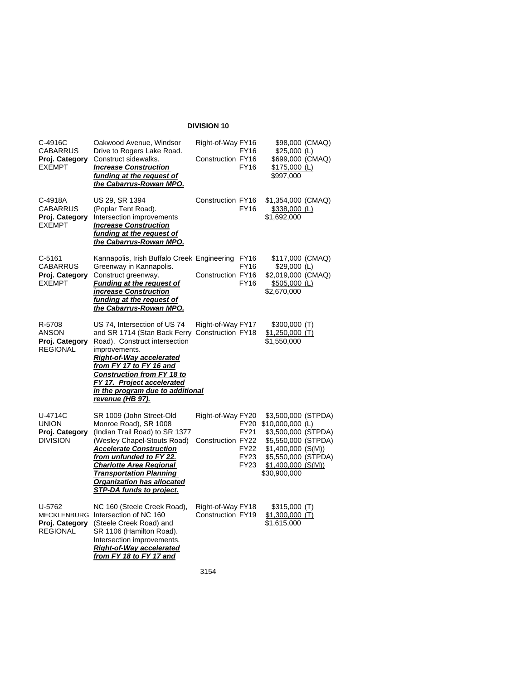# **DIVISION 10**

| C-4916C<br>CABARRUS                                        | Oakwood Avenue, Windsor<br>Drive to Rogers Lake Road.                                                                                                                                                                                   | Right-of-Way FY16                      | FY16                       | \$98,000 (CMAQ)<br>$$25,000$ (L)                                    |
|------------------------------------------------------------|-----------------------------------------------------------------------------------------------------------------------------------------------------------------------------------------------------------------------------------------|----------------------------------------|----------------------------|---------------------------------------------------------------------|
| Proj. Category<br><b>EXEMPT</b>                            | Construct sidewalks.<br><b>Increase Construction</b><br>funding at the request of<br>the Cabarrus-Rowan MPO.                                                                                                                            | Construction FY16                      | <b>FY16</b>                | \$699,000 (CMAQ)<br>$$175,000$ (L)<br>\$997,000                     |
| C-4918A<br>CABARRUS<br>Proj. Category<br><b>EXEMPT</b>     | US 29, SR 1394<br>(Poplar Tent Road).<br>Intersection improvements<br><b>Increase Construction</b><br>funding at the request of<br>the Cabarrus-Rowan MPO.                                                                              | Construction FY16                      | FY16                       | \$1,354,000 (CMAQ)<br>\$338,000 (L)<br>\$1,692,000                  |
| $C-5161$<br>CABARRUS                                       | Kannapolis, Irish Buffalo Creek Engineering FY16<br>Greenway in Kannapolis.                                                                                                                                                             |                                        | FY16                       | \$117,000 (CMAQ)<br>$$29,000$ (L)                                   |
| Proj. Category<br><b>EXEMPT</b>                            | Construct greenway.<br><b>Funding at the request of</b><br>increase Construction<br>funding at the request of<br>the Cabarrus-Rowan MPO.                                                                                                | Construction FY16                      | <b>FY16</b>                | \$2,019,000 (CMAQ)<br>$$505,000$ (L)<br>\$2,670,000                 |
| R-5708<br><b>ANSON</b>                                     | US 74, Intersection of US 74<br>and SR 1714 (Stan Back Ferry                                                                                                                                                                            | Right-of-Way FY17<br>Construction FY18 |                            | \$300,000(T)<br>$$1,250,000$ (T)                                    |
| Proj. Category<br><b>REGIONAL</b>                          | Road). Construct intersection<br>improvements.<br>Right-of-Way accelerated<br>from FY 17 to FY 16 and<br><b>Construction from FY 18 to</b><br>FY 17. Project accelerated<br>in the program due to additional<br><u>revenue (HB 97).</u> |                                        |                            | \$1,550,000                                                         |
| U-4714C<br><b>UNION</b><br>Proj. Category                  | SR 1009 (John Street-Old<br>Monroe Road), SR 1008<br>(Indian Trail Road) to SR 1377                                                                                                                                                     | Right-of-Way FY20                      | FY21                       | \$3,500,000 (STPDA)<br>FY20 \$10,000,000 (L)<br>\$3,500,000 (STPDA) |
| <b>DIVISION</b>                                            | (Wesley Chapel-Stouts Road)<br><b>Accelerate Construction</b>                                                                                                                                                                           | Construction FY22                      | <b>FY22</b>                | \$5,550,000 (STPDA)<br>\$1,400,000 (S(M))                           |
|                                                            | from unfunded to FY 22.<br><b>Charlotte Area Regional</b><br><b>Transportation Planning</b><br>Organization has allocated<br><b>STP-DA funds to project.</b>                                                                            |                                        | <b>FY23</b><br><b>FY23</b> | \$5,550,000 (STPDA)<br>\$1,400,000 (S(M))<br>\$30,900,000           |
| U-5762<br>MECKLENBURG<br>Proj. Category<br><b>REGIONAL</b> | NC 160 (Steele Creek Road),<br>Intersection of NC 160<br>(Steele Creek Road) and<br>SR 1106 (Hamilton Road).<br>Intersection improvements.<br>Right-of-Way accelerated<br>from FY 18 to FY 17 and                                       | Right-of-Way FY18<br>Construction FY19 |                            | \$315,000 (T)<br>$$1,300,000$ (T)<br>\$1,615,000                    |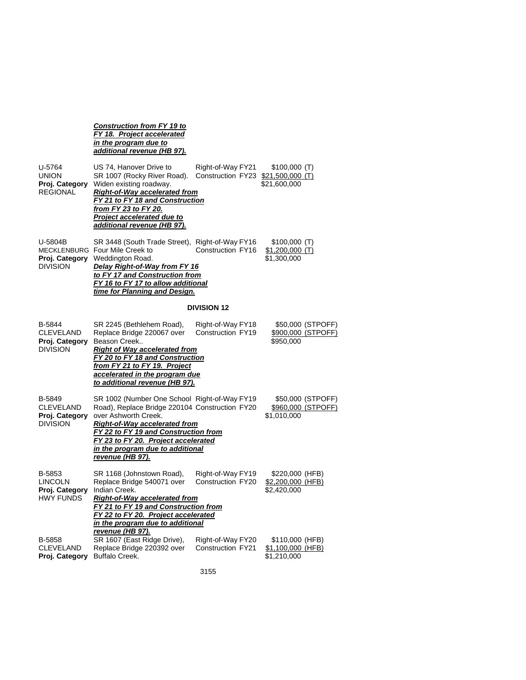*Construction from FY 19 to FY 18. Project accelerated in the program due to additional revenue (HB 97).* 

| U-5764<br>union<br>Proj. Category<br>REGIONAL     | US 74, Hanover Drive to<br>SR 1007 (Rocky River Road).<br>Widen existing roadway.<br><b>Right-of-Way accelerated from</b><br>FY 21 to FY 18 and Construction<br><u>from FY 23 to FY 20.</u><br><b>Project accelerated due to</b><br>additional revenue (HB 97).                                       | Right-of-Way FY21<br>Construction FY23 \$21,500,000 (T) | \$100,000 (T)<br>\$21,600,000                          |
|---------------------------------------------------|-------------------------------------------------------------------------------------------------------------------------------------------------------------------------------------------------------------------------------------------------------------------------------------------------------|---------------------------------------------------------|--------------------------------------------------------|
| U-5804B<br>Proj. Category<br>DIVISION             | SR 3448 (South Trade Street), Right-of-Way FY16<br>MECKLENBURG Four Mile Creek to<br>Weddington Road.<br>Delay Right-of-Way from FY 16<br>to FY 17 and Construction from<br>FY 16 to FY 17 to allow additional<br>time for Planning and Design.                                                       | Construction FY16                                       | \$100,000 (T)<br><u>\$1,200,000 (T)</u><br>\$1,300,000 |
|                                                   |                                                                                                                                                                                                                                                                                                       | <b>DIVISION 12</b>                                      |                                                        |
| B-5844<br>CLEVELAND<br>Proj. Category<br>DIVISION | SR 2245 (Bethlehem Road),<br>Replace Bridge 220067 over<br>Beason Creek<br><b>Right of Way accelerated from</b><br>FY 20 to FY 18 and Construction<br>from FY 21 to FY 19. Project<br>accelerated in the program due<br>to additional revenue (HB 97).                                                | Right-of-Way FY18<br>Construction FY19                  | \$50,000 (STPOFF)<br>\$900,000 (STPOFF)<br>\$950,000   |
| B-5849<br>CLEVELAND<br>Proj. Category<br>DIVISION | SR 1002 (Number One School Right-of-Way FY19<br>Road), Replace Bridge 220104 Construction FY20<br>over Ashworth Creek.<br><b>Right-of-Way accelerated from</b><br>FY 22 to FY 19 and Construction from<br>FY 23 to FY 20. Project accelerated<br>in the program due to additional<br>revenue (HB 97). |                                                         | \$50,000 (STPOFF)<br>\$960,000 (STPOFF)<br>\$1,010,000 |
| B-5853<br>LINCOLN<br>Proj. Category<br>HWY FUNDS  | SR 1168 (Johnstown Road),<br>Replace Bridge 540071 over<br>Indian Creek.<br><b>Right-of-Way accelerated from</b><br>FY 21 to FY 19 and Construction from<br>FY 22 to FY 20. Project accelerated<br>in the program due to additional<br>revenue (HB 97).                                               | Right-of-Way FY19<br>Construction FY20                  | \$220,000 (HFB)<br>\$2,200,000 (HFB)<br>\$2,420,000    |
| B-5858<br>CLEVELAND<br>Proj. Category             | SR 1607 (East Ridge Drive),<br>Replace Bridge 220392 over<br><b>Buffalo Creek.</b>                                                                                                                                                                                                                    | Right-of-Way FY20<br><b>Construction FY21</b>           | \$110,000 (HFB)<br>\$1,100,000 (HFB)<br>\$1,210,000    |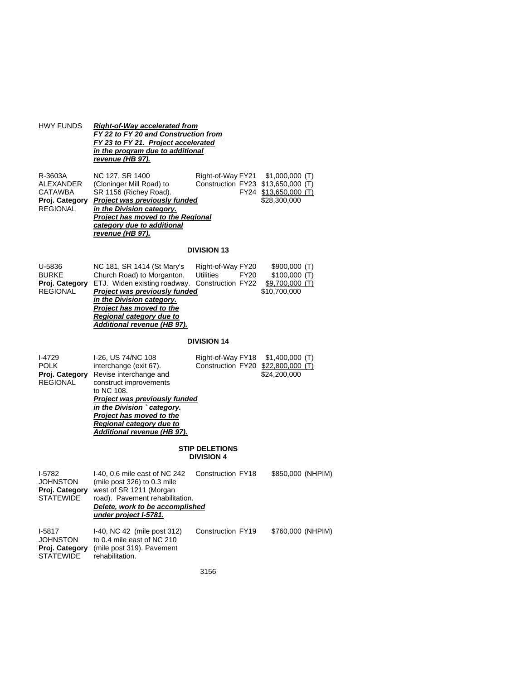| <b>HWY FUNDS</b>                                                            | <b>Right-of-Way accelerated from</b><br>FY 22 to FY 20 and Construction from<br>FY 23 to FY 21. Project accelerated<br><u>in the program due to additional</u><br>revenue (HB 97).                                                                                           |                                                                    |                                                                   |
|-----------------------------------------------------------------------------|------------------------------------------------------------------------------------------------------------------------------------------------------------------------------------------------------------------------------------------------------------------------------|--------------------------------------------------------------------|-------------------------------------------------------------------|
| R-3603A<br>ALEXANDER<br><b>CATAWBA</b><br>Proj. Category<br><b>REGIONAL</b> | NC 127, SR 1400<br>(Cloninger Mill Road) to<br>SR 1156 (Richey Road).<br>Project was previously funded<br>in the Division category.<br><b>Project has moved to the Regional</b><br>category due to additional<br>revenue (HB 97).                                            | Right-of-Way FY21<br>Construction FY23 \$13,650,000 (T)            | \$1,000,000 (T)<br>FY24 \$13,650,000 (T)<br>\$28,300,000          |
|                                                                             |                                                                                                                                                                                                                                                                              | <b>DIVISION 13</b>                                                 |                                                                   |
| U-5836<br><b>BURKE</b><br>Proj. Category<br><b>REGIONAL</b>                 | NC 181, SR 1414 (St Mary's<br>Church Road) to Morganton.<br>ETJ. Widen existing roadway.<br><b>Project was previously funded</b><br>in the Division category.<br>Project has moved to the<br>Regional category due to<br>Additional revenue (HB 97).                         | Right-of-Way FY20<br>Utilities<br><b>FY20</b><br>Construction FY22 | \$900,000 (T)<br>\$100,000 (T)<br>\$9,700,000 (T)<br>\$10,700,000 |
|                                                                             |                                                                                                                                                                                                                                                                              | <b>DIVISION 14</b>                                                 |                                                                   |
| I-4729<br><b>POLK</b><br>Proj. Category<br><b>REGIONAL</b>                  | I-26, US 74/NC 108<br>interchange (exit 67).<br>Revise interchange and<br>construct improvements<br>to NC 108.<br><b>Project was previously funded</b><br>in the Division ` category.<br>Project has moved to the<br>Regional category due to<br>Additional revenue (HB 97). | Right-of-Way FY18<br>Construction FY20 \$22,800,000 (T)            | \$1,400,000 (T)<br>\$24,200,000                                   |
|                                                                             |                                                                                                                                                                                                                                                                              | <b>STIP DELETIONS</b><br><b>DIVISION 4</b>                         |                                                                   |
| I-5782<br>JOHNSTON<br>Proj. Category<br><b>STATEWIDE</b>                    | I-40, 0.6 mile east of NC 242<br>(mile post 326) to 0.3 mile<br>west of SR 1211 (Morgan<br>road). Pavement rehabilitation.<br>Delete, work to be accomplished<br>under project I-5781.                                                                                       | Construction FY18                                                  | \$850,000 (NHPIM)                                                 |
| I-5817<br><b>JOHNSTON</b><br>Proj. Category<br><b>STATEWIDE</b>             | I-40, NC 42 (mile post 312)<br>to 0.4 mile east of NC 210<br>(mile post 319). Pavement<br>rehabilitation.                                                                                                                                                                    | Construction FY19                                                  | \$760,000 (NHPIM)                                                 |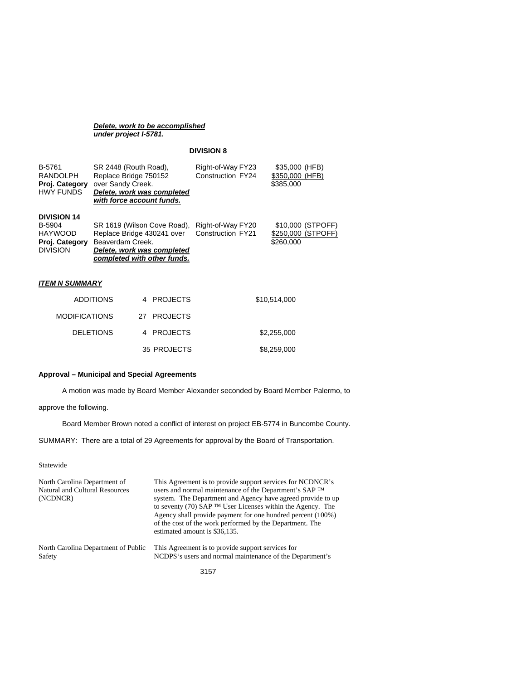#### *Delete, work to be accomplished under project I-5781.*

## **DIVISION 8**

| B-5761<br>RANDOLPH<br>Proj. Category<br><b>HWY FUNDS</b>                            | SR 2448 (Routh Road).<br>Replace Bridge 750152<br>over Sandy Creek.<br>Delete, work was completed<br>with force account funds.             | Right-of-Way FY23<br>Construction FY24 | \$35,000 (HFB)<br>\$350,000 (HFB)<br>\$385,000       |
|-------------------------------------------------------------------------------------|--------------------------------------------------------------------------------------------------------------------------------------------|----------------------------------------|------------------------------------------------------|
| <b>DIVISION 14</b><br>B-5904<br><b>HAYWOOD</b><br>Proj. Category<br><b>DIVISION</b> | SR 1619 (Wilson Cove Road),<br>Replace Bridge 430241 over<br>Beaverdam Creek.<br>Delete, work was completed<br>completed with other funds. | Right-of-Way FY20<br>Construction FY21 | \$10,000 (STPOFF)<br>\$250,000 (STPOFF)<br>\$260,000 |
| <b>ITEM N SUMMARY</b>                                                               |                                                                                                                                            |                                        |                                                      |

| <b>ADDITIONS</b>     | 4 PROJECTS  | \$10,514,000 |
|----------------------|-------------|--------------|
| <b>MODIFICATIONS</b> | 27 PROJECTS |              |
| <b>DELETIONS</b>     | 4 PROJECTS  | \$2,255,000  |
|                      | 35 PROJECTS | \$8,259,000  |

# **Approval – Municipal and Special Agreements**

A motion was made by Board Member Alexander seconded by Board Member Palermo, to

# approve the following.

Board Member Brown noted a conflict of interest on project EB-5774 in Buncombe County.

SUMMARY: There are a total of 29 Agreements for approval by the Board of Transportation.

Statewide

| North Carolina Department of<br>Natural and Cultural Resources<br>(NCDNCR) | This Agreement is to provide support services for NCDNCR's<br>users and normal maintenance of the Department's SAP TM<br>system. The Department and Agency have agreed provide to up<br>to seventy (70) SAP <sup>TM</sup> User Licenses within the Agency. The<br>Agency shall provide payment for one hundred percent (100%)<br>of the cost of the work performed by the Department. The<br>estimated amount is \$36,135. |
|----------------------------------------------------------------------------|----------------------------------------------------------------------------------------------------------------------------------------------------------------------------------------------------------------------------------------------------------------------------------------------------------------------------------------------------------------------------------------------------------------------------|
| North Carolina Department of Public                                        | This Agreement is to provide support services for                                                                                                                                                                                                                                                                                                                                                                          |
| Safety                                                                     | NCDPS's users and normal maintenance of the Department's                                                                                                                                                                                                                                                                                                                                                                   |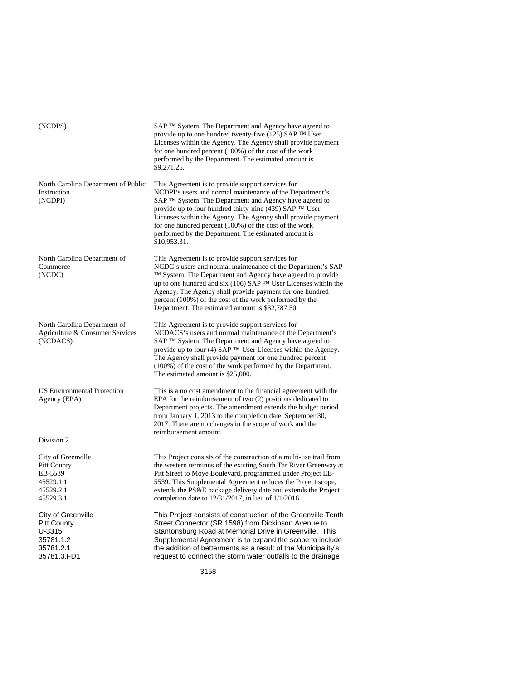| (NCDPS)                                                                                     | SAP TM System. The Department and Agency have agreed to<br>provide up to one hundred twenty-five (125) SAP ™ User<br>Licenses within the Agency. The Agency shall provide payment<br>for one hundred percent (100%) of the cost of the work<br>performed by the Department. The estimated amount is<br>\$9,271.25.                                                                                                                       |
|---------------------------------------------------------------------------------------------|------------------------------------------------------------------------------------------------------------------------------------------------------------------------------------------------------------------------------------------------------------------------------------------------------------------------------------------------------------------------------------------------------------------------------------------|
| North Carolina Department of Public<br>Instruction<br>(NCDPI)                               | This Agreement is to provide support services for<br>NCDPI's users and normal maintenance of the Department's<br>SAP ™ System. The Department and Agency have agreed to<br>provide up to four hundred thirty-nine (439) SAP ™ User<br>Licenses within the Agency. The Agency shall provide payment<br>for one hundred percent $(100\%)$ of the cost of the work<br>performed by the Department. The estimated amount is<br>\$10,953.31.  |
| North Carolina Department of<br>Commerce<br>(NCDC)                                          | This Agreement is to provide support services for<br>NCDC's users and normal maintenance of the Department's SAP<br>TM System. The Department and Agency have agreed to provide<br>up to one hundred and six (106) SAP <sup>TM</sup> User Licenses within the<br>Agency. The Agency shall provide payment for one hundred<br>percent (100%) of the cost of the work performed by the<br>Department. The estimated amount is \$32,787.50. |
| North Carolina Department of<br>Agriculture & Consumer Services<br>(NCDACS)                 | This Agreement is to provide support services for<br>NCDACS's users and normal maintenance of the Department's<br>SAP ™ System. The Department and Agency have agreed to<br>provide up to four (4) SAP ™ User Licenses within the Agency.<br>The Agency shall provide payment for one hundred percent<br>(100%) of the cost of the work performed by the Department.<br>The estimated amount is \$25,000.                                |
| <b>US Environmental Protection</b><br>Agency (EPA)                                          | This is a no cost amendment to the financial agreement with the<br>EPA for the reimbursement of two (2) positions dedicated to<br>Department projects. The amendment extends the budget period<br>from January 1, 2013 to the completion date, September 30,<br>2017. There are no changes in the scope of work and the<br>reimbursement amount.                                                                                         |
| Division 2                                                                                  |                                                                                                                                                                                                                                                                                                                                                                                                                                          |
| City of Greenville<br>Pitt County<br>EB-5539<br>45529.1.1<br>45529.2.1<br>45529.3.1         | This Project consists of the construction of a multi-use trail from<br>the western terminus of the existing South Tar River Greenway at<br>Pitt Street to Moye Boulevard, programmed under Project EB-<br>5539. This Supplemental Agreement reduces the Project scope,<br>extends the PS&E package delivery date and extends the Project<br>completion date to $12/31/2017$ , in lieu of $1/1/2016$ .                                    |
| City of Greenville<br><b>Pitt County</b><br>U-3315<br>35781.1.2<br>35781.2.1<br>35781.3.FD1 | This Project consists of construction of the Greenville Tenth<br>Street Connector (SR 1598) from Dickinson Avenue to<br>Stantonsburg Road at Memorial Drive in Greenville. This<br>Supplemental Agreement is to expand the scope to include<br>the addition of betterments as a result of the Municipality's<br>request to connect the storm water outfalls to the drainage                                                              |
|                                                                                             | 3158                                                                                                                                                                                                                                                                                                                                                                                                                                     |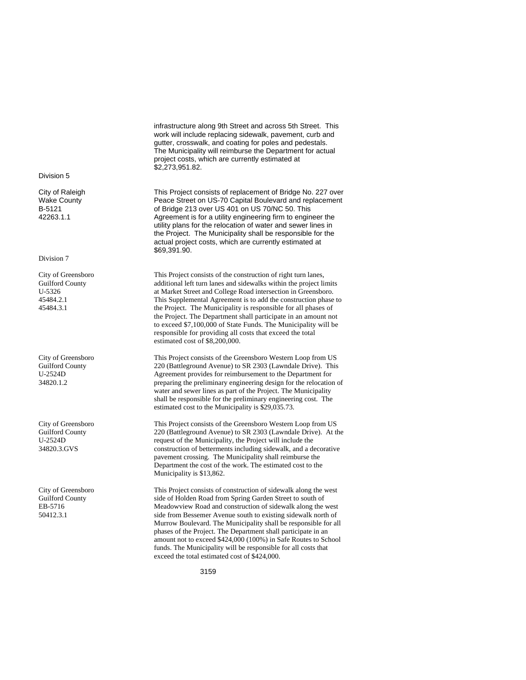infrastructure along 9th Street and across 5th Street. This work will include replacing sidewalk, pavement, curb and gutter, crosswalk, and coating for poles and pedestals. The Municipality will reimburse the Department for actual project costs, which are currently estimated at \$2,273,951.82.

This Project consists of replacement of Bridge No. 227 over Peace Street on US-70 Capital Boulevard and replacement of Bridge 213 over US 401 on US 70/NC 50. This Agreement is for a utility engineering firm to engineer the utility plans for the relocation of water and sewer lines in the Project. The Municipality shall be responsible for the actual project costs, which are currently estimated at \$69,391.90.

This Project consists of the construction of right turn lanes, additional left turn lanes and sidewalks within the project limits at Market Street and College Road intersection in Greensboro. This Supplemental Agreement is to add the construction phase to the Project. The Municipality is responsible for all phases of the Project. The Department shall participate in an amount not to exceed \$7,100,000 of State Funds. The Municipality will be responsible for providing all costs that exceed the total estimated cost of \$8,200,000.

This Project consists of the Greensboro Western Loop from US 220 (Battleground Avenue) to SR 2303 (Lawndale Drive). This Agreement provides for reimbursement to the Department for preparing the preliminary engineering design for the relocation of water and sewer lines as part of the Project. The Municipality shall be responsible for the preliminary engineering cost. The estimated cost to the Municipality is \$29,035.73.

This Project consists of the Greensboro Western Loop from US 220 (Battleground Avenue) to SR 2303 (Lawndale Drive). At the request of the Municipality, the Project will include the construction of betterments including sidewalk, and a decorative pavement crossing. The Municipality shall reimburse the Department the cost of the work. The estimated cost to the Municipality is \$13,862.

This Project consists of construction of sidewalk along the west side of Holden Road from Spring Garden Street to south of Meadowview Road and construction of sidewalk along the west side from Bessemer Avenue south to existing sidewalk north of Murrow Boulevard. The Municipality shall be responsible for all phases of the Project. The Department shall participate in an amount not to exceed \$424,000 (100%) in Safe Routes to School funds. The Municipality will be responsible for all costs that exceed the total estimated cost of \$424,000.

Division 5

City of Raleigh Wake County B-5121 42263.1.1

#### Division 7

City of Greensboro Guilford County U-5326 45484.2.1 45484.3.1

City of Greensboro Guilford County U-2524D 34820.1.2

City of Greensboro Guilford County U-2524D 34820.3.GVS

City of Greensboro Guilford County EB-5716 50412.3.1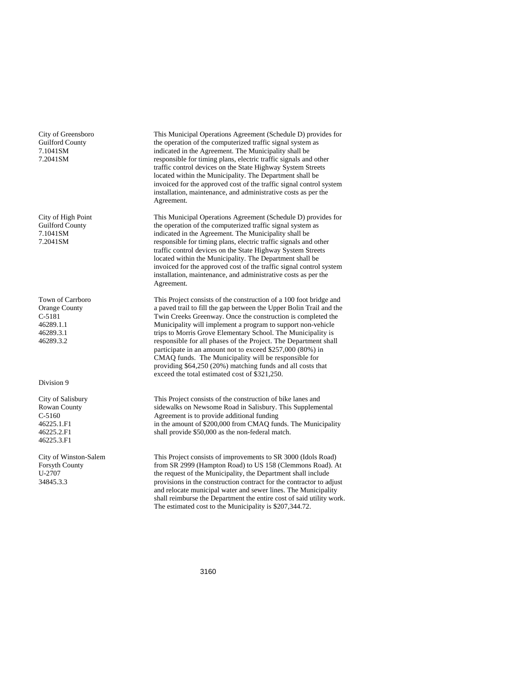City of Greensboro Guilford County 7.1041SM 7.2041SM

City of High Point Guilford County 7.1041SM 7.2041SM

Town of Carrboro Orange County C-5181 46289.1.1 46289.3.1 46289.3.2

#### Division 9

City of Salisbury Rowan County C-5160 46225.1.F1 46225.2.F1 46225.3.F1

City of Winston-Salem Forsyth County U-2707 34845.3.3

This Municipal Operations Agreement (Schedule D) provides for the operation of the computerized traffic signal system as indicated in the Agreement. The Municipality shall be responsible for timing plans, electric traffic signals and other traffic control devices on the State Highway System Streets located within the Municipality. The Department shall be invoiced for the approved cost of the traffic signal control system installation, maintenance, and administrative costs as per the Agreement.

This Municipal Operations Agreement (Schedule D) provides for the operation of the computerized traffic signal system as indicated in the Agreement. The Municipality shall be responsible for timing plans, electric traffic signals and other traffic control devices on the State Highway System Streets located within the Municipality. The Department shall be invoiced for the approved cost of the traffic signal control system installation, maintenance, and administrative costs as per the Agreement.

This Project consists of the construction of a 100 foot bridge and a paved trail to fill the gap between the Upper Bolin Trail and the Twin Creeks Greenway. Once the construction is completed the Municipality will implement a program to support non-vehicle trips to Morris Grove Elementary School. The Municipality is responsible for all phases of the Project. The Department shall participate in an amount not to exceed \$257,000 (80%) in CMAQ funds. The Municipality will be responsible for providing \$64,250 (20%) matching funds and all costs that exceed the total estimated cost of \$321,250.

This Project consists of the construction of bike lanes and sidewalks on Newsome Road in Salisbury. This Supplemental Agreement is to provide additional funding in the amount of \$200,000 from CMAQ funds. The Municipality shall provide \$50,000 as the non-federal match.

This Project consists of improvements to SR 3000 (Idols Road) from SR 2999 (Hampton Road) to US 158 (Clemmons Road). At the request of the Municipality, the Department shall include provisions in the construction contract for the contractor to adjust and relocate municipal water and sewer lines. The Municipality shall reimburse the Department the entire cost of said utility work. The estimated cost to the Municipality is \$207,344.72.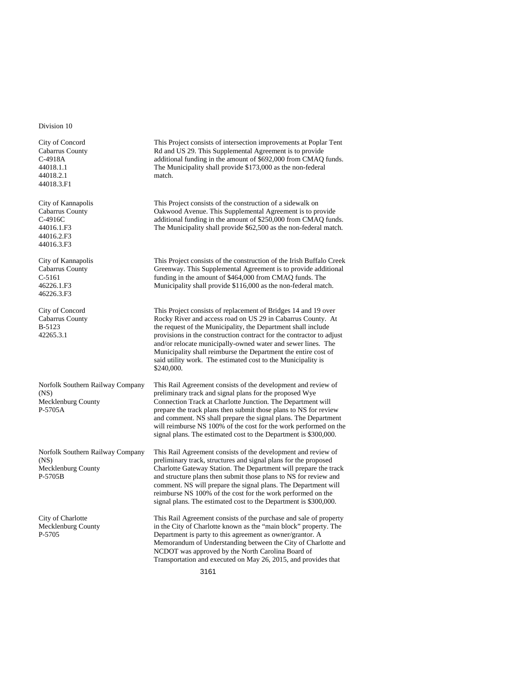Division 10

City of Concord Cabarrus County C-4918A 44018.1.1 44018.2.1 44018.3.F1

City of Kannapolis Cabarrus County C-4916C 44016.1.F3 44016.2.F3 44016.3.F3

City of Kannapolis Cabarrus County C-5161 46226.1.F3 46226.3.F3

City of Concord Cabarrus County B-5123 42265.3.1

Norfolk Southern Railway Company (NS) Mecklenburg County P-5705A

Norfolk Southern Railway Company (NS) Mecklenburg County P-5705B

City of Charlotte Mecklenburg County P-5705

This Project consists of intersection improvements at Poplar Tent Rd and US 29. This Supplemental Agreement is to provide additional funding in the amount of \$692,000 from CMAQ funds. The Municipality shall provide \$173,000 as the non-federal match.

This Project consists of the construction of a sidewalk on Oakwood Avenue. This Supplemental Agreement is to provide additional funding in the amount of \$250,000 from CMAQ funds. The Municipality shall provide \$62,500 as the non-federal match.

This Project consists of the construction of the Irish Buffalo Creek Greenway. This Supplemental Agreement is to provide additional funding in the amount of \$464,000 from CMAQ funds. The Municipality shall provide \$116,000 as the non-federal match.

This Project consists of replacement of Bridges 14 and 19 over Rocky River and access road on US 29 in Cabarrus County. At the request of the Municipality, the Department shall include provisions in the construction contract for the contractor to adjust and/or relocate municipally-owned water and sewer lines. The Municipality shall reimburse the Department the entire cost of said utility work. The estimated cost to the Municipality is \$240,000.

This Rail Agreement consists of the development and review of preliminary track and signal plans for the proposed Wye Connection Track at Charlotte Junction. The Department will prepare the track plans then submit those plans to NS for review and comment. NS shall prepare the signal plans. The Department will reimburse NS 100% of the cost for the work performed on the signal plans. The estimated cost to the Department is \$300,000.

This Rail Agreement consists of the development and review of preliminary track, structures and signal plans for the proposed Charlotte Gateway Station. The Department will prepare the track and structure plans then submit those plans to NS for review and comment. NS will prepare the signal plans. The Department will reimburse NS 100% of the cost for the work performed on the signal plans. The estimated cost to the Department is \$300,000.

This Rail Agreement consists of the purchase and sale of property in the City of Charlotte known as the "main block" property. The Department is party to this agreement as owner/grantor. A Memorandum of Understanding between the City of Charlotte and NCDOT was approved by the North Carolina Board of Transportation and executed on May 26, 2015, and provides that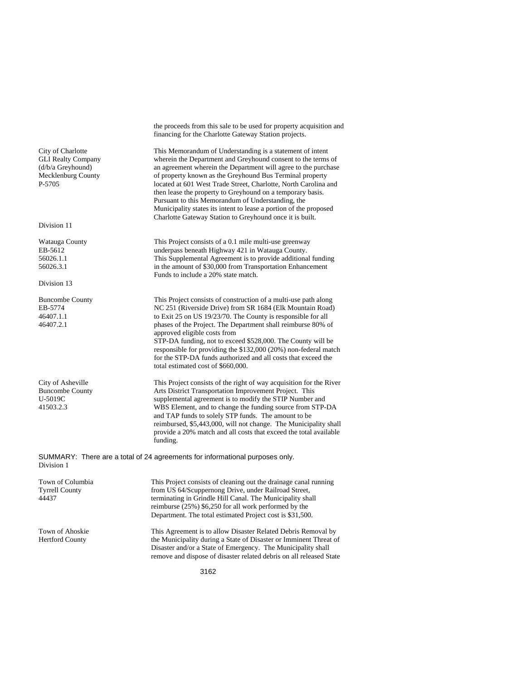the proceeds from this sale to be used for property acquisition and financing for the Charlotte Gateway Station projects.

This Memorandum of Understanding is a statement of intent wherein the Department and Greyhound consent to the terms of an agreement wherein the Department will agree to the purchase of property known as the Greyhound Bus Terminal property located at 601 West Trade Street, Charlotte, North Carolina and then lease the property to Greyhound on a temporary basis. Pursuant to this Memorandum of Understanding, the Municipality states its intent to lease a portion of the proposed Charlotte Gateway Station to Greyhound once it is built.

This Project consists of a 0.1 mile multi-use greenway underpass beneath Highway 421 in Watauga County. This Supplemental Agreement is to provide additional funding in the amount of \$30,000 from Transportation Enhancement Funds to include a 20% state match.

This Project consists of construction of a multi-use path along NC 251 (Riverside Drive) from SR 1684 (Elk Mountain Road) to Exit 25 on US 19/23/70. The County is responsible for all phases of the Project. The Department shall reimburse 80% of approved eligible costs from STP-DA funding, not to exceed \$528,000. The County will be responsible for providing the \$132,000 (20%) non-federal match for the STP-DA funds authorized and all costs that exceed the total estimated cost of \$660,000.

This Project consists of the right of way acquisition for the River Arts District Transportation Improvement Project. This supplemental agreement is to modify the STIP Number and WBS Element, and to change the funding source from STP-DA and TAP funds to solely STP funds. The amount to be reimbursed, \$5,443,000, will not change. The Municipality shall provide a 20% match and all costs that exceed the total available funding.

remove and dispose of disaster related debris on all released State

SUMMARY: There are a total of 24 agreements for informational purposes only. Division 1

Town of Columbia Tyrrell County 44437 This Project consists of cleaning out the drainage canal running from US 64/Scuppernong Drive, under Railroad Street, terminating in Grindle Hill Canal. The Municipality shall reimburse (25%) \$6,250 for all work performed by the Department. The total estimated Project cost is \$31,500. Town of Ahoskie Hertford County This Agreement is to allow Disaster Related Debris Removal by the Municipality during a State of Disaster or Imminent Threat of Disaster and/or a State of Emergency. The Municipality shall

City of Charlotte GLI Realty Company (d/b/a Greyhound) Mecklenburg County P-5705

Division 11

Watauga County EB-5612 56026.1.1 56026.3.1

Division 13

Buncombe County EB-5774 46407.1.1 46407.2.1

City of Asheville Buncombe County U-5019C 41503.2.3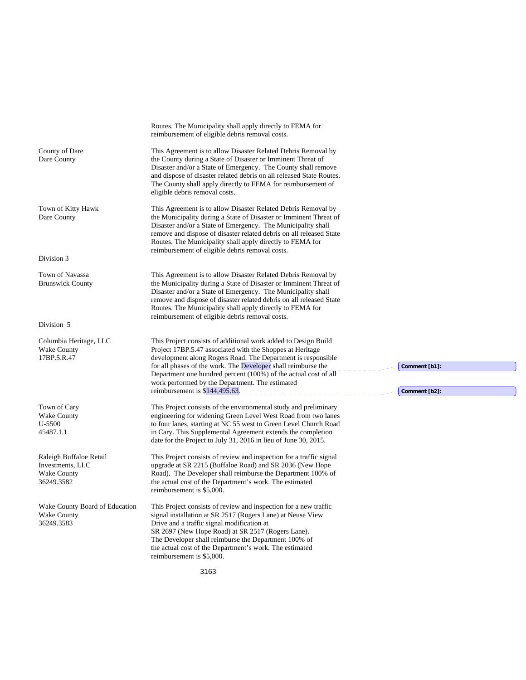3163 Routes. The Municipality shall apply directly to FEMA for reimbursement of eligible debris removal costs. County of Dare Dare County This Agreement is to allow Disaster Related Debris Removal by the County during a State of Disaster or Imminent Threat of Disaster and/or a State of Emergency. The County shall remove and dispose of disaster related debris on all released State Routes. The County shall apply directly to FEMA for reimbursement of eligible debris removal costs. Town of Kitty Hawk Dare County This Agreement is to allow Disaster Related Debris Removal by the Municipality during a State of Disaster or Imminent Threat of Disaster and/or a State of Emergency. The Municipality shall remove and dispose of disaster related debris on all released State Routes. The Municipality shall apply directly to FEMA for reimbursement of eligible debris removal costs. Division 3 Town of Navassa Brunswick County This Agreement is to allow Disaster Related Debris Removal by the Municipality during a State of Disaster or Imminent Threat of Disaster and/or a State of Emergency. The Municipality shall remove and dispose of disaster related debris on all released State Routes. The Municipality shall apply directly to FEMA for reimbursement of eligible debris removal costs. Division 5 Columbia Heritage, LLC Wake County 17BP.5.R.47 This Project consists of additional work added to Design Build Project 17BP.5.47 associated with the Shoppes at Heritage development along Rogers Road. The Department is responsible for all phases of the work. The Developer shall reimburse the Department one hundred percent (100%) of the actual cost of all work performed by the Department. The estimated reimbursement is  $\frac{\sin 44,495.63}{\sin 44,495.63}$ . Town of Cary Wake County U-5500 45487.1.1 This Project consists of the environmental study and preliminary engineering for widening Green Level West Road from two lanes to four lanes, starting at NC 55 west to Green Level Church Road in Cary. This Supplemental Agreement extends the completion date for the Project to July 31, 2016 in lieu of June 30, 2015. Raleigh Buffaloe Retail Investments, LLC Wake County 36249.3582 This Project consists of review and inspection for a traffic signal upgrade at SR 2215 (Buffaloe Road) and SR 2036 (New Hope Road). The Developer shall reimburse the Department 100% of the actual cost of the Department's work. The estimated reimbursement is \$5,000. Wake County Board of Education Wake County 36249.3583 This Project consists of review and inspection for a new traffic signal installation at SR 2517 (Rogers Lane) at Neuse View Drive and a traffic signal modification at SR 2697 (New Hope Road) at SR 2517 (Rogers Lane). The Developer shall reimburse the Department 100% of the actual cost of the Department's work. The estimated reimbursement is \$5,000. **Comment [b1]: Comment [b2]:**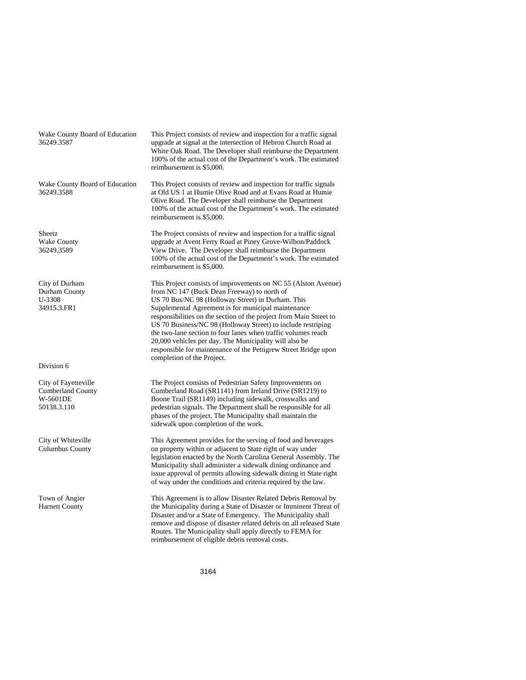Wake County Board of Education 36249.3587 This Project consists of review and inspection for a traffic signal upgrade at signal at the intersection of Hebron Church Road at White Oak Road. The Developer shall reimburse the Department 100% of the actual cost of the Department's work. The estimated reimbursement is \$5,000. Wake County Board of Education 36249.3588 This Project consists of review and inspection for traffic signals at Old US 1 at Humie Olive Road and at Evans Road at Humie Olive Road. The Developer shall reimburse the Department 100% of the actual cost of the Department's work. The estimated reimbursement is \$5,000. **Sheetz** Wake County 36249.3589 The Project consists of review and inspection for a traffic signal upgrade at Avent Ferry Road at Piney Grove-Wilbon/Paddock View Drive. The Developer shall reimburse the Department 100% of the actual cost of the Department's work. The estimated reimbursement is \$5,000. City of Durham Durham County U-3308 34915.3.FR1 This Project consists of improvements on NC 55 (Alston Avenue) from NC 147 (Buck Dean Freeway) to north of US 70 Bus/NC 98 (Holloway Street) in Durham. This Supplemental Agreement is for municipal maintenance responsibilities on the section of the project from Main Street to US 70 Business/NC 98 (Holloway Street) to include restriping the two-lane section to four lanes when traffic volumes reach 20,000 vehicles per day. The Municipality will also be responsible for maintenance of the Pettigrew Street Bridge upon completion of the Project. Division 6 City of Fayetteville Cumberland County W-5601DE 50138.3.110 The Project consists of Pedestrian Safety Improvements on Cumberland Road (SR1141) from Ireland Drive (SR1219) to Boone Trail (SR1149) including sidewalk, crosswalks and pedestrian signals. The Department shall be responsible for all phases of the project. The Municipality shall maintain the sidewalk upon completion of the work. City of Whiteville Columbus County This Agreement provides for the serving of food and beverages on property within or adjacent to State right of way under legislation enacted by the North Carolina General Assembly. The Municipality shall administer a sidewalk dining ordinance and issue approval of permits allowing sidewalk dining in State right of way under the conditions and criteria required by the law. Town of Angier Harnett County This Agreement is to allow Disaster Related Debris Removal by the Municipality during a State of Disaster or Imminent Threat of Disaster and/or a State of Emergency. The Municipality shall remove and dispose of disaster related debris on all released State Routes. The Municipality shall apply directly to FEMA for reimbursement of eligible debris removal costs.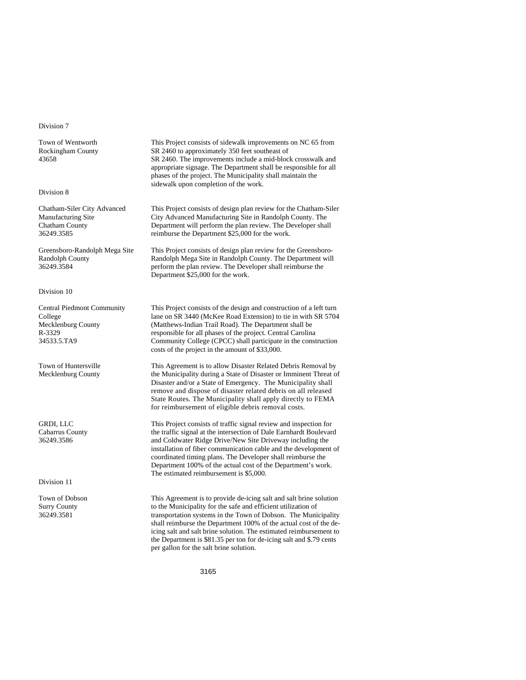#### Division 7

Town of Wentworth Rockingham County 43658

#### Division 8

Chatham-Siler City Advanced Manufacturing Site Chatham County 36249.3585

Greensboro-Randolph Mega Site Randolph County 36249.3584

#### Division 10

Central Piedmont Community College Mecklenburg County R-3329 34533.5.TA9

Town of Huntersville Mecklenburg County

GRDI, LLC Cabarrus County 36249.3586

Division 11

Town of Dobson Surry County 36249.3581

This Project consists of sidewalk improvements on NC 65 from SR 2460 to approximately 350 feet southeast of SR 2460. The improvements include a mid-block crosswalk and appropriate signage. The Department shall be responsible for all phases of the project. The Municipality shall maintain the sidewalk upon completion of the work.

This Project consists of design plan review for the Chatham-Siler City Advanced Manufacturing Site in Randolph County. The Department will perform the plan review. The Developer shall reimburse the Department \$25,000 for the work.

This Project consists of design plan review for the Greensboro-Randolph Mega Site in Randolph County. The Department will perform the plan review. The Developer shall reimburse the Department \$25,000 for the work.

This Project consists of the design and construction of a left turn lane on SR 3440 (McKee Road Extension) to tie in with SR 5704 (Matthews-Indian Trail Road). The Department shall be responsible for all phases of the project. Central Carolina Community College (CPCC) shall participate in the construction costs of the project in the amount of \$33,000.

This Agreement is to allow Disaster Related Debris Removal by the Municipality during a State of Disaster or Imminent Threat of Disaster and/or a State of Emergency. The Municipality shall remove and dispose of disaster related debris on all released State Routes. The Municipality shall apply directly to FEMA for reimbursement of eligible debris removal costs.

This Project consists of traffic signal review and inspection for the traffic signal at the intersection of Dale Earnhardt Boulevard and Coldwater Ridge Drive/New Site Driveway including the installation of fiber communication cable and the development of coordinated timing plans. The Developer shall reimburse the Department 100% of the actual cost of the Department's work. The estimated reimbursement is \$5,000.

This Agreement is to provide de-icing salt and salt brine solution to the Municipality for the safe and efficient utilization of transportation systems in the Town of Dobson. The Municipality shall reimburse the Department 100% of the actual cost of the deicing salt and salt brine solution. The estimated reimbursement to the Department is \$81.35 per ton for de-icing salt and \$.79 cents per gallon for the salt brine solution.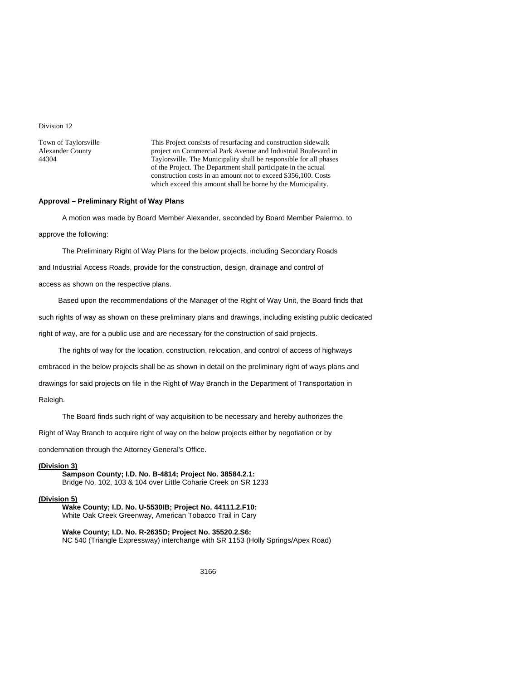Division 12

Town of Taylorsville Alexander County 44304

This Project consists of resurfacing and construction sidewalk project on Commercial Park Avenue and Industrial Boulevard in Taylorsville. The Municipality shall be responsible for all phases of the Project. The Department shall participate in the actual construction costs in an amount not to exceed \$356,100. Costs which exceed this amount shall be borne by the Municipality.

#### **Approval – Preliminary Right of Way Plans**

A motion was made by Board Member Alexander, seconded by Board Member Palermo, to approve the following:

The Preliminary Right of Way Plans for the below projects, including Secondary Roads and Industrial Access Roads, provide for the construction, design, drainage and control of access as shown on the respective plans.

Based upon the recommendations of the Manager of the Right of Way Unit, the Board finds that such rights of way as shown on these preliminary plans and drawings, including existing public dedicated right of way, are for a public use and are necessary for the construction of said projects.

The rights of way for the location, construction, relocation, and control of access of highways

embraced in the below projects shall be as shown in detail on the preliminary right of ways plans and

drawings for said projects on file in the Right of Way Branch in the Department of Transportation in

Raleigh.

The Board finds such right of way acquisition to be necessary and hereby authorizes the

Right of Way Branch to acquire right of way on the below projects either by negotiation or by

condemnation through the Attorney General's Office.

## **(Division 3)**

**Sampson County; I.D. No. B-4814; Project No. 38584.2.1:**  Bridge No. 102, 103 & 104 over Little Coharie Creek on SR 1233

#### **(Division 5)**

**Wake County; I.D. No. U-5530IB; Project No. 44111.2.F10:**  White Oak Creek Greenway, American Tobacco Trail in Cary

**Wake County; I.D. No. R-2635D; Project No. 35520.2.S6:**  NC 540 (Triangle Expressway) interchange with SR 1153 (Holly Springs/Apex Road)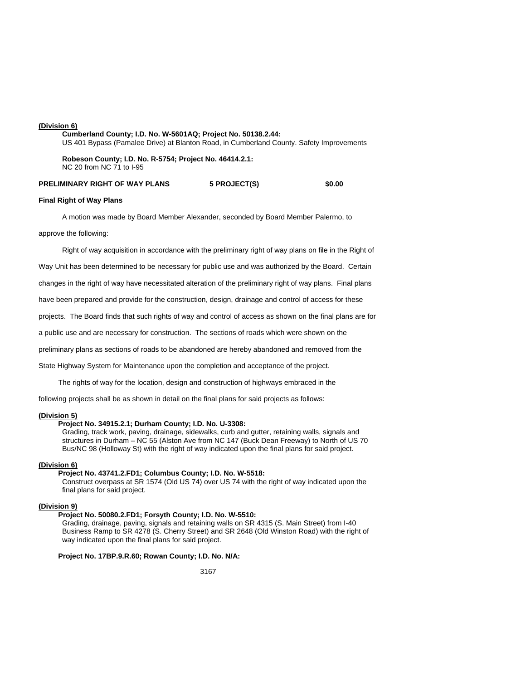#### **(Division 6)**

**Cumberland County; I.D. No. W-5601AQ; Project No. 50138.2.44:**  US 401 Bypass (Pamalee Drive) at Blanton Road, in Cumberland County. Safety Improvements **Robeson County; I.D. No. R-5754; Project No. 46414.2.1:** 

NC 20 from NC 71 to I-95

**PRELIMINARY RIGHT OF WAY PLANS 5 PROJECT(S) \$0.00** 

#### **Final Right of Way Plans**

A motion was made by Board Member Alexander, seconded by Board Member Palermo, to

approve the following:

Right of way acquisition in accordance with the preliminary right of way plans on file in the Right of

Way Unit has been determined to be necessary for public use and was authorized by the Board. Certain

changes in the right of way have necessitated alteration of the preliminary right of way plans. Final plans

have been prepared and provide for the construction, design, drainage and control of access for these

projects. The Board finds that such rights of way and control of access as shown on the final plans are for

a public use and are necessary for construction. The sections of roads which were shown on the

preliminary plans as sections of roads to be abandoned are hereby abandoned and removed from the

State Highway System for Maintenance upon the completion and acceptance of the project.

The rights of way for the location, design and construction of highways embraced in the

following projects shall be as shown in detail on the final plans for said projects as follows:

## **(Division 5)**

#### **Project No. 34915.2.1; Durham County; I.D. No. U-3308:**

Grading, track work, paving, drainage, sidewalks, curb and gutter, retaining walls, signals and structures in Durham – NC 55 (Alston Ave from NC 147 (Buck Dean Freeway) to North of US 70 Bus/NC 98 (Holloway St) with the right of way indicated upon the final plans for said project.

#### **(Division 6)**

#### **Project No. 43741.2.FD1; Columbus County; I.D. No. W-5518:**

Construct overpass at SR 1574 (Old US 74) over US 74 with the right of way indicated upon the final plans for said project.

#### **(Division 9)**

## **Project No. 50080.2.FD1; Forsyth County; I.D. No. W-5510:**

Grading, drainage, paving, signals and retaining walls on SR 4315 (S. Main Street) from I-40 Business Ramp to SR 4278 (S. Cherry Street) and SR 2648 (Old Winston Road) with the right of way indicated upon the final plans for said project.

#### **Project No. 17BP.9.R.60; Rowan County; I.D. No. N/A:**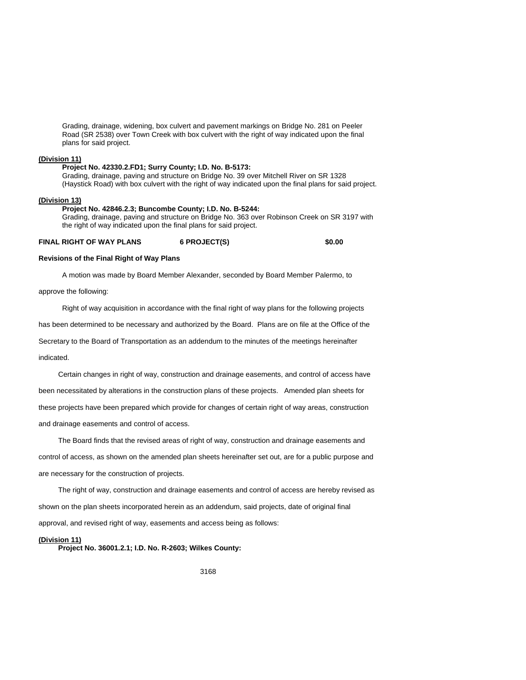Grading, drainage, widening, box culvert and pavement markings on Bridge No. 281 on Peeler Road (SR 2538) over Town Creek with box culvert with the right of way indicated upon the final plans for said project.

#### **(Division 11)**

#### **Project No. 42330.2.FD1; Surry County; I.D. No. B-5173:**

Grading, drainage, paving and structure on Bridge No. 39 over Mitchell River on SR 1328 (Haystick Road) with box culvert with the right of way indicated upon the final plans for said project.

## **(Division 13)**

#### **Project No. 42846.2.3; Buncombe County; I.D. No. B-5244:**

Grading, drainage, paving and structure on Bridge No. 363 over Robinson Creek on SR 3197 with the right of way indicated upon the final plans for said project.

**FINAL RIGHT OF WAY PLANS 6 PROJECT(S) \$0.00** 

#### **Revisions of the Final Right of Way Plans**

A motion was made by Board Member Alexander, seconded by Board Member Palermo, to

approve the following:

Right of way acquisition in accordance with the final right of way plans for the following projects

has been determined to be necessary and authorized by the Board. Plans are on file at the Office of the

Secretary to the Board of Transportation as an addendum to the minutes of the meetings hereinafter

indicated.

Certain changes in right of way, construction and drainage easements, and control of access have been necessitated by alterations in the construction plans of these projects. Amended plan sheets for these projects have been prepared which provide for changes of certain right of way areas, construction and drainage easements and control of access.

The Board finds that the revised areas of right of way, construction and drainage easements and control of access, as shown on the amended plan sheets hereinafter set out, are for a public purpose and are necessary for the construction of projects.

The right of way, construction and drainage easements and control of access are hereby revised as shown on the plan sheets incorporated herein as an addendum, said projects, date of original final approval, and revised right of way, easements and access being as follows:

#### **(Division 11)**

**Project No. 36001.2.1; I.D. No. R-2603; Wilkes County:**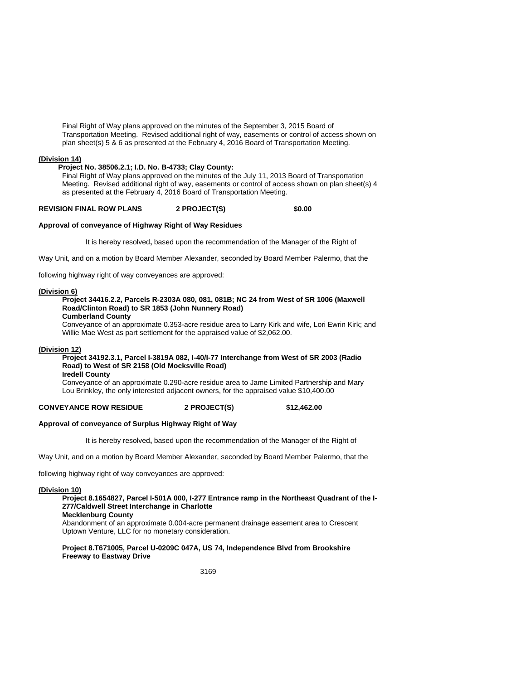Final Right of Way plans approved on the minutes of the September 3, 2015 Board of Transportation Meeting. Revised additional right of way, easements or control of access shown on plan sheet(s) 5 & 6 as presented at the February 4, 2016 Board of Transportation Meeting.

## **(Division 14)**

#### **Project No. 38506.2.1; I.D. No. B-4733; Clay County:**

Final Right of Way plans approved on the minutes of the July 11, 2013 Board of Transportation Meeting. Revised additional right of way, easements or control of access shown on plan sheet(s) 4 as presented at the February 4, 2016 Board of Transportation Meeting.

# **REVISION FINAL ROW PLANS 2 PROJECT(S) \$0.00**

## **Approval of conveyance of Highway Right of Way Residues**

It is hereby resolved**,** based upon the recommendation of the Manager of the Right of

Way Unit, and on a motion by Board Member Alexander, seconded by Board Member Palermo, that the

following highway right of way conveyances are approved:

#### **(Division 6)**

# **Project 34416.2.2, Parcels R-2303A 080, 081, 081B; NC 24 from West of SR 1006 (Maxwell Road/Clinton Road) to SR 1853 (John Nunnery Road)**

**Cumberland County** 

Conveyance of an approximate 0.353-acre residue area to Larry Kirk and wife, Lori Ewrin Kirk; and Willie Mae West as part settlement for the appraised value of \$2,062.00.

#### **(Division 12)**

# **Project 34192.3.1, Parcel I-3819A 082, I-40/I-77 Interchange from West of SR 2003 (Radio Road) to West of SR 2158 (Old Mocksville Road)**

**Iredell County** 

Conveyance of an approximate 0.290-acre residue area to Jame Limited Partnership and Mary Lou Brinkley, the only interested adjacent owners, for the appraised value \$10,400.00

# **CONVEYANCE ROW RESIDUE 2 PROJECT(S) \$12,462.00**

## **Approval of conveyance of Surplus Highway Right of Way**

It is hereby resolved**,** based upon the recommendation of the Manager of the Right of

Way Unit, and on a motion by Board Member Alexander, seconded by Board Member Palermo, that the

following highway right of way conveyances are approved:

#### **(Division 10)**

## **Project 8.1654827, Parcel I-501A 000, I-277 Entrance ramp in the Northeast Quadrant of the I-277/Caldwell Street Interchange in Charlotte**

**Mecklenburg County**  Abandonment of an approximate 0.004-acre permanent drainage easement area to Crescent Uptown Venture, LLC for no monetary consideration.

#### **Project 8.T671005, Parcel U-0209C 047A, US 74, Independence Blvd from Brookshire Freeway to Eastway Drive**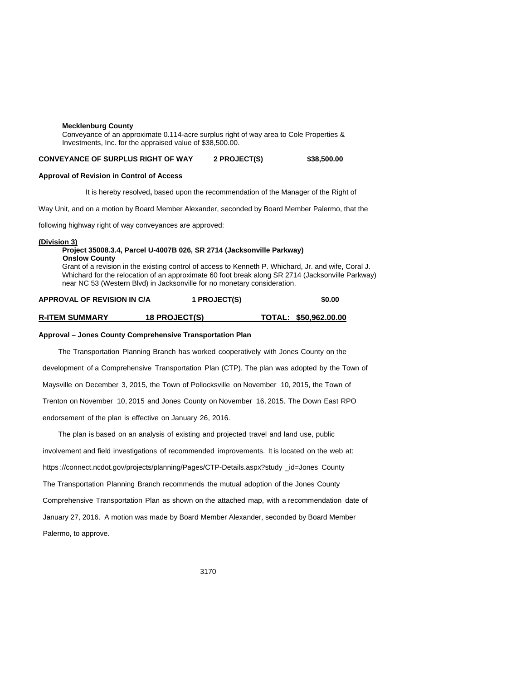#### **Mecklenburg County**

Conveyance of an approximate 0.114-acre surplus right of way area to Cole Properties & Investments, Inc. for the appraised value of \$38,500.00.

### **CONVEYANCE OF SURPLUS RIGHT OF WAY 2 PROJECT(S) \$38,500.00**

#### **Approval of Revision in Control of Access**

It is hereby resolved**,** based upon the recommendation of the Manager of the Right of

Way Unit, and on a motion by Board Member Alexander, seconded by Board Member Palermo, that the

following highway right of way conveyances are approved:

#### **(Division 3)**

#### **Project 35008.3.4, Parcel U-4007B 026, SR 2714 (Jacksonville Parkway) Onslow County**

Grant of a revision in the existing control of access to Kenneth P. Whichard, Jr. and wife, Coral J. Whichard for the relocation of an approximate 60 foot break along SR 2714 (Jacksonville Parkway) near NC 53 (Western Blvd) in Jacksonville for no monetary consideration.

# **APPROVAL OF REVISION IN C/A 1 PROJECT(S) \$0.00**

#### **R-ITEM SUMMARY 18 PROJECT(S) TOTAL: \$50,962.00.00**

#### **Approval – Jones County Comprehensive Transportation Plan**

The Transportation Planning Branch has worked cooperatively with Jones County on the development of a Comprehensive Transportation Plan (CTP). The plan was adopted by the Town of Maysville on December 3, 2015, the Town of Pollocksville on November 10, 2015, the Town of Trenton on November 10, 2015 and Jones County on November 16, 2015. The Down East RPO endorsement of the plan is effective on January 26, 2016.

 The plan is based on an analysis of existing and projected travel and land use, public involvement and field investigations of recommended improvements. It is located on the web at: https ://connect.ncdot.gov/projects/planning/Pages/CTP-Details.aspx?study \_id=Jones County The Transportation Planning Branch recommends the mutual adoption of the Jones County Comprehensive Transportation Plan as shown on the attached map, with a recommendation date of January 27, 2016. A motion was made by Board Member Alexander, seconded by Board Member Palermo, to approve.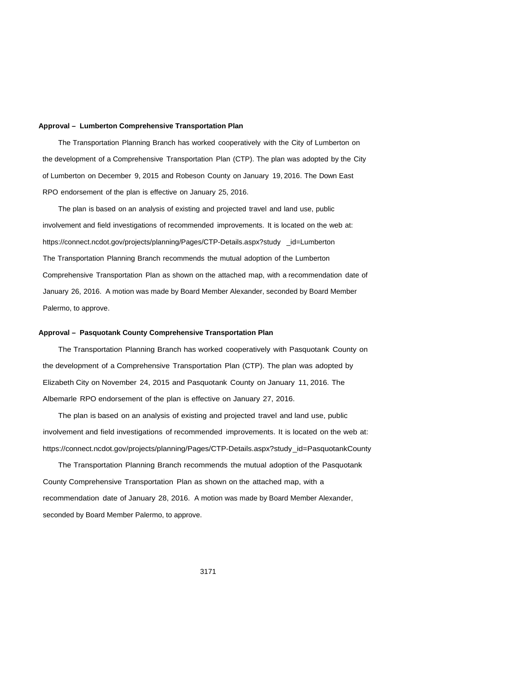#### **Approval – Lumberton Comprehensive Transportation Plan**

The Transportation Planning Branch has worked cooperatively with the City of Lumberton on the development of a Comprehensive Transportation Plan (CTP). The plan was adopted by the City of Lumberton on December 9, 2015 and Robeson County on January 19, 2016. The Down East RPO endorsement of the plan is effective on January 25, 2016.

 The plan is based on an analysis of existing and projected travel and land use, public involvement and field investigations of recommended improvements. It is located on the web at: https://connect.ncdot.gov/projects/planning/Pages/CTP-Details.aspx?study \_id=Lumberton The Transportation Planning Branch recommends the mutual adoption of the Lumberton Comprehensive Transportation Plan as shown on the attached map, with a recommendation date of January 26, 2016. A motion was made by Board Member Alexander, seconded by Board Member Palermo, to approve.

#### **Approval – Pasquotank County Comprehensive Transportation Plan**

 The Transportation Planning Branch has worked cooperatively with Pasquotank County on the development of a Comprehensive Transportation Plan (CTP). The plan was adopted by Elizabeth City on November 24, 2015 and Pasquotank County on January 11, 2016. The Albemarle RPO endorsement of the plan is effective on January 27, 2016.

 The plan is based on an analysis of existing and projected travel and land use, public involvement and field investigations of recommended improvements. It is located on the web at: https://connect.ncdot.gov/projects/planning/Pages/CTP-Details.aspx?study\_id=PasquotankCounty

 The Transportation Planning Branch recommends the mutual adoption of the Pasquotank County Comprehensive Transportation Plan as shown on the attached map, with a recommendation date of January 28, 2016. A motion was made by Board Member Alexander, seconded by Board Member Palermo, to approve.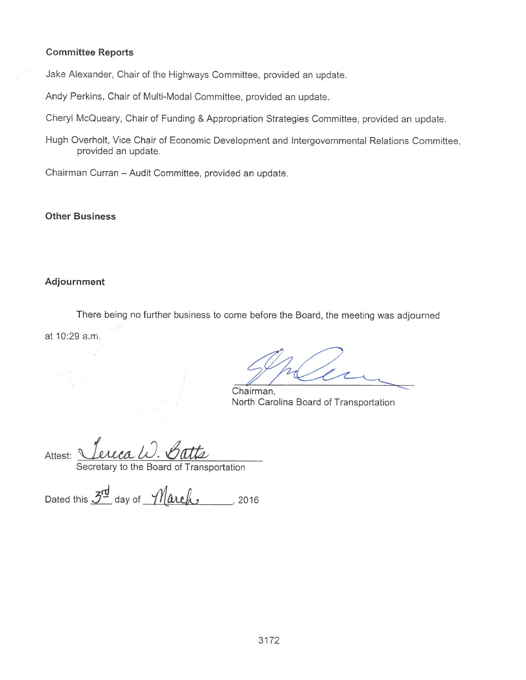# **Committee Reports**

Jake Alexander, Chair of the Highways Committee, provided an update.

Andy Perkins, Chair of Multi-Modal Committee, provided an update.

Cheryl McQueary, Chair of Funding & Appropriation Strategies Committee, provided an update.

Hugh Overholt, Vice Chair of Economic Development and Intergovernmental Relations Committee, provided an update.

Chairman Curran - Audit Committee, provided an update.

# **Other Business**

# Adjournment

There being no further business to come before the Board, the meeting was adjourned at 10:29 a.m.

Chairman, North Carolina Board of Transportation

Attest:

Secretary to the Board of Transportation

Dated this  $3^{\frac{d}{2}}$  day of  $\n$ //arch  $\qquad$ , 2016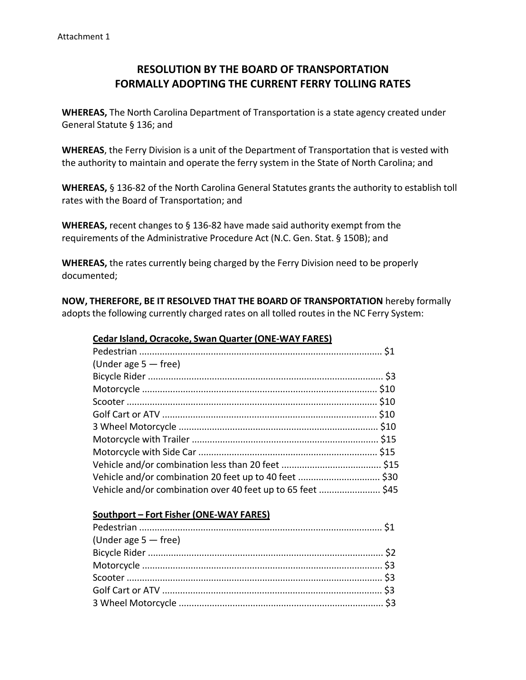# **RESOLUTION BY THE BOARD OF TRANSPORTATION FORMALLY ADOPTING THE CURRENT FERRY TOLLING RATES**

**WHEREAS,** The North Carolina Department of Transportation is a state agency created under General Statute § 136; and

**WHEREAS**, the Ferry Division is a unit of the Department of Transportation that is vested with the authority to maintain and operate the ferry system in the State of North Carolina; and

**WHEREAS,** § 136‐82 of the North Carolina General Statutes grants the authority to establish toll rates with the Board of Transportation; and

**WHEREAS,** recent changes to § 136‐82 have made said authority exempt from the requirements of the Administrative Procedure Act (N.C. Gen. Stat. § 150B); and

**WHEREAS,** the rates currently being charged by the Ferry Division need to be properly documented;

**NOW, THEREFORE, BE IT RESOLVED THAT THE BOARD OF TRANSPORTATION** hereby formally adopts the following currently charged rates on all tolled routes in the NC Ferry System:

| (Under age $5 -$ free)                                      |  |
|-------------------------------------------------------------|--|
|                                                             |  |
|                                                             |  |
|                                                             |  |
|                                                             |  |
|                                                             |  |
|                                                             |  |
|                                                             |  |
|                                                             |  |
|                                                             |  |
| Vehicle and/or combination over 40 feet up to 65 feet  \$45 |  |

# **Cedar Island, Ocracoke, Swan Quarter (ONE‐WAY FARES)**

# **Southport – Fort Fisher (ONE‐WAY FARES)**

| (Under age $5 -$ free) |  |
|------------------------|--|
|                        |  |
|                        |  |
|                        |  |
|                        |  |
|                        |  |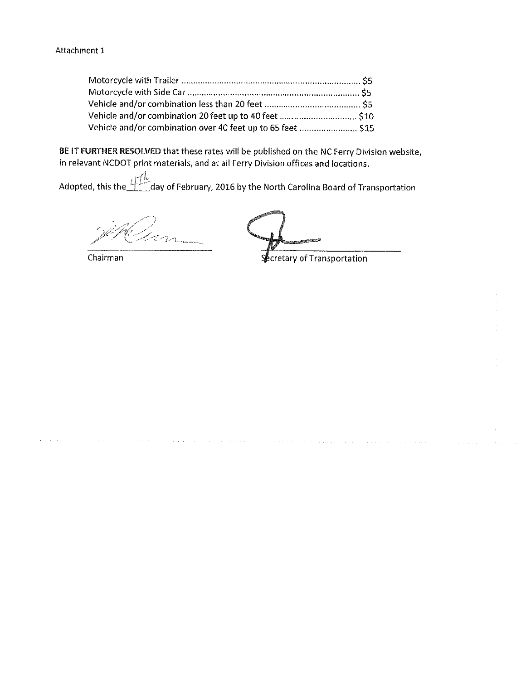| Vehicle and/or combination over 40 feet up to 65 feet  \$15 |  |
|-------------------------------------------------------------|--|

BE IT FURTHER RESOLVED that these rates will be published on the NC Ferry Division website, in relevant NCDOT print materials, and at all Ferry Division offices and locations.

Adopted, this the  $4\frac{\sqrt{10}}{10}$ day of February, 2016 by the North Carolina Board of Transportation

Chairman

**Secretary of Transportation**